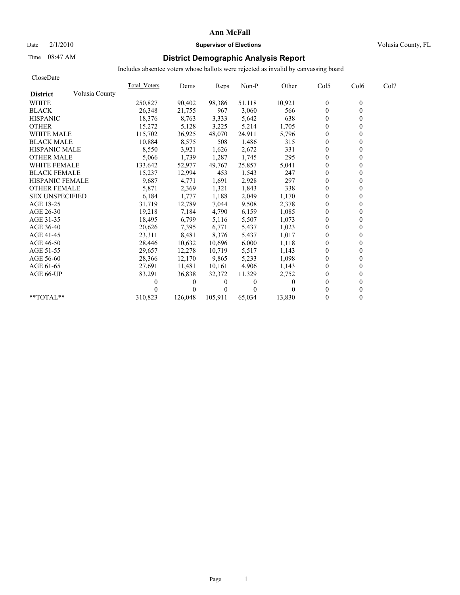#### Date  $2/1/2010$  **Supervisor of Elections Supervisor of Elections** Volusia County, FL

### Time 08:47 AM **District Demographic Analysis Report**

| CloseDate              |                |              |          |                |          |        |              |                  |      |
|------------------------|----------------|--------------|----------|----------------|----------|--------|--------------|------------------|------|
|                        |                | Total Voters | Dems     | Reps           | Non-P    | Other  | Col5         | Col <sub>6</sub> | Col7 |
| <b>District</b>        | Volusia County |              |          |                |          |        |              |                  |      |
| <b>WHITE</b>           |                | 250,827      | 90,402   | 98,386         | 51,118   | 10,921 | $\mathbf{0}$ | $\mathbf{0}$     |      |
| <b>BLACK</b>           |                | 26,348       | 21,755   | 967            | 3,060    | 566    | $\mathbf{0}$ | 0                |      |
| <b>HISPANIC</b>        |                | 18,376       | 8,763    | 3,333          | 5,642    | 638    | $\theta$     |                  |      |
| <b>OTHER</b>           |                | 15,272       | 5,128    | 3,225          | 5,214    | 1,705  | $\theta$     |                  |      |
| <b>WHITE MALE</b>      |                | 115,702      | 36,925   | 48,070         | 24,911   | 5,796  | $\mathbf{0}$ |                  |      |
| <b>BLACK MALE</b>      |                | 10,884       | 8,575    | 508            | 1,486    | 315    | $\theta$     |                  |      |
| <b>HISPANIC MALE</b>   |                | 8,550        | 3,921    | 1,626          | 2,672    | 331    | $\mathbf{0}$ |                  |      |
| <b>OTHER MALE</b>      |                | 5,066        | 1,739    | 1,287          | 1,745    | 295    | $\theta$     |                  |      |
| <b>WHITE FEMALE</b>    |                | 133,642      | 52,977   | 49,767         | 25,857   | 5,041  | $\theta$     |                  |      |
| <b>BLACK FEMALE</b>    |                | 15,237       | 12,994   | 453            | 1,543    | 247    | $\mathbf{0}$ |                  |      |
| <b>HISPANIC FEMALE</b> |                | 9,687        | 4,771    | 1,691          | 2,928    | 297    | $\theta$     |                  |      |
| <b>OTHER FEMALE</b>    |                | 5,871        | 2,369    | 1,321          | 1,843    | 338    | $\theta$     |                  |      |
| <b>SEX UNSPECIFIED</b> |                | 6,184        | 1,777    | 1,188          | 2,049    | 1,170  | $\theta$     |                  |      |
| AGE 18-25              |                | 31,719       | 12,789   | 7,044          | 9,508    | 2,378  | $\mathbf{0}$ |                  |      |
| AGE 26-30              |                | 19,218       | 7.184    | 4,790          | 6,159    | 1,085  | $\theta$     |                  |      |
| AGE 31-35              |                | 18,495       | 6,799    | 5,116          | 5,507    | 1,073  | $\theta$     |                  |      |
| AGE 36-40              |                | 20,626       | 7,395    | 6,771          | 5,437    | 1,023  | $\theta$     |                  |      |
| AGE 41-45              |                | 23,311       | 8,481    | 8,376          | 5,437    | 1,017  | $\mathbf{0}$ |                  |      |
| AGE 46-50              |                | 28,446       | 10,632   | 10,696         | 6,000    | 1,118  | $\mathbf{0}$ |                  |      |
| AGE 51-55              |                | 29,657       | 12,278   | 10,719         | 5,517    | 1,143  | $\theta$     |                  |      |
| AGE 56-60              |                | 28,366       | 12,170   | 9,865          | 5,233    | 1,098  | $\theta$     |                  |      |
| AGE 61-65              |                | 27,691       | 11,481   | 10,161         | 4,906    | 1,143  | $\theta$     |                  |      |
| AGE 66-UP              |                | 83,291       | 36,838   | 32,372         | 11,329   | 2,752  | $\theta$     |                  |      |
|                        |                |              | $\bf{0}$ | $\overline{0}$ | $\theta$ |        | $\Omega$     |                  |      |
|                        |                |              | $\Omega$ | $\theta$       | $\theta$ |        | $\Omega$     |                  |      |
| $*$ $TOTAI.**$         |                | 310,823      | 126,048  | 105,911        | 65,034   | 13,830 | $\theta$     |                  |      |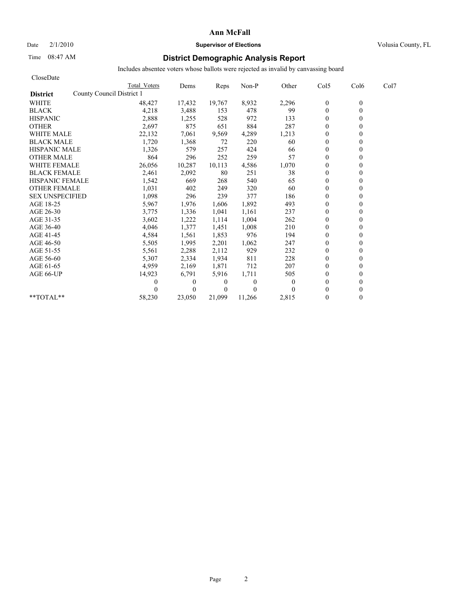## Date  $2/1/2010$  **Supervisor of Elections** Volusia County, FL

## Time 08:47 AM **District Demographic Analysis Report**

| CloseDate                                    |              |              |                |                |          |              |                  |      |
|----------------------------------------------|--------------|--------------|----------------|----------------|----------|--------------|------------------|------|
|                                              | Total Voters | Dems         | Reps           | Non-P          | Other    | Col5         | Col <sub>6</sub> | Col7 |
| County Council District 1<br><b>District</b> |              |              |                |                |          |              |                  |      |
| <b>WHITE</b>                                 | 48,427       | 17,432       | 19,767         | 8,932          | 2,296    | $\bf{0}$     | $\theta$         |      |
| <b>BLACK</b>                                 | 4,218        | 3,488        | 153            | 478            | 99       | $\mathbf{0}$ | $\theta$         |      |
| <b>HISPANIC</b>                              | 2,888        | 1,255        | 528            | 972            | 133      | $\mathbf{0}$ |                  |      |
| <b>OTHER</b>                                 | 2,697        | 875          | 651            | 884            | 287      | $\theta$     |                  |      |
| <b>WHITE MALE</b>                            | 22,132       | 7,061        | 9,569          | 4,289          | 1,213    | $\theta$     |                  |      |
| <b>BLACK MALE</b>                            | 1,720        | 1,368        | 72             | 220            | 60       | $\mathbf{0}$ |                  |      |
| <b>HISPANIC MALE</b>                         | 1,326        | 579          | 257            | 424            | 66       | $\Omega$     |                  |      |
| <b>OTHER MALE</b>                            | 864          | 296          | 252            | 259            | 57       | $\theta$     |                  |      |
| <b>WHITE FEMALE</b>                          | 26,056       | 10,287       | 10,113         | 4,586          | 1,070    | $\theta$     |                  |      |
| <b>BLACK FEMALE</b>                          | 2,461        | 2,092        | 80             | 251            | 38       | $\theta$     |                  |      |
| <b>HISPANIC FEMALE</b>                       | 1,542        | 669          | 268            | 540            | 65       | $\theta$     |                  |      |
| <b>OTHER FEMALE</b>                          | 1,031        | 402          | 249            | 320            | 60       | $\mathbf{0}$ |                  |      |
| <b>SEX UNSPECIFIED</b>                       | 1,098        | 296          | 239            | 377            | 186      | $\mathbf{0}$ |                  |      |
| AGE 18-25                                    | 5,967        | 1,976        | 1,606          | 1,892          | 493      | $\mathbf{0}$ |                  |      |
| AGE 26-30                                    | 3,775        | 1,336        | 1,041          | 1,161          | 237      | $\theta$     |                  |      |
| AGE 31-35                                    | 3,602        | 1,222        | 1,114          | 1,004          | 262      | $\mathbf{0}$ |                  |      |
| AGE 36-40                                    | 4,046        | 1,377        | 1,451          | 1,008          | 210      | $\theta$     |                  |      |
| AGE 41-45                                    | 4,584        | 1,561        | 1,853          | 976            | 194      | $\mathbf{0}$ |                  |      |
| AGE 46-50                                    | 5,505        | 1,995        | 2,201          | 1,062          | 247      | $\mathbf{0}$ |                  |      |
| AGE 51-55                                    | 5,561        | 2,288        | 2,112          | 929            | 232      | $\theta$     |                  |      |
| AGE 56-60                                    | 5,307        | 2,334        | 1,934          | 811            | 228      | $\theta$     |                  |      |
| AGE 61-65                                    | 4,959        | 2,169        | 1,871          | 712            | 207      | $\theta$     |                  |      |
| AGE 66-UP                                    | 14,923       | 6,791        | 5,916          | 1,711          | 505      | $\mathbf{0}$ |                  |      |
|                                              |              | $\mathbf{0}$ | $\theta$       | $\overline{0}$ | $\theta$ | $\mathbf{0}$ |                  |      |
|                                              |              | $\theta$     | $\overline{0}$ | $\Omega$       |          | $\theta$     |                  |      |
| **TOTAL**                                    | 58,230       | 23.050       | 21,099         | 11,266         | 2,815    | $\theta$     | 0                |      |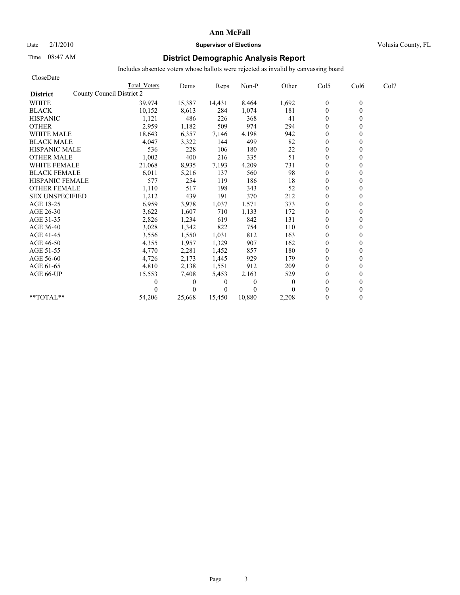## Date  $2/1/2010$  **Supervisor of Elections Supervisor of Elections** Volusia County, FL

### Time 08:47 AM **District Demographic Analysis Report**

| CloseDate                                    |              |          |          |          |                |                |          |      |
|----------------------------------------------|--------------|----------|----------|----------|----------------|----------------|----------|------|
|                                              | Total Voters | Dems     | Reps     | Non-P    | Other          | Col5           | Col6     | Col7 |
| County Council District 2<br><b>District</b> |              |          |          |          |                |                |          |      |
| <b>WHITE</b>                                 | 39,974       | 15,387   | 14,431   | 8,464    | 1,692          | $\mathbf{0}$   | $\theta$ |      |
| <b>BLACK</b>                                 | 10,152       | 8,613    | 284      | 1,074    | 181            | $\mathbf{0}$   | $\theta$ |      |
| <b>HISPANIC</b>                              | 1,121        | 486      | 226      | 368      | 41             | $\overline{0}$ |          |      |
| <b>OTHER</b>                                 | 2,959        | 1,182    | 509      | 974      | 294            | $\theta$       |          |      |
| <b>WHITE MALE</b>                            | 18,643       | 6,357    | 7,146    | 4,198    | 942            | $\mathbf{0}$   |          |      |
| <b>BLACK MALE</b>                            | 4,047        | 3,322    | 144      | 499      | 82             | $\mathbf{0}$   |          |      |
| <b>HISPANIC MALE</b>                         | 536          | 228      | 106      | 180      | 22             | $\Omega$       |          |      |
| <b>OTHER MALE</b>                            | 1,002        | 400      | 216      | 335      | 51             | $\theta$       |          |      |
| <b>WHITE FEMALE</b>                          | 21,068       | 8,935    | 7,193    | 4,209    | 731            | $\theta$       |          |      |
| <b>BLACK FEMALE</b>                          | 6,011        | 5,216    | 137      | 560      | 98             | $\theta$       |          |      |
| <b>HISPANIC FEMALE</b>                       | 577          | 254      | 119      | 186      | 18             | $\mathbf{0}$   |          |      |
| <b>OTHER FEMALE</b>                          | 1,110        | 517      | 198      | 343      | 52             | $\mathbf{0}$   |          |      |
| <b>SEX UNSPECIFIED</b>                       | 1,212        | 439      | 191      | 370      | 212            | $\mathbf{0}$   |          |      |
| AGE 18-25                                    | 6,959        | 3,978    | 1,037    | 1,571    | 373            | $\mathbf{0}$   |          |      |
| AGE 26-30                                    | 3,622        | 1,607    | 710      | 1,133    | 172            | $\theta$       |          |      |
| AGE 31-35                                    | 2,826        | 1,234    | 619      | 842      | 131            | $\mathbf{0}$   |          |      |
| AGE 36-40                                    | 3,028        | 1,342    | 822      | 754      | 110            | $\theta$       |          |      |
| AGE 41-45                                    | 3,556        | 1,550    | 1,031    | 812      | 163            | $\mathbf{0}$   |          |      |
| AGE 46-50                                    | 4,355        | 1,957    | 1,329    | 907      | 162            | $\mathbf{0}$   |          |      |
| AGE 51-55                                    | 4,770        | 2,281    | 1,452    | 857      | 180            | $\mathbf{0}$   |          |      |
| AGE 56-60                                    | 4,726        | 2,173    | 1,445    | 929      | 179            | $\theta$       |          |      |
| AGE 61-65                                    | 4,810        | 2,138    | 1,551    | 912      | 209            | $\theta$       |          |      |
| AGE 66-UP                                    | 15,553       | 7,408    | 5,453    | 2,163    | 529            | $\mathbf{0}$   |          |      |
|                                              |              | $\theta$ | $\theta$ | 0        | $\overline{0}$ | $\mathbf{0}$   |          |      |
|                                              |              | $\Omega$ | $\theta$ | $\Omega$ |                | $\theta$       |          |      |
| **TOTAL**                                    | 54,206       | 25,668   | 15,450   | 10,880   | 2,208          | $\theta$       | 0        |      |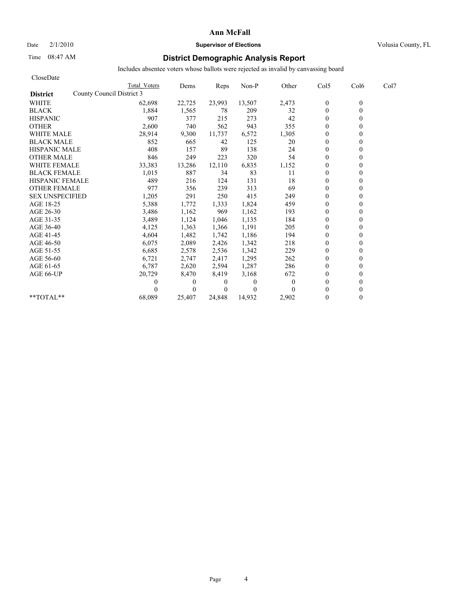### Date  $2/1/2010$  **Supervisor of Elections Supervisor of Elections** Volusia County, FL

## Time 08:47 AM **District Demographic Analysis Report**

| CloseDate                                    |              |          |          |              |              |                  |          |      |
|----------------------------------------------|--------------|----------|----------|--------------|--------------|------------------|----------|------|
|                                              | Total Voters | Dems     | Reps     | Non-P        | Other        | Col5             | Col6     | Col7 |
| County Council District 3<br><b>District</b> |              |          |          |              |              |                  |          |      |
| <b>WHITE</b>                                 | 62,698       | 22,725   | 23,993   | 13,507       | 2,473        | $\boldsymbol{0}$ | $\theta$ |      |
| <b>BLACK</b>                                 | 1,884        | 1,565    | 78       | 209          | 32           | $\mathbf{0}$     | 0        |      |
| <b>HISPANIC</b>                              | 907          | 377      | 215      | 273          | 42           | $\theta$         |          |      |
| <b>OTHER</b>                                 | 2,600        | 740      | 562      | 943          | 355          | $\theta$         |          |      |
| <b>WHITE MALE</b>                            | 28,914       | 9,300    | 11,737   | 6,572        | 1,305        | $\theta$         |          |      |
| <b>BLACK MALE</b>                            | 852          | 665      | 42       | 125          | 20           | $\mathbf{0}$     |          |      |
| <b>HISPANIC MALE</b>                         | 408          | 157      | 89       | 138          | 24           | $\theta$         |          |      |
| <b>OTHER MALE</b>                            | 846          | 249      | 223      | 320          | 54           | $\theta$         |          |      |
| <b>WHITE FEMALE</b>                          | 33,383       | 13,286   | 12,110   | 6,835        | 1,152        | $\theta$         |          |      |
| <b>BLACK FEMALE</b>                          | 1,015        | 887      | 34       | 83           | 11           | $\overline{0}$   |          |      |
| <b>HISPANIC FEMALE</b>                       | 489          | 216      | 124      | 131          | 18           | $\theta$         |          |      |
| <b>OTHER FEMALE</b>                          | 977          | 356      | 239      | 313          | 69           | $\theta$         |          |      |
| <b>SEX UNSPECIFIED</b>                       | 1,205        | 291      | 250      | 415          | 249          | $\theta$         |          |      |
| AGE 18-25                                    | 5,388        | 1,772    | 1,333    | 1,824        | 459          | $\mathbf{0}$     |          |      |
| AGE 26-30                                    | 3,486        | 1,162    | 969      | 1,162        | 193          | $\mathbf{0}$     |          |      |
| AGE 31-35                                    | 3,489        | 1,124    | 1,046    | 1,135        | 184          | $\mathbf{0}$     |          |      |
| AGE 36-40                                    | 4,125        | 1,363    | 1,366    | 1,191        | 205          | $\mathbf{0}$     |          |      |
| AGE 41-45                                    | 4,604        | 1,482    | 1,742    | 1,186        | 194          | $\mathbf{0}$     |          |      |
| AGE 46-50                                    | 6,075        | 2,089    | 2,426    | 1,342        | 218          | $\theta$         |          |      |
| AGE 51-55                                    | 6,685        | 2,578    | 2,536    | 1,342        | 229          | $\mathbf{0}$     |          |      |
| AGE 56-60                                    | 6,721        | 2,747    | 2,417    | 1,295        | 262          | $\mathbf{0}$     |          |      |
| AGE 61-65                                    | 6,787        | 2,620    | 2,594    | 1,287        | 286          | $\theta$         |          |      |
| AGE 66-UP                                    | 20,729       | 8,470    | 8,419    | 3,168        | 672          | $\theta$         |          |      |
|                                              | 0            | $\theta$ | 0        | $\mathbf{0}$ | $\mathbf{0}$ | $\theta$         |          |      |
|                                              |              | $\theta$ | $\Omega$ | $\theta$     | 0            | $\theta$         |          |      |
| **TOTAL**                                    | 68,089       | 25,407   | 24.848   | 14,932       | 2,902        | $\theta$         | 0        |      |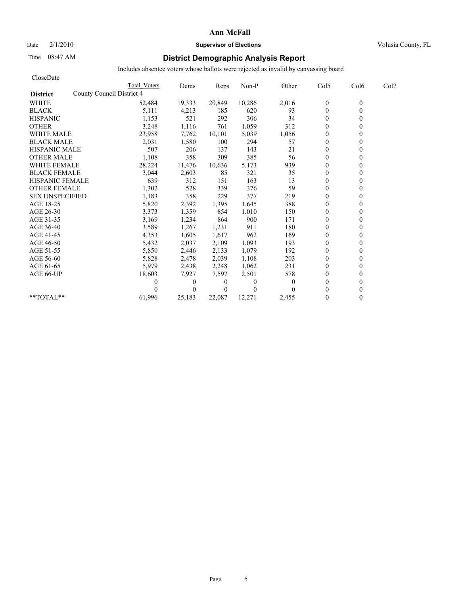## Date  $2/1/2010$  **Supervisor of Elections Supervisor of Elections** Volusia County, FL

## Time 08:47 AM **District Demographic Analysis Report**

| CloseDate                                    |              |          |                |              |              |                  |                  |      |
|----------------------------------------------|--------------|----------|----------------|--------------|--------------|------------------|------------------|------|
|                                              | Total Voters | Dems     | Reps           | Non-P        | Other        | Col5             | Col <sub>6</sub> | Col7 |
| County Council District 4<br><b>District</b> |              |          |                |              |              |                  |                  |      |
| <b>WHITE</b>                                 | 52,484       | 19,333   | 20,849         | 10,286       | 2,016        | $\boldsymbol{0}$ | $\theta$         |      |
| <b>BLACK</b>                                 | 5,111        | 4,213    | 185            | 620          | 93           | $\mathbf{0}$     | 0                |      |
| <b>HISPANIC</b>                              | 1,153        | 521      | 292            | 306          | 34           | $\mathbf{0}$     |                  |      |
| <b>OTHER</b>                                 | 3,248        | 1,116    | 761            | 1,059        | 312          | $\theta$         |                  |      |
| <b>WHITE MALE</b>                            | 23,958       | 7,762    | 10,101         | 5,039        | 1,056        | $\theta$         |                  |      |
| <b>BLACK MALE</b>                            | 2,031        | 1,580    | 100            | 294          | 57           | $\mathbf{0}$     |                  |      |
| <b>HISPANIC MALE</b>                         | 507          | 206      | 137            | 143          | 21           | $\theta$         |                  |      |
| <b>OTHER MALE</b>                            | 1,108        | 358      | 309            | 385          | 56           | $\mathbf{0}$     |                  |      |
| <b>WHITE FEMALE</b>                          | 28,224       | 11,476   | 10,636         | 5,173        | 939          | $\theta$         |                  |      |
| <b>BLACK FEMALE</b>                          | 3,044        | 2,603    | 85             | 321          | 35           | $\overline{0}$   |                  |      |
| <b>HISPANIC FEMALE</b>                       | 639          | 312      | 151            | 163          | 13           | $\mathbf{0}$     |                  |      |
| <b>OTHER FEMALE</b>                          | 1,302        | 528      | 339            | 376          | 59           | $\theta$         |                  |      |
| <b>SEX UNSPECIFIED</b>                       | 1,183        | 358      | 229            | 377          | 219          | $\theta$         |                  |      |
| AGE 18-25                                    | 5,820        | 2,392    | 1,395          | 1,645        | 388          | $\mathbf{0}$     |                  |      |
| AGE 26-30                                    | 3,373        | 1,359    | 854            | 1,010        | 150          | $\mathbf{0}$     |                  |      |
| AGE 31-35                                    | 3,169        | 1,234    | 864            | 900          | 171          | $\mathbf{0}$     |                  |      |
| AGE 36-40                                    | 3,589        | 1,267    | 1,231          | 911          | 180          | $\mathbf{0}$     |                  |      |
| AGE 41-45                                    | 4,353        | 1,605    | 1,617          | 962          | 169          | $\mathbf{0}$     |                  |      |
| AGE 46-50                                    | 5,432        | 2,037    | 2,109          | 1,093        | 193          | $\theta$         |                  |      |
| AGE 51-55                                    | 5,850        | 2,446    | 2,133          | 1,079        | 192          | $\mathbf{0}$     |                  |      |
| AGE 56-60                                    | 5,828        | 2,478    | 2,039          | 1,108        | 203          | $\mathbf{0}$     |                  |      |
| AGE 61-65                                    | 5,979        | 2,438    | 2,248          | 1,062        | 231          | $\theta$         |                  |      |
| AGE 66-UP                                    | 18,603       | 7,927    | 7,597          | 2,501        | 578          | $\mathbf{0}$     |                  |      |
|                                              | 0            | $\theta$ | $\overline{0}$ | $\mathbf{0}$ | $\mathbf{0}$ | $\mathbf{0}$     |                  |      |
|                                              |              | $\theta$ | $\overline{0}$ | $\theta$     |              | $\theta$         |                  |      |
| **TOTAL**                                    | 61,996       | 25,183   | 22,087         | 12,271       | 2.455        | $\theta$         | 0                |      |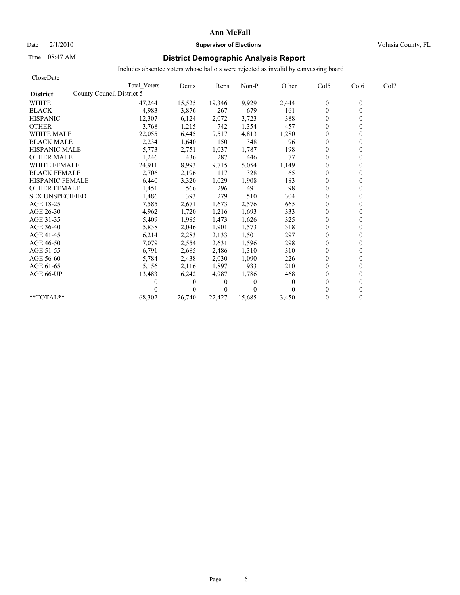### Date  $2/1/2010$  **Supervisor of Elections Supervisor of Elections** Volusia County, FL

## Time 08:47 AM **District Demographic Analysis Report**

| CloseDate              |                           |                |          |              |              |                |                  |      |
|------------------------|---------------------------|----------------|----------|--------------|--------------|----------------|------------------|------|
|                        | Total Voters              | Dems           | Reps     | Non-P        | Other        | Col5           | Col <sub>6</sub> | Col7 |
| <b>District</b>        | County Council District 5 |                |          |              |              |                |                  |      |
| <b>WHITE</b>           | 47,244                    | 15,525         | 19,346   | 9,929        | 2,444        | $\mathbf{0}$   | $\theta$         |      |
| <b>BLACK</b>           |                           | 4,983<br>3,876 | 267      | 679          | 161          | $\mathbf{0}$   | 0                |      |
| <b>HISPANIC</b>        | 12,307                    | 6,124          | 2,072    | 3,723        | 388          | $\mathbf{0}$   |                  |      |
| <b>OTHER</b>           |                           | 3,768<br>1,215 | 742      | 1,354        | 457          | $\theta$       |                  |      |
| <b>WHITE MALE</b>      | 22,055                    | 6,445          | 9,517    | 4,813        | 1,280        | $\theta$       |                  |      |
| <b>BLACK MALE</b>      |                           | 2,234<br>1,640 | 150      | 348          | 96           | $\mathbf{0}$   |                  |      |
| <b>HISPANIC MALE</b>   |                           | 5,773<br>2,751 | 1,037    | 1,787        | 198          | $\theta$       |                  |      |
| <b>OTHER MALE</b>      |                           | 1,246<br>436   | 287      | 446          | 77           | $\mathbf{0}$   |                  |      |
| <b>WHITE FEMALE</b>    | 24,911                    | 8,993          | 9,715    | 5,054        | 1,149        | $\theta$       |                  |      |
| <b>BLACK FEMALE</b>    |                           | 2,706<br>2,196 | 117      | 328          | 65           | $\overline{0}$ |                  |      |
| <b>HISPANIC FEMALE</b> |                           | 6,440<br>3,320 | 1,029    | 1,908        | 183          | $\mathbf{0}$   |                  |      |
| <b>OTHER FEMALE</b>    |                           | 1,451<br>566   | 296      | 491          | 98           | $\theta$       |                  |      |
| <b>SEX UNSPECIFIED</b> |                           | 393<br>1,486   | 279      | 510          | 304          | $\theta$       |                  |      |
| AGE 18-25              |                           | 7,585<br>2,671 | 1,673    | 2,576        | 665          | $\mathbf{0}$   |                  |      |
| AGE 26-30              |                           | 4,962<br>1,720 | 1,216    | 1,693        | 333          | $\mathbf{0}$   |                  |      |
| AGE 31-35              |                           | 5,409<br>1,985 | 1,473    | 1,626        | 325          | $\mathbf{0}$   |                  |      |
| AGE 36-40              |                           | 5,838<br>2,046 | 1,901    | 1,573        | 318          | $\mathbf{0}$   |                  |      |
| AGE 41-45              |                           | 6,214<br>2,283 | 2,133    | 1,501        | 297          | $\mathbf{0}$   |                  |      |
| AGE 46-50              |                           | 7,079<br>2,554 | 2,631    | 1,596        | 298          | $\theta$       |                  |      |
| AGE 51-55              |                           | 6,791<br>2,685 | 2,486    | 1,310        | 310          | $\mathbf{0}$   |                  |      |
| AGE 56-60              |                           | 5,784<br>2,438 | 2,030    | 1,090        | 226          | $\mathbf{0}$   |                  |      |
| AGE 61-65              |                           | 5,156<br>2,116 | 1,897    | 933          | 210          | $\theta$       |                  |      |
| AGE 66-UP              | 13,483                    | 6,242          | 4,987    | 1,786        | 468          | $\theta$       |                  |      |
|                        |                           | $\theta$<br>0  | 0        | $\mathbf{0}$ | $\mathbf{0}$ | $\mathbf{0}$   |                  |      |
|                        |                           | $\theta$       | $\Omega$ | $\theta$     | $\Omega$     | $\theta$       |                  |      |
| **TOTAL**              | 68,302                    | 26.740         | 22.427   | 15,685       | 3,450        | $\theta$       | 0                |      |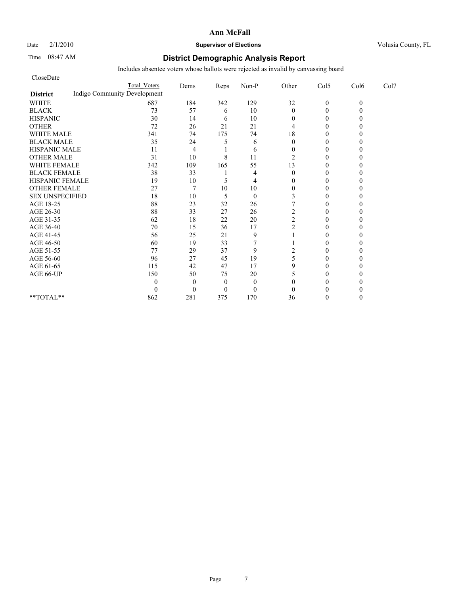#### Date  $2/1/2010$  **Supervisor of Elections Supervisor of Elections** Volusia County, FL

### Time 08:47 AM **District Demographic Analysis Report**

| CloseDate                                       |                     |                |          |              |                |                |          |      |
|-------------------------------------------------|---------------------|----------------|----------|--------------|----------------|----------------|----------|------|
|                                                 | <b>Total Voters</b> | Dems           | Reps     | Non-P        | Other          | Col5           | Col6     | Col7 |
| Indigo Community Development<br><b>District</b> |                     |                |          |              |                |                |          |      |
| <b>WHITE</b>                                    | 687                 | 184            | 342      | 129          | 32             | $\mathbf{0}$   | $\theta$ |      |
| <b>BLACK</b>                                    | 73                  | 57             | 6        | 10           | $\mathbf{0}$   | $\theta$       |          |      |
| <b>HISPANIC</b>                                 | 30                  | 14             | 6        | 10           | 0              | $\overline{0}$ |          |      |
| <b>OTHER</b>                                    | 72                  | 26             | 21       | 21           | 4              | $\theta$       |          |      |
| <b>WHITE MALE</b>                               | 341                 | 74             | 175      | 74           | 18             | $\theta$       |          |      |
| <b>BLACK MALE</b>                               | 35                  | 24             | 5        | 6            | $\theta$       | $\theta$       |          |      |
| <b>HISPANIC MALE</b>                            | 11                  | 4              |          | 6            | $\Omega$       | $\theta$       |          |      |
| <b>OTHER MALE</b>                               | 31                  | 10             | 8        | 11           | 2              | $\overline{0}$ |          |      |
| <b>WHITE FEMALE</b>                             | 342                 | 109            | 165      | 55           | 13             | $\theta$       |          |      |
| <b>BLACK FEMALE</b>                             | 38                  | 33             |          | 4            | $\theta$       | $\Omega$       |          |      |
| HISPANIC FEMALE                                 | 19                  | 10             | 5        | 4            | $\Omega$       | $\Omega$       |          |      |
| <b>OTHER FEMALE</b>                             | 27                  | $\overline{7}$ | 10       | 10           | $\overline{0}$ | $\Omega$       |          |      |
| <b>SEX UNSPECIFIED</b>                          | 18                  | 10             | 5        | $\mathbf{0}$ |                | 0              |          |      |
| AGE 18-25                                       | 88                  | 23             | 32       | 26           |                | $\theta$       |          |      |
| AGE 26-30                                       | 88                  | 33             | 27       | 26           | 2              | 0              |          |      |
| AGE 31-35                                       | 62                  | 18             | 22       | 20           | $\overline{c}$ | $\Omega$       |          |      |
| AGE 36-40                                       | 70                  | 15             | 36       | 17           | $\overline{c}$ | $\Omega$       |          |      |
| AGE 41-45                                       | 56                  | 25             | 21       | 9            |                | $\theta$       |          |      |
| AGE 46-50                                       | 60                  | 19             | 33       |              |                | $\theta$       |          |      |
| AGE 51-55                                       | 77                  | 29             | 37       | 9            | 2              | $\Omega$       |          |      |
| AGE 56-60                                       | 96                  | 27             | 45       | 19           | 5              | $\overline{0}$ |          |      |
| AGE 61-65                                       | 115                 | 42             | 47       | 17           | 9              | $\theta$       |          |      |
| AGE 66-UP                                       | 150                 | 50             | 75       | 20           | 5              | $\Omega$       |          |      |
|                                                 | 0                   | $\Omega$       | $\theta$ | $\mathbf{0}$ | $\Omega$       | 0              |          |      |
|                                                 | 0                   | $\theta$       | $\Omega$ | $\mathbf{0}$ | $\theta$       | 0              |          |      |
| **TOTAL**                                       | 862                 | 281            | 375      | 170          | 36             | $\Omega$       |          |      |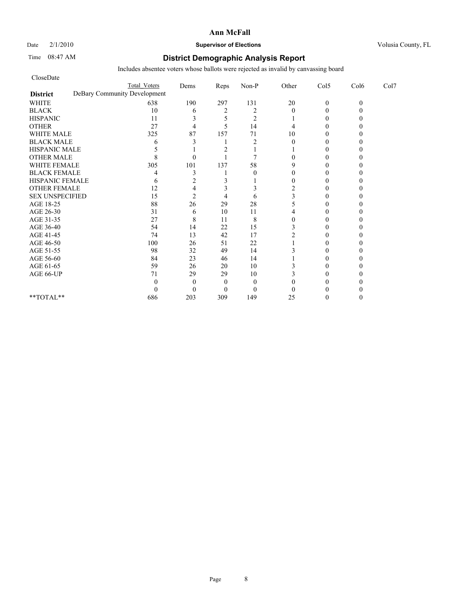#### Date  $2/1/2010$  **Supervisor of Elections** Volusia County, FL

### Time 08:47 AM **District Demographic Analysis Report**

| CloseDate              |                              |                |                |                |                |              |          |      |
|------------------------|------------------------------|----------------|----------------|----------------|----------------|--------------|----------|------|
|                        | <b>Total Voters</b>          | Dems           | Reps           | Non-P          | Other          | Col5         | Col6     | Col7 |
| <b>District</b>        | DeBary Community Development |                |                |                |                |              |          |      |
| <b>WHITE</b>           | 638                          | 190            | 297            | 131            | $20\,$         | $\mathbf{0}$ | $\theta$ |      |
| <b>BLACK</b>           | 10                           | 6              | $\overline{2}$ | $\overline{2}$ | $\theta$       | $\Omega$     |          |      |
| <b>HISPANIC</b>        | 11                           | 3              |                | $\overline{2}$ |                | $\theta$     |          |      |
| <b>OTHER</b>           | 27                           | $\overline{4}$ | 5              | 14             | 4              | $\Omega$     |          |      |
| <b>WHITE MALE</b>      | 325                          | 87             | 157            | 71             | 10             | $\Omega$     |          |      |
| <b>BLACK MALE</b>      | 6                            |                |                | $\overline{2}$ | $\theta$       | 0            |          |      |
| <b>HISPANIC MALE</b>   |                              |                |                |                |                | $\Omega$     |          |      |
| <b>OTHER MALE</b>      |                              | $\Omega$       |                | 7              | 0              | 0            |          |      |
| <b>WHITE FEMALE</b>    | 305                          | 101            | 137            | 58             | 9              | 0            |          |      |
| <b>BLACK FEMALE</b>    |                              | 3              |                | $\theta$       | 0              | 0            |          |      |
| HISPANIC FEMALE        | 6                            | 2              | 3              |                | $\theta$       | $\Omega$     |          |      |
| <b>OTHER FEMALE</b>    | 12                           | 4              |                | 3              | $\overline{2}$ | 0            |          |      |
| <b>SEX UNSPECIFIED</b> | 15                           | $\overline{c}$ | 4              | 6              |                | 0            |          |      |
| AGE 18-25              | 88                           | 26             | 29             | 28             |                | 0            |          |      |
| AGE 26-30              | 31                           | 6              | 10             | 11             |                | 0            |          |      |
| AGE 31-35              | 27                           | 8              | 11             | 8              | 0              | 0            |          |      |
| AGE 36-40              | 54                           | 14             | 22             | 15             |                | 0            |          |      |
| AGE 41-45              | 74                           | 13             | 42             | 17             |                | $\Omega$     |          |      |
| AGE 46-50              | 100                          | 26             | 51             | 22             |                | $\theta$     |          |      |
| AGE 51-55              | 98                           | 32             | 49             | 14             |                | 0            |          |      |
| AGE 56-60              | 84                           | 23             | 46             | 14             |                | 0            |          |      |
| AGE 61-65              | 59                           | 26             | 20             | 10             |                | 0            |          |      |
| AGE 66-UP              | 71                           | 29             | 29             | 10             |                | 0            |          |      |
|                        | 0                            | $\Omega$       | $\Omega$       | $\mathbf{0}$   |                |              |          |      |
|                        | 0                            | $\Omega$       | $\Omega$       | $\mathbf{0}$   | 0              | 0            |          |      |
| **TOTAL**              | 686                          | 203            | 309            | 149            | 25             | 0            |          |      |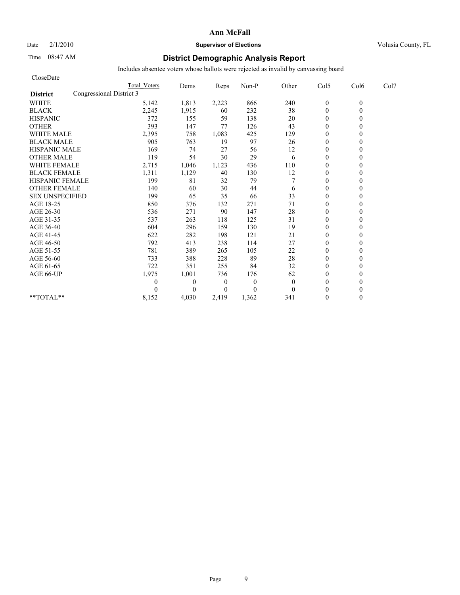## Date  $2/1/2010$  **Supervisor of Elections Supervisor of Elections** Volusia County, FL

### Time 08:47 AM **District Demographic Analysis Report**

| CloseDate                                   |                     |                  |                  |          |              |                  |          |      |
|---------------------------------------------|---------------------|------------------|------------------|----------|--------------|------------------|----------|------|
|                                             | <b>Total Voters</b> | Dems             | Reps             | Non-P    | Other        | Col5             | Col6     | Col7 |
| Congressional District 3<br><b>District</b> |                     |                  |                  |          |              |                  |          |      |
| <b>WHITE</b>                                | 5,142               | 1,813            | 2,223            | 866      | 240          | $\boldsymbol{0}$ | $\theta$ |      |
| <b>BLACK</b>                                | 2,245               | 1,915            | 60               | 232      | 38           | $\overline{0}$   | $\theta$ |      |
| <b>HISPANIC</b>                             | 372                 | 155              | 59               | 138      | 20           | $\mathbf{0}$     |          |      |
| <b>OTHER</b>                                | 393                 | 147              | 77               | 126      | 43           | $\theta$         |          |      |
| <b>WHITE MALE</b>                           | 2,395               | 758              | 1,083            | 425      | 129          | $\mathbf{0}$     |          |      |
| <b>BLACK MALE</b>                           | 905                 | 763              | 19               | 97       | 26           | $\mathbf{0}$     |          |      |
| <b>HISPANIC MALE</b>                        | 169                 | 74               | 27               | 56       | 12           | $\Omega$         |          |      |
| <b>OTHER MALE</b>                           | 119                 | 54               | 30               | 29       | 6            | $\mathbf{0}$     |          |      |
| <b>WHITE FEMALE</b>                         | 2,715               | 1,046            | 1,123            | 436      | 110          | $\theta$         |          |      |
| <b>BLACK FEMALE</b>                         | 1,311               | 1,129            | 40               | 130      | 12           | $\theta$         |          |      |
| HISPANIC FEMALE                             | 199                 | 81               | 32               | 79       |              | $\theta$         |          |      |
| <b>OTHER FEMALE</b>                         | 140                 | 60               | 30               | 44       | 6            | $\mathbf{0}$     |          |      |
| <b>SEX UNSPECIFIED</b>                      | 199                 | 65               | 35               | 66       | 33           | $\mathbf{0}$     |          |      |
| AGE 18-25                                   | 850                 | 376              | 132              | 271      | 71           | $\mathbf{0}$     |          |      |
| AGE 26-30                                   | 536                 | 271              | 90               | 147      | 28           | $\theta$         |          |      |
| AGE 31-35                                   | 537                 | 263              | 118              | 125      | 31           | $\mathbf{0}$     |          |      |
| AGE 36-40                                   | 604                 | 296              | 159              | 130      | 19           | $\mathbf{0}$     |          |      |
| AGE 41-45                                   | 622                 | 282              | 198              | 121      | 21           | $\mathbf{0}$     |          |      |
| AGE 46-50                                   | 792                 | 413              | 238              | 114      | 27           | $\overline{0}$   |          |      |
| AGE 51-55                                   | 781                 | 389              | 265              | 105      | 22           | $\overline{0}$   |          |      |
| AGE 56-60                                   | 733                 | 388              | 228              | 89       | 28           | $\theta$         |          |      |
| AGE 61-65                                   | 722                 | 351              | 255              | 84       | 32           | $\theta$         |          |      |
| AGE 66-UP                                   | 1,975               | 1,001            | 736              | 176      | 62           | $\mathbf{0}$     |          |      |
|                                             | 0                   | $\boldsymbol{0}$ | $\boldsymbol{0}$ | $\theta$ | $\mathbf{0}$ | $\mathbf{0}$     |          |      |
|                                             |                     | $\theta$         | $\overline{0}$   | $\Omega$ | $\Omega$     | $\theta$         |          |      |
| $**TOTAL**$                                 | 8,152               | 4,030            | 2,419            | 1,362    | 341          | $\theta$         | 0        |      |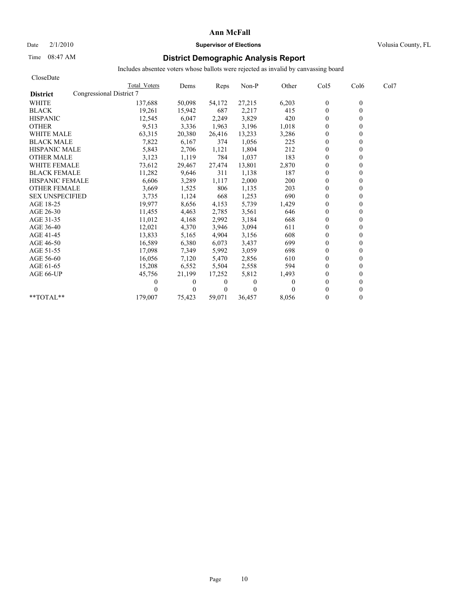Date  $2/1/2010$  **Supervisor of Elections Supervisor of Elections** Volusia County, FL

### Time 08:47 AM **District Demographic Analysis Report**

| CloseDate                                   |              |          |                |          |          |              |                  |      |
|---------------------------------------------|--------------|----------|----------------|----------|----------|--------------|------------------|------|
|                                             | Total Voters | Dems     | Reps           | Non-P    | Other    | Col5         | Col <sub>6</sub> | Col7 |
| Congressional District 7<br><b>District</b> |              |          |                |          |          |              |                  |      |
| <b>WHITE</b>                                | 137,688      | 50,098   | 54,172         | 27,215   | 6,203    | $\mathbf{0}$ | $\theta$         |      |
| <b>BLACK</b>                                | 19,261       | 15,942   | 687            | 2,217    | 415      | $\mathbf{0}$ | $\theta$         |      |
| <b>HISPANIC</b>                             | 12,545       | 6,047    | 2,249          | 3,829    | 420      | $\mathbf{0}$ |                  |      |
| <b>OTHER</b>                                | 9,513        | 3,336    | 1,963          | 3,196    | 1,018    | $\theta$     |                  |      |
| <b>WHITE MALE</b>                           | 63,315       | 20,380   | 26,416         | 13,233   | 3,286    | $\theta$     |                  |      |
| <b>BLACK MALE</b>                           | 7,822        | 6,167    | 374            | 1,056    | 225      | $\mathbf{0}$ |                  |      |
| <b>HISPANIC MALE</b>                        | 5,843        | 2,706    | 1,121          | 1,804    | 212      | $\theta$     |                  |      |
| <b>OTHER MALE</b>                           | 3,123        | 1,119    | 784            | 1,037    | 183      | $\theta$     |                  |      |
| <b>WHITE FEMALE</b>                         | 73,612       | 29,467   | 27,474         | 13,801   | 2,870    | $\theta$     |                  |      |
| <b>BLACK FEMALE</b>                         | 11,282       | 9,646    | 311            | 1,138    | 187      | $\theta$     |                  |      |
| <b>HISPANIC FEMALE</b>                      | 6,606        | 3,289    | 1,117          | 2,000    | 200      | $\theta$     |                  |      |
| <b>OTHER FEMALE</b>                         | 3,669        | 1,525    | 806            | 1,135    | 203      | $\mathbf{0}$ |                  |      |
| <b>SEX UNSPECIFIED</b>                      | 3,735        | 1,124    | 668            | 1,253    | 690      | $\mathbf{0}$ |                  |      |
| AGE 18-25                                   | 19,977       | 8,656    | 4,153          | 5,739    | 1,429    | $\mathbf{0}$ |                  |      |
| AGE 26-30                                   | 11.455       | 4,463    | 2,785          | 3,561    | 646      | $\theta$     |                  |      |
| AGE 31-35                                   | 11,012       | 4,168    | 2,992          | 3,184    | 668      | $\theta$     |                  |      |
| AGE 36-40                                   | 12,021       | 4,370    | 3,946          | 3,094    | 611      | $\theta$     |                  |      |
| AGE 41-45                                   | 13,833       | 5,165    | 4,904          | 3,156    | 608      | $\mathbf{0}$ |                  |      |
| AGE 46-50                                   | 16,589       | 6,380    | 6,073          | 3,437    | 699      | $\mathbf{0}$ |                  |      |
| AGE 51-55                                   | 17,098       | 7,349    | 5,992          | 3,059    | 698      | $\theta$     |                  |      |
| AGE 56-60                                   | 16,056       | 7,120    | 5,470          | 2,856    | 610      | $\theta$     |                  |      |
| AGE 61-65                                   | 15,208       | 6,552    | 5,504          | 2,558    | 594      | $\theta$     |                  |      |
| AGE 66-UP                                   | 45,756       | 21,199   | 17,252         | 5,812    | 1,493    | $\theta$     |                  |      |
|                                             |              | $\bf{0}$ | $\bf{0}$       | 0        | $\theta$ | $\mathbf{0}$ |                  |      |
|                                             |              | $\Omega$ | $\overline{0}$ | $\Omega$ | 0        | $\theta$     |                  |      |
| **TOTAL**                                   | 179,007      | 75,423   | 59.071         | 36.457   | 8.056    | $\theta$     | 0                |      |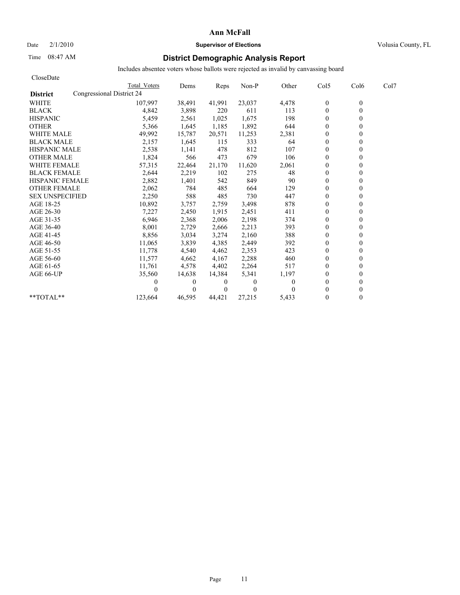Date  $2/1/2010$  **Supervisor of Elections Supervisor of Elections** Volusia County, FL

### Time 08:47 AM **District Demographic Analysis Report**

| CloseDate                                    |              |          |                |          |          |                |                  |      |
|----------------------------------------------|--------------|----------|----------------|----------|----------|----------------|------------------|------|
|                                              | Total Voters | Dems     | Reps           | Non-P    | Other    | Col5           | Col <sub>6</sub> | Col7 |
| Congressional District 24<br><b>District</b> |              |          |                |          |          |                |                  |      |
| <b>WHITE</b>                                 | 107,997      | 38,491   | 41,991         | 23,037   | 4,478    | $\mathbf{0}$   | $\theta$         |      |
| <b>BLACK</b>                                 | 4,842        | 3,898    | 220            | 611      | 113      | $\mathbf{0}$   | $\theta$         |      |
| <b>HISPANIC</b>                              | 5,459        | 2,561    | 1,025          | 1,675    | 198      | $\mathbf{0}$   |                  |      |
| <b>OTHER</b>                                 | 5,366        | 1,645    | 1,185          | 1,892    | 644      | $\theta$       |                  |      |
| <b>WHITE MALE</b>                            | 49,992       | 15,787   | 20,571         | 11,253   | 2,381    | $\theta$       |                  |      |
| <b>BLACK MALE</b>                            | 2,157        | 1,645    | 115            | 333      | 64       | $\mathbf{0}$   |                  |      |
| <b>HISPANIC MALE</b>                         | 2,538        | 1,141    | 478            | 812      | 107      | $\theta$       |                  |      |
| <b>OTHER MALE</b>                            | 1,824        | 566      | 473            | 679      | 106      | $\theta$       |                  |      |
| <b>WHITE FEMALE</b>                          | 57,315       | 22,464   | 21,170         | 11,620   | 2,061    | $\theta$       |                  |      |
| <b>BLACK FEMALE</b>                          | 2,644        | 2,219    | 102            | 275      | 48       | $\theta$       |                  |      |
| <b>HISPANIC FEMALE</b>                       | 2,882        | 1,401    | 542            | 849      | 90       | $\theta$       |                  |      |
| <b>OTHER FEMALE</b>                          | 2,062        | 784      | 485            | 664      | 129      | $\mathbf{0}$   |                  |      |
| <b>SEX UNSPECIFIED</b>                       | 2,250        | 588      | 485            | 730      | 447      | $\mathbf{0}$   |                  |      |
| AGE 18-25                                    | 10,892       | 3,757    | 2,759          | 3,498    | 878      | $\mathbf{0}$   |                  |      |
| AGE 26-30                                    | 7,227        | 2,450    | 1.915          | 2,451    | 411      | $\theta$       |                  |      |
| AGE 31-35                                    | 6,946        | 2,368    | 2,006          | 2,198    | 374      | $\theta$       |                  |      |
| AGE 36-40                                    | 8,001        | 2,729    | 2,666          | 2,213    | 393      | $\theta$       |                  |      |
| AGE 41-45                                    | 8,856        | 3,034    | 3,274          | 2,160    | 388      | $\overline{0}$ |                  |      |
| AGE 46-50                                    | 11,065       | 3,839    | 4,385          | 2,449    | 392      | $\mathbf{0}$   |                  |      |
| AGE 51-55                                    | 11,778       | 4,540    | 4,462          | 2,353    | 423      | $\theta$       |                  |      |
| AGE 56-60                                    | 11,577       | 4,662    | 4,167          | 2,288    | 460      | $\theta$       |                  |      |
| AGE 61-65                                    | 11,761       | 4,578    | 4,402          | 2,264    | 517      | $\theta$       |                  |      |
| AGE 66-UP                                    | 35,560       | 14,638   | 14,384         | 5,341    | 1,197    | $\mathbf{0}$   |                  |      |
|                                              |              | $\bf{0}$ | $\bf{0}$       | 0        | $\theta$ | $\mathbf{0}$   |                  |      |
|                                              |              | 0        | $\overline{0}$ | $\Omega$ | 0        | $\theta$       |                  |      |
| **TOTAL**                                    | 123,664      | 46,595   | 44.421         | 27,215   | 5,433    | $\theta$       | 0                |      |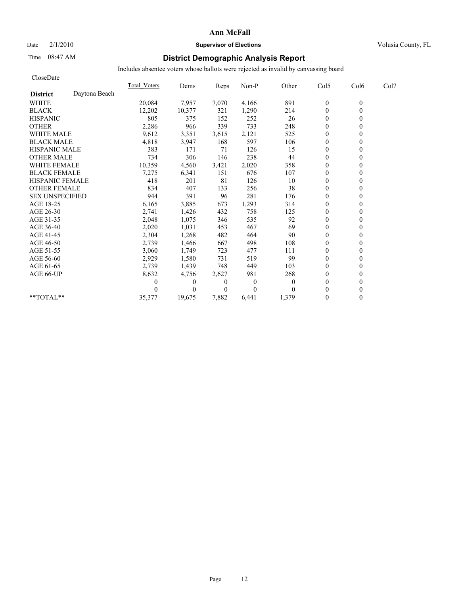### Date  $2/1/2010$  **Supervisor of Elections** Volusia County, FL

## Time 08:47 AM **District Demographic Analysis Report**

| CloseDate              |               |              |              |                |                |          |                |          |      |
|------------------------|---------------|--------------|--------------|----------------|----------------|----------|----------------|----------|------|
|                        |               | Total Voters | Dems         | Reps           | Non-P          | Other    | Col5           | Col6     | Col7 |
| <b>District</b>        | Daytona Beach |              |              |                |                |          |                |          |      |
| <b>WHITE</b>           |               | 20,084       | 7,957        | 7,070          | 4,166          | 891      | $\mathbf{0}$   | $\theta$ |      |
| <b>BLACK</b>           |               | 12,202       | 10,377       | 321            | 1,290          | 214      | $\mathbf{0}$   | $\theta$ |      |
| <b>HISPANIC</b>        |               | 805          | 375          | 152            | 252            | 26       | $\overline{0}$ |          |      |
| <b>OTHER</b>           |               | 2,286        | 966          | 339            | 733            | 248      | $\theta$       |          |      |
| <b>WHITE MALE</b>      |               | 9,612        | 3,351        | 3,615          | 2,121          | 525      | $\theta$       |          |      |
| <b>BLACK MALE</b>      |               | 4,818        | 3,947        | 168            | 597            | 106      | $\mathbf{0}$   |          |      |
| <b>HISPANIC MALE</b>   |               | 383          | 171          | 71             | 126            | 15       | $\Omega$       |          |      |
| <b>OTHER MALE</b>      |               | 734          | 306          | 146            | 238            | 44       | $\theta$       |          |      |
| <b>WHITE FEMALE</b>    |               | 10,359       | 4,560        | 3,421          | 2,020          | 358      | $\theta$       |          |      |
| <b>BLACK FEMALE</b>    |               | 7,275        | 6,341        | 151            | 676            | 107      | $\theta$       |          |      |
| <b>HISPANIC FEMALE</b> |               | 418          | 201          | 81             | 126            | 10       | $\mathbf{0}$   |          |      |
| <b>OTHER FEMALE</b>    |               | 834          | 407          | 133            | 256            | 38       | $\mathbf{0}$   |          |      |
| <b>SEX UNSPECIFIED</b> |               | 944          | 391          | 96             | 281            | 176      | $\mathbf{0}$   |          |      |
| AGE 18-25              |               | 6,165        | 3,885        | 673            | 1,293          | 314      | $\mathbf{0}$   |          |      |
| AGE 26-30              |               | 2,741        | 1,426        | 432            | 758            | 125      | $\theta$       |          |      |
| AGE 31-35              |               | 2,048        | 1,075        | 346            | 535            | 92       | $\mathbf{0}$   |          |      |
| AGE 36-40              |               | 2,020        | 1,031        | 453            | 467            | 69       | $\theta$       |          |      |
| AGE 41-45              |               | 2,304        | 1,268        | 482            | 464            | 90       | $\mathbf{0}$   |          |      |
| AGE 46-50              |               | 2,739        | 1,466        | 667            | 498            | 108      | $\mathbf{0}$   |          |      |
| AGE 51-55              |               | 3,060        | 1,749        | 723            | 477            | 111      | $\mathbf{0}$   |          |      |
| AGE 56-60              |               | 2,929        | 1,580        | 731            | 519            | 99       | $\theta$       |          |      |
| AGE 61-65              |               | 2,739        | 1,439        | 748            | 449            | 103      | $\theta$       |          |      |
| AGE 66-UP              |               | 8,632        | 4,756        | 2,627          | 981            | 268      | $\mathbf{0}$   |          |      |
|                        |               |              | $\mathbf{0}$ | $\theta$       | $\overline{0}$ | $\Omega$ | $\mathbf{0}$   |          |      |
|                        |               |              | $\Omega$     | $\overline{0}$ | $\Omega$       | $\Omega$ | $\theta$       |          |      |
| **TOTAL**              |               | 35,377       | 19,675       | 7,882          | 6.441          | 1,379    | $\mathbf{0}$   | 0        |      |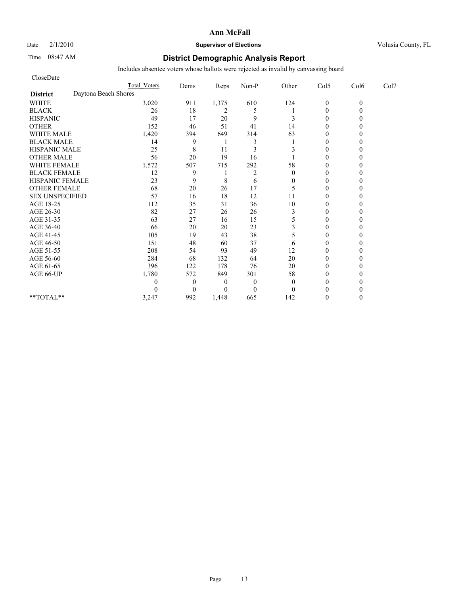### Date  $2/1/2010$  **Supervisor of Elections** Volusia County, FL

### Time 08:47 AM **District Demographic Analysis Report**

| CloseDate              |                      |                     |              |                |                |              |                |          |      |
|------------------------|----------------------|---------------------|--------------|----------------|----------------|--------------|----------------|----------|------|
|                        |                      | <b>Total Voters</b> | Dems         | Reps           | Non-P          | Other        | Col5           | Col6     | Col7 |
| <b>District</b>        | Daytona Beach Shores |                     |              |                |                |              |                |          |      |
| <b>WHITE</b>           |                      | 3,020               | 911          | 1,375          | 610            | 124          | $\mathbf{0}$   | $\theta$ |      |
| <b>BLACK</b>           |                      | 26                  | 18           | $\overline{c}$ | 5              |              | $\mathbf{0}$   |          |      |
| <b>HISPANIC</b>        |                      | 49                  | 17           | 20             | 9              | 3            | $\theta$       |          |      |
| <b>OTHER</b>           |                      | 152                 | 46           | 51             | 41             | 14           | $\theta$       |          |      |
| <b>WHITE MALE</b>      |                      | 1,420               | 394          | 649            | 314            | 63           | $\theta$       |          |      |
| <b>BLACK MALE</b>      |                      | 14                  | 9            |                | 3              |              | $\theta$       |          |      |
| <b>HISPANIC MALE</b>   |                      | 25                  | 8            | 11             | 3              |              | $\theta$       |          |      |
| <b>OTHER MALE</b>      |                      | 56                  | 20           | 19             | 16             |              | $\theta$       |          |      |
| <b>WHITE FEMALE</b>    |                      | 1,572               | 507          | 715            | 292            | 58           | $\theta$       |          |      |
| <b>BLACK FEMALE</b>    |                      | 12                  | 9            |                | $\overline{2}$ | $\theta$     | $\overline{0}$ |          |      |
| HISPANIC FEMALE        |                      | 23                  | 9            | 8              | 6              | $\mathbf{0}$ | $\theta$       |          |      |
| <b>OTHER FEMALE</b>    |                      | 68                  | 20           | 26             | 17             | 5            | $\theta$       |          |      |
| <b>SEX UNSPECIFIED</b> |                      | 57                  | 16           | 18             | 12             | 11           | $\theta$       |          |      |
| AGE 18-25              |                      | 112                 | 35           | 31             | 36             | 10           | $\theta$       |          |      |
| AGE 26-30              |                      | 82                  | 27           | 26             | 26             | 3            | $\Omega$       |          |      |
| AGE 31-35              |                      | 63                  | 27           | 16             | 15             | 5            | $\theta$       |          |      |
| AGE 36-40              |                      | 66                  | 20           | 20             | 23             | 3            | $\overline{0}$ |          |      |
| AGE 41-45              |                      | 105                 | 19           | 43             | 38             | 5            | $\mathbf{0}$   |          |      |
| AGE 46-50              |                      | 151                 | 48           | 60             | 37             | 6            | $\theta$       |          |      |
| AGE 51-55              |                      | 208                 | 54           | 93             | 49             | 12           | $\Omega$       |          |      |
| AGE 56-60              |                      | 284                 | 68           | 132            | 64             | 20           | $\overline{0}$ |          |      |
| AGE 61-65              |                      | 396                 | 122          | 178            | 76             | 20           | $\theta$       |          |      |
| AGE 66-UP              |                      | 1,780               | 572          | 849            | 301            | 58           | $\theta$       |          |      |
|                        |                      | 0                   | $\mathbf{0}$ | $\overline{0}$ | $\theta$       | $\theta$     | $\Omega$       |          |      |
|                        |                      | 0                   | $\Omega$     | $\Omega$       | $\mathbf{0}$   | $\Omega$     | $\Omega$       |          |      |
| **TOTAL**              |                      | 3,247               | 992          | 1,448          | 665            | 142          | $\Omega$       |          |      |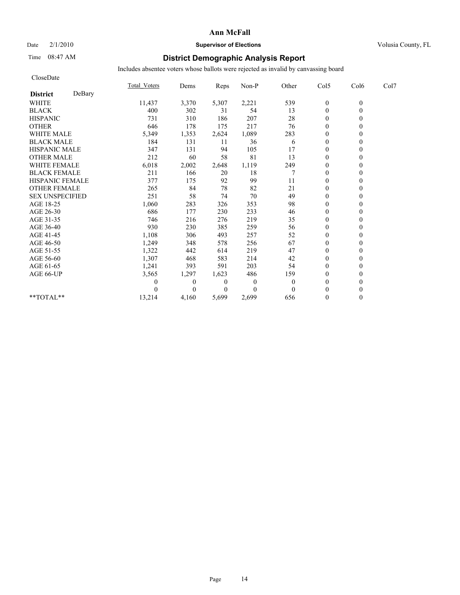#### Date  $2/1/2010$  **Supervisor of Elections** Volusia County, FL

## Time 08:47 AM **District Demographic Analysis Report**

| CloseDate              |        |                     |              |                |                |              |                  |          |      |
|------------------------|--------|---------------------|--------------|----------------|----------------|--------------|------------------|----------|------|
|                        |        | <b>Total Voters</b> | Dems         | Reps           | Non-P          | Other        | Col5             | Col6     | Col7 |
| <b>District</b>        | DeBary |                     |              |                |                |              |                  |          |      |
| <b>WHITE</b>           |        | 11,437              | 3,370        | 5,307          | 2,221          | 539          | $\boldsymbol{0}$ | $\theta$ |      |
| <b>BLACK</b>           |        | 400                 | 302          | 31             | 54             | 13           | $\overline{0}$   | $\theta$ |      |
| <b>HISPANIC</b>        |        | 731                 | 310          | 186            | 207            | 28           | $\mathbf{0}$     |          |      |
| <b>OTHER</b>           |        | 646                 | 178          | 175            | 217            | 76           | $\theta$         |          |      |
| <b>WHITE MALE</b>      |        | 5,349               | 1,353        | 2,624          | 1,089          | 283          | $\mathbf{0}$     |          |      |
| <b>BLACK MALE</b>      |        | 184                 | 131          | 11             | 36             | 6            | $\mathbf{0}$     |          |      |
| <b>HISPANIC MALE</b>   |        | 347                 | 131          | 94             | 105            | 17           | $\theta$         |          |      |
| <b>OTHER MALE</b>      |        | 212                 | 60           | 58             | 81             | 13           | $\mathbf{0}$     |          |      |
| <b>WHITE FEMALE</b>    |        | 6,018               | 2,002        | 2,648          | 1,119          | 249          | $\theta$         |          |      |
| <b>BLACK FEMALE</b>    |        | 211                 | 166          | 20             | 18             |              | $\theta$         |          |      |
| HISPANIC FEMALE        |        | 377                 | 175          | 92             | 99             | 11           | $\theta$         |          |      |
| <b>OTHER FEMALE</b>    |        | 265                 | 84           | 78             | 82             | 21           | $\mathbf{0}$     |          |      |
| <b>SEX UNSPECIFIED</b> |        | 251                 | 58           | 74             | 70             | 49           | $\mathbf{0}$     |          |      |
| AGE 18-25              |        | 1,060               | 283          | 326            | 353            | 98           | $\mathbf{0}$     |          |      |
| AGE 26-30              |        | 686                 | 177          | 230            | 233            | 46           | $\theta$         |          |      |
| AGE 31-35              |        | 746                 | 216          | 276            | 219            | 35           | $\theta$         |          |      |
| AGE 36-40              |        | 930                 | 230          | 385            | 259            | 56           | $\theta$         |          |      |
| AGE 41-45              |        | 1,108               | 306          | 493            | 257            | 52           | $\overline{0}$   |          |      |
| AGE 46-50              |        | 1,249               | 348          | 578            | 256            | 67           | $\mathbf{0}$     |          |      |
| AGE 51-55              |        | 1,322               | 442          | 614            | 219            | 47           | $\overline{0}$   |          |      |
| AGE 56-60              |        | 1,307               | 468          | 583            | 214            | 42           | $\theta$         |          |      |
| AGE 61-65              |        | 1,241               | 393          | 591            | 203            | 54           | $\theta$         |          |      |
| AGE 66-UP              |        | 3,565               | 1,297        | 1,623          | 486            | 159          | $\theta$         |          |      |
|                        |        |                     | $\mathbf{0}$ | $\theta$       | $\overline{0}$ | $\mathbf{0}$ | $\mathbf{0}$     |          |      |
|                        |        |                     | $\theta$     | $\overline{0}$ | $\Omega$       | $\theta$     | $\theta$         |          |      |
| $**TOTAL**$            |        | 13,214              | 4,160        | 5,699          | 2,699          | 656          | $\mathbf{0}$     | 0        |      |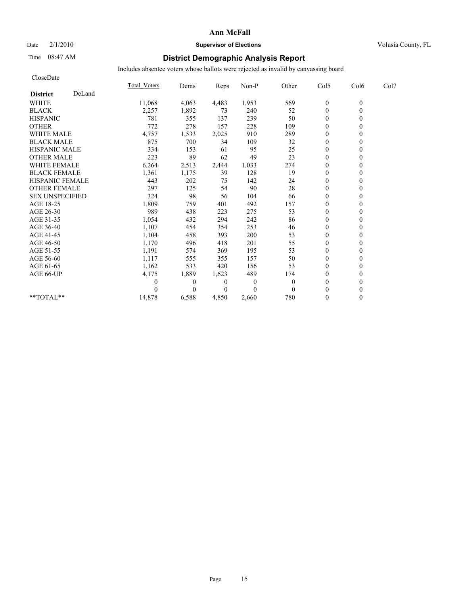CloseDate

#### **Ann McFall**

### Date  $2/1/2010$  **Supervisor of Elections** Volusia County, FL

## Time 08:47 AM **District Demographic Analysis Report**

|                           | <b>Total Voters</b> | Dems           | <b>Reps</b>    | Non-P        | Other        | Col5             | Col6     | Col7 |
|---------------------------|---------------------|----------------|----------------|--------------|--------------|------------------|----------|------|
| DeLand<br><b>District</b> |                     |                |                |              |              |                  |          |      |
| <b>WHITE</b>              | 11,068              | 4,063          | 4,483          | 1,953        | 569          | $\overline{0}$   | $\theta$ |      |
| <b>BLACK</b>              | 2,257               | 1,892          | 73             | 240          | 52           | $\mathbf{0}$     |          |      |
| <b>HISPANIC</b>           | 781                 | 355            | 137            | 239          | 50           | $\overline{0}$   |          |      |
| <b>OTHER</b>              | 772                 | 278            | 157            | 228          | 109          | $\theta$         |          |      |
| <b>WHITE MALE</b>         | 4,757               | 1,533          | 2,025          | 910          | 289          | $\theta$         |          |      |
| <b>BLACK MALE</b>         | 875                 | 700            | 34             | 109          | 32           | $\Omega$         |          |      |
| <b>HISPANIC MALE</b>      | 334                 | 153            | 61             | 95           | 25           | $\theta$         |          |      |
| <b>OTHER MALE</b>         | 223                 | 89             | 62             | 49           | 23           | $\theta$         |          |      |
| WHITE FEMALE              | 6,264               | 2,513          | 2,444          | 1,033        | 274          | $\theta$         |          |      |
| <b>BLACK FEMALE</b>       | 1,361               | 1,175          | 39             | 128          | 19           | $\theta$         |          |      |
| HISPANIC FEMALE           | 443                 | 202            | 75             | 142          | 24           | $\overline{0}$   |          |      |
| <b>OTHER FEMALE</b>       | 297                 | 125            | 54             | 90           | 28           | 0                |          |      |
| <b>SEX UNSPECIFIED</b>    | 324                 | 98             | 56             | 104          | 66           | $\theta$         |          |      |
| AGE 18-25                 | 1,809               | 759            | 401            | 492          | 157          | $\theta$         |          |      |
| AGE 26-30                 | 989                 | 438            | 223            | 275          | 53           | $\theta$         |          |      |
| AGE 31-35                 | 1,054               | 432            | 294            | 242          | 86           | $\theta$         |          |      |
| AGE 36-40                 | 1,107               | 454            | 354            | 253          | 46           | $\theta$         |          |      |
| AGE 41-45                 | 1,104               | 458            | 393            | 200          | 53           | $\theta$         |          |      |
| AGE 46-50                 | 1,170               | 496            | 418            | 201          | 55           | $\theta$         |          |      |
| AGE 51-55                 | 1,191               | 574            | 369            | 195          | 53           | $\boldsymbol{0}$ |          |      |
| AGE 56-60                 | 1,117               | 555            | 355            | 157          | 50           | $\mathbf{0}$     |          |      |
| AGE 61-65                 | 1,162               | 533            | 420            | 156          | 53           | $\theta$         |          |      |
| AGE 66-UP                 | 4,175               | 1,889          | 1,623          | 489          | 174          | $\overline{0}$   |          |      |
|                           | 0                   | $\overline{0}$ | $\overline{0}$ | $\mathbf{0}$ | $\mathbf{0}$ | $\theta$         |          |      |
|                           |                     | $\Omega$       | $\theta$       | $\theta$     | $\Omega$     | $\Omega$         |          |      |
| $*$ TOTAL $*$             | 14,878              | 6,588          | 4,850          | 2,660        | 780          | $\mathbf{0}$     |          |      |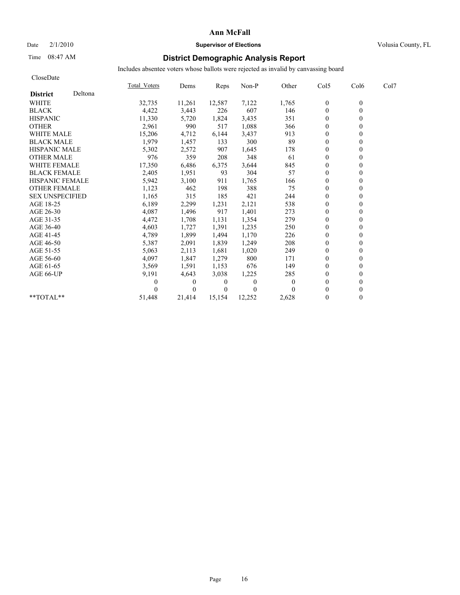#### Date  $2/1/2010$  **Supervisor of Elections Supervisor of Elections** Volusia County, FL

## Time 08:47 AM **District Demographic Analysis Report**

| CloseDate              |         |              |          |        |          |          |                  |                  |      |
|------------------------|---------|--------------|----------|--------|----------|----------|------------------|------------------|------|
|                        |         | Total Voters | Dems     | Reps   | Non-P    | Other    | Col5             | Col <sub>6</sub> | Col7 |
| <b>District</b>        | Deltona |              |          |        |          |          |                  |                  |      |
| <b>WHITE</b>           |         | 32,735       | 11,261   | 12,587 | 7,122    | 1,765    | $\boldsymbol{0}$ | $\theta$         |      |
| <b>BLACK</b>           |         | 4,422        | 3,443    | 226    | 607      | 146      | $\mathbf{0}$     | $\theta$         |      |
| <b>HISPANIC</b>        |         | 11,330       | 5,720    | 1,824  | 3,435    | 351      | $\mathbf{0}$     | 0                |      |
| <b>OTHER</b>           |         | 2,961        | 990      | 517    | 1,088    | 366      | $\theta$         |                  |      |
| <b>WHITE MALE</b>      |         | 15,206       | 4,712    | 6,144  | 3,437    | 913      | $\theta$         |                  |      |
| <b>BLACK MALE</b>      |         | 1,979        | 1,457    | 133    | 300      | 89       | $\theta$         |                  |      |
| <b>HISPANIC MALE</b>   |         | 5,302        | 2,572    | 907    | 1,645    | 178      | $\theta$         | 0                |      |
| <b>OTHER MALE</b>      |         | 976          | 359      | 208    | 348      | 61       | $\theta$         |                  |      |
| <b>WHITE FEMALE</b>    |         | 17,350       | 6,486    | 6,375  | 3,644    | 845      | $\theta$         | 0                |      |
| <b>BLACK FEMALE</b>    |         | 2,405        | 1,951    | 93     | 304      | 57       | $\theta$         | 0                |      |
| HISPANIC FEMALE        |         | 5,942        | 3,100    | 911    | 1,765    | 166      | $\mathbf{0}$     | 0                |      |
| <b>OTHER FEMALE</b>    |         | 1,123        | 462      | 198    | 388      | 75       | $\mathbf{0}$     | 0                |      |
| <b>SEX UNSPECIFIED</b> |         | 1,165        | 315      | 185    | 421      | 244      | $\theta$         |                  |      |
| AGE 18-25              |         | 6,189        | 2,299    | 1,231  | 2,121    | 538      | $\mathbf{0}$     | 0                |      |
| AGE 26-30              |         | 4,087        | 1,496    | 917    | 1,401    | 273      | $\theta$         |                  |      |
| AGE 31-35              |         | 4,472        | 1,708    | 1,131  | 1,354    | 279      | $\mathbf{0}$     |                  |      |
| AGE 36-40              |         | 4,603        | 1,727    | 1,391  | 1,235    | 250      | $\theta$         |                  |      |
| AGE 41-45              |         | 4,789        | 1,899    | 1,494  | 1,170    | 226      | $\theta$         | 0                |      |
| AGE 46-50              |         | 5,387        | 2,091    | 1,839  | 1,249    | 208      | $\mathbf{0}$     |                  |      |
| AGE 51-55              |         | 5,063        | 2,113    | 1,681  | 1,020    | 249      | $\theta$         |                  |      |
| AGE 56-60              |         | 4,097        | 1,847    | 1,279  | 800      | 171      | $\theta$         |                  |      |
| AGE 61-65              |         | 3,569        | 1,591    | 1,153  | 676      | 149      | $\theta$         |                  |      |
| AGE 66-UP              |         | 9,191        | 4,643    | 3,038  | 1,225    | 285      | $\theta$         |                  |      |
|                        |         | 0            | 0        | 0      | 0        | $\theta$ | $\theta$         |                  |      |
|                        |         |              | $\theta$ | 0      | $\theta$ |          | $\theta$         |                  |      |
| **TOTAL**              |         | 51,448       | 21.414   | 15.154 | 12,252   | 2,628    | $\mathbf{0}$     | $\overline{0}$   |      |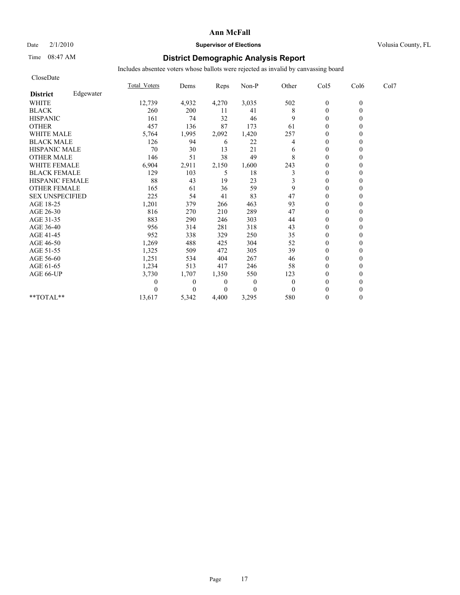### Date  $2/1/2010$  **Supervisor of Elections Supervisor of Elections** Volusia County, FL

## Time 08:47 AM **District Demographic Analysis Report**

| CloseDate              |           |              |          |       |                |          |                  |          |      |
|------------------------|-----------|--------------|----------|-------|----------------|----------|------------------|----------|------|
|                        |           | Total Voters | Dems     | Reps  | Non-P          | Other    | Col5             | Col6     | Col7 |
| <b>District</b>        | Edgewater |              |          |       |                |          |                  |          |      |
| <b>WHITE</b>           |           | 12,739       | 4,932    | 4,270 | 3,035          | 502      | $\boldsymbol{0}$ | $\theta$ |      |
| <b>BLACK</b>           |           | 260          | 200      | 11    | 41             | 8        | $\mathbf{0}$     | $\theta$ |      |
| <b>HISPANIC</b>        |           | 161          | 74       | 32    | 46             | 9        | $\mathbf{0}$     |          |      |
| <b>OTHER</b>           |           | 457          | 136      | 87    | 173            | 61       | $\theta$         |          |      |
| WHITE MALE             |           | 5,764        | 1,995    | 2,092 | 1,420          | 257      | $\theta$         |          |      |
| <b>BLACK MALE</b>      |           | 126          | 94       | 6     | 22             | 4        | $\theta$         |          |      |
| <b>HISPANIC MALE</b>   |           | 70           | 30       | 13    | 21             | 6        | $\theta$         |          |      |
| <b>OTHER MALE</b>      |           | 146          | 51       | 38    | 49             | 8        | $\theta$         |          |      |
| <b>WHITE FEMALE</b>    |           | 6,904        | 2,911    | 2,150 | 1,600          | 243      | $\theta$         |          |      |
| <b>BLACK FEMALE</b>    |           | 129          | 103      | 5     | 18             | 3        | $\theta$         |          |      |
| HISPANIC FEMALE        |           | 88           | 43       | 19    | 23             | 3        | $\mathbf{0}$     | 0        |      |
| <b>OTHER FEMALE</b>    |           | 165          | 61       | 36    | 59             | 9        | $\mathbf{0}$     |          |      |
| <b>SEX UNSPECIFIED</b> |           | 225          | 54       | 41    | 83             | 47       | $\theta$         |          |      |
| AGE 18-25              |           | 1,201        | 379      | 266   | 463            | 93       | $\mathbf{0}$     |          |      |
| AGE 26-30              |           | 816          | 270      | 210   | 289            | 47       | $\theta$         |          |      |
| AGE 31-35              |           | 883          | 290      | 246   | 303            | 44       | $\theta$         |          |      |
| AGE 36-40              |           | 956          | 314      | 281   | 318            | 43       | $\theta$         |          |      |
| AGE 41-45              |           | 952          | 338      | 329   | 250            | 35       | $\theta$         |          |      |
| AGE 46-50              |           | 1,269        | 488      | 425   | 304            | 52       | $\mathbf{0}$     |          |      |
| AGE 51-55              |           | 1,325        | 509      | 472   | 305            | 39       | $\theta$         |          |      |
| AGE 56-60              |           | 1,251        | 534      | 404   | 267            | 46       | $\theta$         |          |      |
| AGE 61-65              |           | 1,234        | 513      | 417   | 246            | 58       | $\theta$         |          |      |
| AGE 66-UP              |           | 3,730        | 1,707    | 1,350 | 550            | 123      | $\theta$         |          |      |
|                        |           | 0            | $\theta$ | 0     | $\overline{0}$ | $\theta$ | $\theta$         |          |      |
|                        |           |              | 0        | 0     | $\Omega$       | $\Omega$ | $\theta$         |          |      |
| **TOTAL**              |           | 13,617       | 5,342    | 4,400 | 3,295          | 580      | $\theta$         | 0        |      |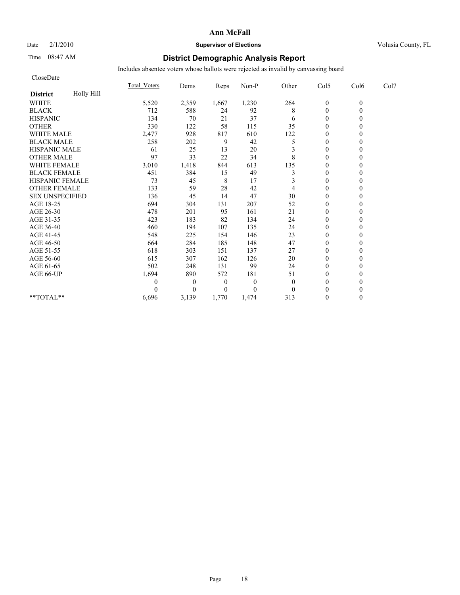CloseDate

#### **Ann McFall**

### Date  $2/1/2010$  **Supervisor of Elections Supervisor of Elections** Volusia County, FL

## Time 08:47 AM **District Demographic Analysis Report**

|                        |            | <b>Total Voters</b> | Dems           | Reps           | Non-P        | Other | Col5             | Col6             | Col7 |  |
|------------------------|------------|---------------------|----------------|----------------|--------------|-------|------------------|------------------|------|--|
| <b>District</b>        | Holly Hill |                     |                |                |              |       |                  |                  |      |  |
| <b>WHITE</b>           |            | 5,520               | 2,359          | 1,667          | 1,230        | 264   | $\boldsymbol{0}$ | $\boldsymbol{0}$ |      |  |
| <b>BLACK</b>           |            | 712                 | 588            | 24             | 92           | 8     | $\theta$         | 0                |      |  |
| <b>HISPANIC</b>        |            | 134                 | 70             | 21             | 37           | 6     | $\boldsymbol{0}$ |                  |      |  |
| <b>OTHER</b>           |            | 330                 | 122            | 58             | 115          | 35    | $\Omega$         |                  |      |  |
| <b>WHITE MALE</b>      |            | 2,477               | 928            | 817            | 610          | 122   | $\theta$         |                  |      |  |
| <b>BLACK MALE</b>      |            | 258                 | 202            | 9              | 42           | 5     | $\theta$         |                  |      |  |
| <b>HISPANIC MALE</b>   |            | 61                  | 25             | 13             | 20           |       | $\Omega$         |                  |      |  |
| <b>OTHER MALE</b>      |            | 97                  | 33             | 22             | 34           | 8     | $\theta$         |                  |      |  |
| WHITE FEMALE           |            | 3,010               | 1,418          | 844            | 613          | 135   | $\theta$         |                  |      |  |
| <b>BLACK FEMALE</b>    |            | 451                 | 384            | 15             | 49           | 3     | $\Omega$         |                  |      |  |
| HISPANIC FEMALE        |            | 73                  | 45             | 8              | 17           |       | $\boldsymbol{0}$ |                  |      |  |
| <b>OTHER FEMALE</b>    |            | 133                 | 59             | 28             | 42           |       | $\theta$         |                  |      |  |
| <b>SEX UNSPECIFIED</b> |            | 136                 | 45             | 14             | 47           | 30    | $\theta$         |                  |      |  |
| AGE 18-25              |            | 694                 | 304            | 131            | 207          | 52    | $\boldsymbol{0}$ |                  |      |  |
| AGE 26-30              |            | 478                 | 201            | 95             | 161          | 21    | $\Omega$         |                  |      |  |
| AGE 31-35              |            | 423                 | 183            | 82             | 134          | 24    | $\Omega$         |                  |      |  |
| AGE 36-40              |            | 460                 | 194            | 107            | 135          | 24    | $\boldsymbol{0}$ |                  |      |  |
| AGE 41-45              |            | 548                 | 225            | 154            | 146          | 23    | $\Omega$         |                  |      |  |
| AGE 46-50              |            | 664                 | 284            | 185            | 148          | 47    | $\theta$         |                  |      |  |
| AGE 51-55              |            | 618                 | 303            | 151            | 137          | 27    | $\theta$         |                  |      |  |
| AGE 56-60              |            | 615                 | 307            | 162            | 126          | 20    | $\theta$         |                  |      |  |
| AGE 61-65              |            | 502                 | 248            | 131            | 99           | 24    | $\theta$         |                  |      |  |
| AGE 66-UP              |            | 1,694               | 890            | 572            | 181          | 51    | $\theta$         |                  |      |  |
|                        |            | 0                   | $\overline{0}$ | $\theta$       | $\mathbf{0}$ | 0     | $\Omega$         |                  |      |  |
|                        |            |                     | 0              | $\overline{0}$ | $\theta$     |       | $\Omega$         |                  |      |  |
| **TOTAL**              |            | 6,696               | 3,139          | 1,770          | 1,474        | 313   | $\Omega$         | 0                |      |  |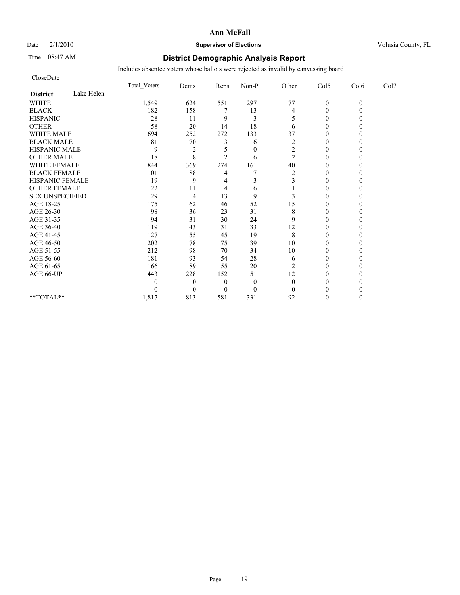### Date  $2/1/2010$  **Supervisor of Elections Supervisor of Elections** Volusia County, FL

### Time 08:47 AM **District Demographic Analysis Report**

| CloseDate              |            |              |                |                |                |                         |              |          |      |
|------------------------|------------|--------------|----------------|----------------|----------------|-------------------------|--------------|----------|------|
|                        |            | Total Voters | Dems           | Reps           | Non-P          | Other                   | Col5         | Col6     | Col7 |
| <b>District</b>        | Lake Helen |              |                |                |                |                         |              |          |      |
| <b>WHITE</b>           |            | 1,549        | 624            | 551            | 297            | 77                      | $\mathbf{0}$ | $\theta$ |      |
| <b>BLACK</b>           |            | 182          | 158            |                | 13             | 4                       | $\theta$     |          |      |
| <b>HISPANIC</b>        |            | 28           | 11             | 9              | 3              |                         | $\theta$     |          |      |
| <b>OTHER</b>           |            | 58           | 20             | 14             | 18             | 6                       | $\theta$     |          |      |
| <b>WHITE MALE</b>      |            | 694          | 252            | 272            | 133            | 37                      | $\theta$     |          |      |
| <b>BLACK MALE</b>      |            | 81           | $70\,$         | 3              | 6              | $\overline{c}$          | $\theta$     |          |      |
| <b>HISPANIC MALE</b>   |            | 9            | $\overline{2}$ |                | $\theta$       | 2                       | $\theta$     |          |      |
| <b>OTHER MALE</b>      |            | 18           | 8              | $\overline{c}$ | 6              | 2                       | $\theta$     |          |      |
| <b>WHITE FEMALE</b>    |            | 844          | 369            | 274            | 161            | 40                      | $\theta$     |          |      |
| <b>BLACK FEMALE</b>    |            | 101          | 88             | 4              |                | $\overline{\mathbf{c}}$ | $\mathbf{0}$ |          |      |
| HISPANIC FEMALE        |            | 19           | 9              | 4              | 3              | 3                       | $\theta$     |          |      |
| <b>OTHER FEMALE</b>    |            | 22           | 11             | 4              | 6              |                         | $\theta$     |          |      |
| <b>SEX UNSPECIFIED</b> |            | 29           | $\overline{4}$ | 13             | 9              | 3                       | $\theta$     |          |      |
| AGE 18-25              |            | 175          | 62             | 46             | 52             | 15                      | $\theta$     |          |      |
| AGE 26-30              |            | 98           | 36             | 23             | 31             | 8                       | $\theta$     |          |      |
| AGE 31-35              |            | 94           | 31             | 30             | 24             | 9                       | $\Omega$     |          |      |
| AGE 36-40              |            | 119          | 43             | 31             | 33             | 12                      | $\theta$     |          |      |
| AGE 41-45              |            | 127          | 55             | 45             | 19             | 8                       | $\theta$     |          |      |
| AGE 46-50              |            | 202          | 78             | 75             | 39             | 10                      | $\theta$     |          |      |
| AGE 51-55              |            | 212          | 98             | 70             | 34             | 10                      | $\theta$     |          |      |
| AGE 56-60              |            | 181          | 93             | 54             | 28             | 6                       | $\theta$     |          |      |
| AGE 61-65              |            | 166          | 89             | 55             | 20             | 2                       | $\Omega$     |          |      |
| AGE 66-UP              |            | 443          | 228            | 152            | 51             | 12                      | $\Omega$     |          |      |
|                        |            | 0            | $\theta$       | $\theta$       | $\overline{0}$ | $\theta$                | 0            |          |      |
|                        |            | 0            | $\overline{0}$ | $\theta$       | $\theta$       | $\Omega$                | $\Omega$     |          |      |
| $**TOTAL**$            |            | 1,817        | 813            | 581            | 331            | 92                      | $\Omega$     | 0        |      |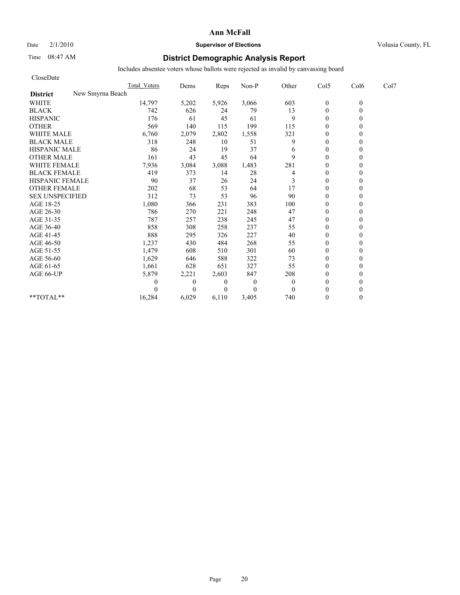# Date  $2/1/2010$  **Supervisor of Elections Supervisor of Elections** Volusia County, FL

## Time 08:47 AM **District Demographic Analysis Report**

| CloseDate              |                     |                |                |              |              |                |          |      |
|------------------------|---------------------|----------------|----------------|--------------|--------------|----------------|----------|------|
|                        | <b>Total Voters</b> | Dems           | Reps           | Non-P        | Other        | Col5           | Col6     | Col7 |
| <b>District</b>        | New Smyrna Beach    |                |                |              |              |                |          |      |
| <b>WHITE</b>           | 14,797              | 5,202          | 5,926          | 3,066        | 603          | $\mathbf{0}$   | $\theta$ |      |
| <b>BLACK</b>           | 742                 | 626            | 24             | 79           | 13           | $\mathbf{0}$   | 0        |      |
| <b>HISPANIC</b>        | 176                 | 61             | 45             | 61           | 9            | $\mathbf{0}$   |          |      |
| <b>OTHER</b>           | 569                 | 140            | 115            | 199          | 115          | $\theta$       |          |      |
| <b>WHITE MALE</b>      | 6,760               | 2,079          | 2,802          | 1,558        | 321          | $\theta$       |          |      |
| <b>BLACK MALE</b>      | 318                 | 248            | 10             | 51           | 9            | $\mathbf{0}$   |          |      |
| <b>HISPANIC MALE</b>   | 86                  | 24             | 19             | 37           | 6            | $\theta$       |          |      |
| <b>OTHER MALE</b>      | 161                 | 43             | 45             | 64           | 9            | $\theta$       |          |      |
| <b>WHITE FEMALE</b>    | 7,936               | 3,084          | 3,088          | 1,483        | 281          | $\theta$       |          |      |
| <b>BLACK FEMALE</b>    | 419                 | 373            | 14             | 28           | 4            | $\overline{0}$ |          |      |
| HISPANIC FEMALE        | 90                  | 37             | 26             | 24           | 3            | $\theta$       |          |      |
| <b>OTHER FEMALE</b>    | 202                 | 68             | 53             | 64           | 17           | $\theta$       |          |      |
| <b>SEX UNSPECIFIED</b> | 312                 | 73             | 53             | 96           | 90           | $\theta$       |          |      |
| AGE 18-25              | 1,080               | 366            | 231            | 383          | 100          | $\theta$       |          |      |
| AGE 26-30              | 786                 | 270            | 221            | 248          | 47           | $\mathbf{0}$   |          |      |
| AGE 31-35              | 787                 | 257            | 238            | 245          | 47           | $\mathbf{0}$   |          |      |
| AGE 36-40              | 858                 | 308            | 258            | 237          | 55           | $\mathbf{0}$   |          |      |
| AGE 41-45              | 888                 | 295            | 326            | 227          | $40\,$       | $\mathbf{0}$   |          |      |
| AGE 46-50              | 1,237               | 430            | 484            | 268          | 55           | $\theta$       |          |      |
| AGE 51-55              | 1,479               | 608            | 510            | 301          | 60           | $\mathbf{0}$   |          |      |
| AGE 56-60              | 1,629               | 646            | 588            | 322          | 73           | $\overline{0}$ |          |      |
| AGE 61-65              | 1,661               | 628            | 651            | 327          | 55           | $\theta$       |          |      |
| AGE 66-UP              | 5,879               | 2,221          | 2,603          | 847          | 208          | $\theta$       |          |      |
|                        | 0                   | $\overline{0}$ | $\overline{0}$ | $\mathbf{0}$ | $\mathbf{0}$ | $\mathbf{0}$   |          |      |
|                        | $\Omega$            | $\Omega$       | $\Omega$       | $\theta$     | $\mathbf{0}$ | $\theta$       |          |      |
| **TOTAL**              | 16,284              | 6,029          | 6,110          | 3,405        | 740          | $\theta$       | 0        |      |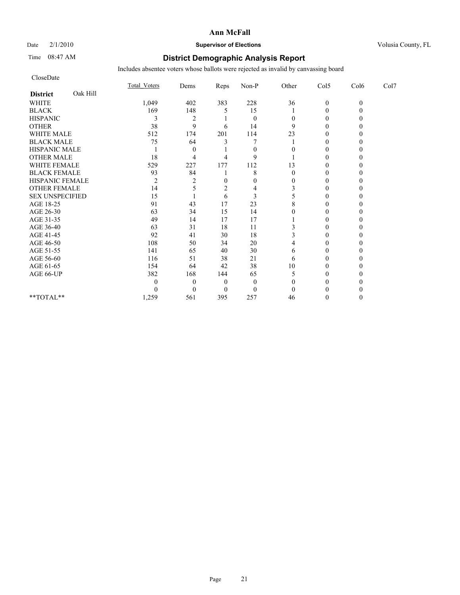CloseDate

#### **Ann McFall**

## Date  $2/1/2010$  **Supervisor of Elections** Volusia County, FL

## Time 08:47 AM **District Demographic Analysis Report**

|                             | <b>Total Voters</b> | Dems     | Reps | Non-P          | Other | Col5             | Col6     | Col7 |  |
|-----------------------------|---------------------|----------|------|----------------|-------|------------------|----------|------|--|
| Oak Hill<br><b>District</b> |                     |          |      |                |       |                  |          |      |  |
| WHITE                       | 1,049               | 402      | 383  | 228            | 36    | $\mathbf{0}$     | $\theta$ |      |  |
| <b>BLACK</b>                | 169                 | 148      |      | 15             |       | $\boldsymbol{0}$ |          |      |  |
| <b>HISPANIC</b>             |                     | 2        |      | $\overline{0}$ |       |                  |          |      |  |
| <b>OTHER</b>                | 38                  | 9        | 6    | 14             | 9     | $\theta$         |          |      |  |
| <b>WHITE MALE</b>           | 512                 | 174      | 201  | 114            | 23    |                  |          |      |  |
| <b>BLACK MALE</b>           | 75                  | 64       |      |                |       |                  |          |      |  |
| HISPANIC MALE               |                     | $\theta$ |      | $\theta$       |       | $\Omega$         |          |      |  |
| <b>OTHER MALE</b>           | 18                  |          |      | 9              |       | $\theta$         |          |      |  |
| WHITE FEMALE                | 529                 | 227      | 177  | 112            | 13    |                  |          |      |  |
| <b>BLACK FEMALE</b>         | 93                  | 84       |      | 8              |       | 0                |          |      |  |
| HISPANIC FEMALE             | $\overline{c}$      |          |      | $\Omega$       |       | $\theta$         |          |      |  |
| <b>OTHER FEMALE</b>         | 14                  |          |      |                |       |                  |          |      |  |
| <b>SEX UNSPECIFIED</b>      | 15                  |          | 6    | 3              |       | $\Omega$         |          |      |  |
| AGE 18-25                   | 91                  | 43       | 17   | 23             |       |                  |          |      |  |
| AGE 26-30                   | 63                  | 34       | 15   | 14             |       |                  |          |      |  |
| AGE 31-35                   | 49                  | 14       | 17   | 17             |       | 0                |          |      |  |
| AGE 36-40                   | 63                  | 31       | 18   | 11             |       |                  |          |      |  |
| AGE 41-45                   | 92                  | 41       | 30   | 18             |       |                  |          |      |  |
| AGE 46-50                   | 108                 | 50       | 34   | 20             |       | 0                |          |      |  |
| AGE 51-55                   | 141                 | 65       | 40   | 30             | 6     |                  |          |      |  |
| AGE 56-60                   | 116                 | 51       | 38   | 21             | 6     |                  |          |      |  |
| AGE 61-65                   | 154                 | 64       | 42   | 38             | 10    | 0                |          |      |  |
| AGE 66-UP                   | 382                 | 168      | 144  | 65             |       |                  |          |      |  |
|                             | 0                   | $\theta$ | 0    | $\theta$       |       |                  |          |      |  |
|                             |                     |          |      | $\theta$       |       |                  |          |      |  |
| $**TOTAL**$                 | 1,259               | 561      | 395  | 257            | 46    | $\theta$         |          |      |  |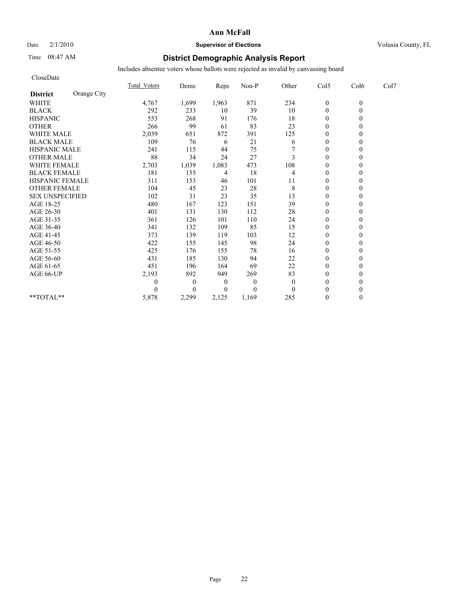### Date  $2/1/2010$  **Supervisor of Elections** Volusia County, FL

## Time 08:47 AM **District Demographic Analysis Report**

| CloseDate              |             |                     |                  |          |              |          |                  |          |      |
|------------------------|-------------|---------------------|------------------|----------|--------------|----------|------------------|----------|------|
|                        |             | <b>Total Voters</b> | Dems             | Reps     | Non-P        | Other    | Col5             | Col6     | Col7 |
| <b>District</b>        | Orange City |                     |                  |          |              |          |                  |          |      |
| <b>WHITE</b>           |             | 4,767               | 1,699            | 1,963    | 871          | 234      | $\boldsymbol{0}$ | $\theta$ |      |
| <b>BLACK</b>           |             | 292                 | 233              | 10       | 39           | 10       | $\mathbf{0}$     | $\theta$ |      |
| <b>HISPANIC</b>        |             | 553                 | 268              | 91       | 176          | 18       | $\theta$         |          |      |
| <b>OTHER</b>           |             | 266                 | 99               | 61       | 83           | 23       | $\theta$         |          |      |
| WHITE MALE             |             | 2,039               | 651              | 872      | 391          | 125      | $\theta$         |          |      |
| <b>BLACK MALE</b>      |             | 109                 | 76               | 6        | 21           | 6        | $\theta$         |          |      |
| <b>HISPANIC MALE</b>   |             | 241                 | 115              | 44       | 75           |          | $\theta$         |          |      |
| <b>OTHER MALE</b>      |             | 88                  | 34               | 24       | 27           | 3        | $\mathbf{0}$     |          |      |
| <b>WHITE FEMALE</b>    |             | 2,703               | 1,039            | 1,083    | 473          | 108      | $\theta$         |          |      |
| <b>BLACK FEMALE</b>    |             | 181                 | 155              | 4        | 18           | 4        | $\mathbf{0}$     |          |      |
| HISPANIC FEMALE        |             | 311                 | 153              | 46       | 101          | 11       | $\mathbf{0}$     | $\theta$ |      |
| <b>OTHER FEMALE</b>    |             | 104                 | 45               | 23       | 28           | 8        | $\mathbf{0}$     |          |      |
| <b>SEX UNSPECIFIED</b> |             | 102                 | 31               | 23       | 35           | 13       | $\theta$         |          |      |
| AGE 18-25              |             | 480                 | 167              | 123      | 151          | 39       | $\theta$         |          |      |
| AGE 26-30              |             | 401                 | 131              | 130      | 112          | 28       | $\Omega$         |          |      |
| AGE 31-35              |             | 361                 | 126              | 101      | 110          | 24       | $\theta$         |          |      |
| AGE 36-40              |             | 341                 | 132              | 109      | 85           | 15       | $\mathbf{0}$     |          |      |
| AGE 41-45              |             | 373                 | 139              | 119      | 103          | 12       | $\mathbf{0}$     | 0        |      |
| AGE 46-50              |             | 422                 | 155              | 145      | 98           | 24       | $\theta$         |          |      |
| AGE 51-55              |             | 425                 | 176              | 155      | 78           | 16       | $\mathbf{0}$     |          |      |
| AGE 56-60              |             | 431                 | 185              | 130      | 94           | 22       | $\theta$         |          |      |
| AGE 61-65              |             | 451                 | 196              | 164      | 69           | 22       | $\Omega$         |          |      |
| AGE 66-UP              |             | 2,193               | 892              | 949      | 269          | 83       | $\theta$         |          |      |
|                        |             | 0                   | $\boldsymbol{0}$ | $\theta$ | $\mathbf{0}$ | $\theta$ | $\theta$         |          |      |
|                        |             | 0                   | $\overline{0}$   | $\theta$ | $\Omega$     | $\Omega$ | $\theta$         |          |      |
| $**TOTAL**$            |             | 5,878               | 2,299            | 2,125    | 1,169        | 285      | $\theta$         | $\theta$ |      |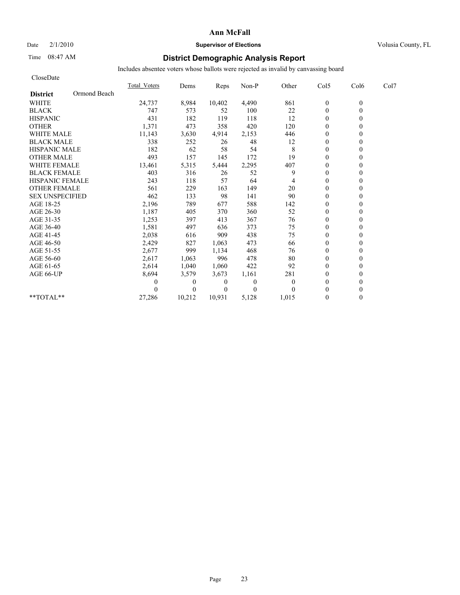#### Date  $2/1/2010$  **Supervisor of Elections** Volusia County, FL

## Time 08:47 AM **District Demographic Analysis Report**

| CloseDate              |              |                     |                |          |              |          |                  |          |      |
|------------------------|--------------|---------------------|----------------|----------|--------------|----------|------------------|----------|------|
|                        |              | <b>Total Voters</b> | Dems           | Reps     | Non-P        | Other    | Col5             | Col6     | Col7 |
| <b>District</b>        | Ormond Beach |                     |                |          |              |          |                  |          |      |
| <b>WHITE</b>           |              | 24,737              | 8,984          | 10,402   | 4,490        | 861      | $\boldsymbol{0}$ | $\theta$ |      |
| <b>BLACK</b>           |              | 747                 | 573            | 52       | 100          | 22       | $\mathbf{0}$     | $\theta$ |      |
| <b>HISPANIC</b>        |              | 431                 | 182            | 119      | 118          | 12       | $\theta$         |          |      |
| <b>OTHER</b>           |              | 1,371               | 473            | 358      | 420          | 120      | $\Omega$         |          |      |
| <b>WHITE MALE</b>      |              | 11,143              | 3,630          | 4,914    | 2,153        | 446      | $\theta$         |          |      |
| <b>BLACK MALE</b>      |              | 338                 | 252            | 26       | 48           | 12       | $\theta$         |          |      |
| <b>HISPANIC MALE</b>   |              | 182                 | 62             | 58       | 54           | 8        | $\theta$         |          |      |
| <b>OTHER MALE</b>      |              | 493                 | 157            | 145      | 172          | 19       | $\mathbf{0}$     |          |      |
| <b>WHITE FEMALE</b>    |              | 13,461              | 5,315          | 5,444    | 2,295        | 407      | $\theta$         |          |      |
| <b>BLACK FEMALE</b>    |              | 403                 | 316            | 26       | 52           | 9        | $\mathbf{0}$     |          |      |
| <b>HISPANIC FEMALE</b> |              | 243                 | 118            | 57       | 64           | 4        | $\theta$         | 0        |      |
| <b>OTHER FEMALE</b>    |              | 561                 | 229            | 163      | 149          | 20       | $\theta$         |          |      |
| <b>SEX UNSPECIFIED</b> |              | 462                 | 133            | 98       | 141          | 90       | $\theta$         |          |      |
| AGE 18-25              |              | 2,196               | 789            | 677      | 588          | 142      | $\theta$         |          |      |
| AGE 26-30              |              | 1,187               | 405            | 370      | 360          | 52       | $\mathbf{0}$     |          |      |
| AGE 31-35              |              | 1,253               | 397            | 413      | 367          | 76       | $\theta$         |          |      |
| AGE 36-40              |              | 1,581               | 497            | 636      | 373          | 75       | $\Omega$         |          |      |
| AGE 41-45              |              | 2,038               | 616            | 909      | 438          | 75       | $\mathbf{0}$     |          |      |
| AGE 46-50              |              | 2,429               | 827            | 1,063    | 473          | 66       | $\overline{0}$   |          |      |
| AGE 51-55              |              | 2,677               | 999            | 1,134    | 468          | 76       | $\Omega$         |          |      |
| AGE 56-60              |              | 2,617               | 1,063          | 996      | 478          | 80       | $\boldsymbol{0}$ |          |      |
| AGE 61-65              |              | 2,614               | 1,040          | 1,060    | 422          | 92       | $\theta$         |          |      |
| AGE 66-UP              |              | 8,694               | 3,579          | 3,673    | 1,161        | 281      | $\theta$         |          |      |
|                        |              | 0                   | $\theta$       | 0        | $\mathbf{0}$ | $\theta$ | $\boldsymbol{0}$ |          |      |
|                        |              |                     | $\overline{0}$ | $\theta$ | $\Omega$     |          | $\theta$         |          |      |
| $**TOTAL**$            |              | 27,286              | 10,212         | 10,931   | 5,128        | 1,015    | $\mathbf{0}$     | $\theta$ |      |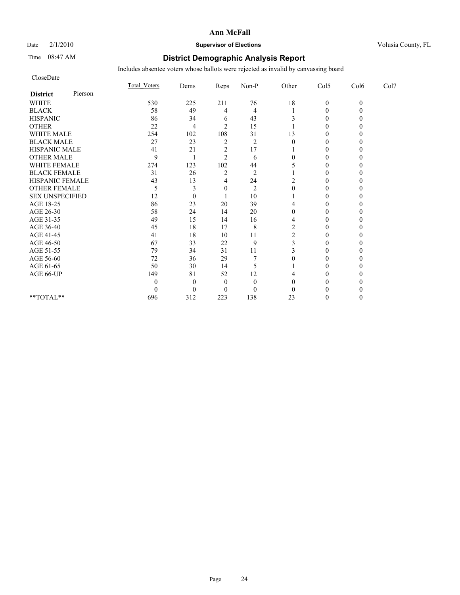# Date  $2/1/2010$  **Supervisor of Elections** Volusia County, FL

## Time 08:47 AM **District Demographic Analysis Report**

| CloseDate              |         |                     |          |                |                |                |                |          |      |
|------------------------|---------|---------------------|----------|----------------|----------------|----------------|----------------|----------|------|
|                        |         | <b>Total Voters</b> | Dems     | Reps           | Non-P          | Other          | Col5           | Col6     | Col7 |
| <b>District</b>        | Pierson |                     |          |                |                |                |                |          |      |
| <b>WHITE</b>           |         | 530                 | 225      | 211            | 76             | 18             | $\mathbf{0}$   | $\theta$ |      |
| <b>BLACK</b>           |         | 58                  | 49       | 4              | $\overline{4}$ |                | $\theta$       |          |      |
| <b>HISPANIC</b>        |         | 86                  | 34       | 6              | 43             |                | $\theta$       |          |      |
| <b>OTHER</b>           |         | 22                  | 4        | $\overline{2}$ | 15             |                | $\theta$       |          |      |
| <b>WHITE MALE</b>      |         | 254                 | 102      | 108            | 31             | 13             | $\mathbf{0}$   |          |      |
| <b>BLACK MALE</b>      |         | 27                  | 23       | $\overline{2}$ | $\overline{2}$ | $\theta$       | $\theta$       |          |      |
| <b>HISPANIC MALE</b>   |         | 41                  | 21       | $\overline{c}$ | 17             |                | $\theta$       |          |      |
| <b>OTHER MALE</b>      |         | 9                   |          | $\overline{2}$ | 6              | $\theta$       | $\theta$       |          |      |
| WHITE FEMALE           |         | 274                 | 123      | 102            | 44             |                | $\theta$       |          |      |
| <b>BLACK FEMALE</b>    |         | 31                  | 26       | $\overline{c}$ | $\overline{2}$ |                | $\theta$       |          |      |
| HISPANIC FEMALE        |         | 43                  | 13       | 4              | 24             |                | $\theta$       |          |      |
| <b>OTHER FEMALE</b>    |         | 5                   | 3        | $\mathbf{0}$   | $\overline{2}$ |                | $\theta$       |          |      |
| <b>SEX UNSPECIFIED</b> |         | 12                  | $\theta$ |                | 10             |                | $\theta$       |          |      |
| AGE 18-25              |         | 86                  | 23       | 20             | 39             |                | $\mathbf{0}$   |          |      |
| AGE 26-30              |         | 58                  | 24       | 14             | 20             | $\theta$       | $\theta$       |          |      |
| AGE 31-35              |         | 49                  | 15       | 14             | 16             | 4              | $\theta$       |          |      |
| AGE 36-40              |         | 45                  | 18       | 17             | 8              | $\overline{c}$ | $\theta$       |          |      |
| AGE 41-45              |         | 41                  | 18       | 10             | 11             | 2              | $\overline{0}$ |          |      |
| AGE 46-50              |         | 67                  | 33       | 22             | 9              | 3              | $\mathbf{0}$   |          |      |
| AGE 51-55              |         | 79                  | 34       | 31             | 11             |                | $\theta$       |          |      |
| AGE 56-60              |         | 72                  | 36       | 29             |                |                | $\theta$       |          |      |
| AGE 61-65              |         | 50                  | 30       | 14             | 5              |                | $\Omega$       |          |      |
| AGE 66-UP              |         | 149                 | 81       | 52             | 12             |                | $\Omega$       |          |      |
|                        |         |                     | $\theta$ | $\theta$       | $\overline{0}$ |                | 0              |          |      |
|                        |         |                     | $\theta$ | $\theta$       | $\theta$       | $\Omega$       | $\theta$       |          |      |
| $**TOTAL**$            |         | 696                 | 312      | 223            | 138            | 23             | $\theta$       |          |      |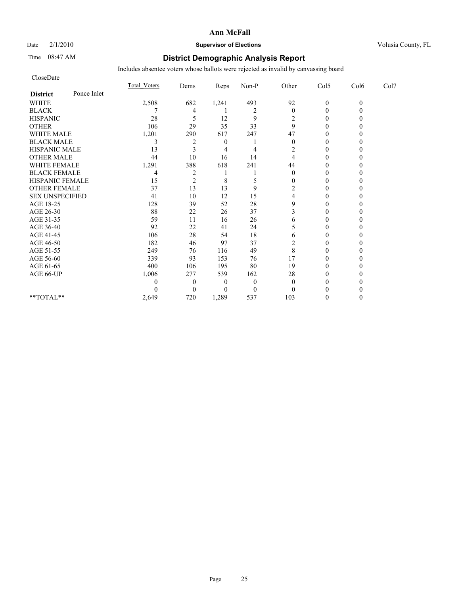## Date  $2/1/2010$  **Supervisor of Elections** Volusia County, FL

## Time 08:47 AM **District Demographic Analysis Report**

| CloseDate              |             |              |                |                  |                |                  |                  |          |      |
|------------------------|-------------|--------------|----------------|------------------|----------------|------------------|------------------|----------|------|
|                        |             | Total Voters | Dems           | Reps             | Non-P          | Other            | Col5             | Col6     | Col7 |
| <b>District</b>        | Ponce Inlet |              |                |                  |                |                  |                  |          |      |
| <b>WHITE</b>           |             | 2,508        | 682            | 1,241            | 493            | 92               | $\mathbf{0}$     | $\theta$ |      |
| <b>BLACK</b>           |             |              | 4              |                  | $\overline{2}$ | $\overline{0}$   | $\theta$         |          |      |
| <b>HISPANIC</b>        |             | 28           | 5              | 12               | 9              | 2                | $\boldsymbol{0}$ |          |      |
| <b>OTHER</b>           |             | 106          | 29             | 35               | 33             | 9                | $\theta$         |          |      |
| <b>WHITE MALE</b>      |             | 1,201        | 290            | 617              | 247            | 47               | $\theta$         |          |      |
| <b>BLACK MALE</b>      |             | 3            | 2              | $\boldsymbol{0}$ |                | $\theta$         | $\Omega$         |          |      |
| <b>HISPANIC MALE</b>   |             | 13           | 3              | 4                | 4              | 2                | $\theta$         |          |      |
| <b>OTHER MALE</b>      |             | 44           | 10             | 16               | 14             |                  | $\boldsymbol{0}$ |          |      |
| <b>WHITE FEMALE</b>    |             | 1,291        | 388            | 618              | 241            | 44               | $\Omega$         |          |      |
| <b>BLACK FEMALE</b>    |             | 4            | $\overline{c}$ |                  |                | $\boldsymbol{0}$ | $\boldsymbol{0}$ |          |      |
| HISPANIC FEMALE        |             | 15           | $\overline{c}$ | 8                | 5              | 0                | $\theta$         |          |      |
| <b>OTHER FEMALE</b>    |             | 37           | 13             | 13               | 9              | 2                | $\theta$         |          |      |
| <b>SEX UNSPECIFIED</b> |             | 41           | 10             | 12               | 15             |                  | $\theta$         |          |      |
| AGE 18-25              |             | 128          | 39             | 52               | 28             | 9                | $\theta$         |          |      |
| AGE 26-30              |             | 88           | 22             | 26               | 37             | 3                | $\Omega$         |          |      |
| AGE 31-35              |             | 59           | 11             | 16               | 26             | 6                | $\Omega$         |          |      |
| AGE 36-40              |             | 92           | 22             | 41               | 24             |                  | $\theta$         |          |      |
| AGE 41-45              |             | 106          | 28             | 54               | 18             | 6                | $\theta$         |          |      |
| AGE 46-50              |             | 182          | 46             | 97               | 37             | 2                | $\boldsymbol{0}$ |          |      |
| AGE 51-55              |             | 249          | 76             | 116              | 49             | 8                | $\Omega$         |          |      |
| AGE 56-60              |             | 339          | 93             | 153              | 76             | 17               | $\theta$         |          |      |
| AGE 61-65              |             | 400          | 106            | 195              | 80             | 19               | $\Omega$         |          |      |
| AGE 66-UP              |             | 1,006        | 277            | 539              | 162            | 28               | 0                |          |      |
|                        |             | 0            | $\theta$       | $\boldsymbol{0}$ | $\overline{0}$ | $\theta$         | 0                |          |      |
|                        |             | 0            | $\Omega$       | $\theta$         | $\Omega$       | $\Omega$         | $\Omega$         |          |      |
| $**TOTAL**$            |             | 2,649        | 720            | 1,289            | 537            | 103              | $\theta$         |          |      |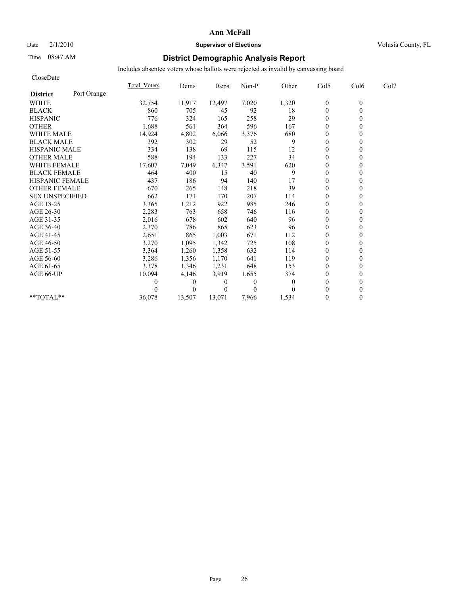#### Date  $2/1/2010$  **Supervisor of Elections** Volusia County, FL

### Time 08:47 AM **District Demographic Analysis Report**

| CloseDate              |             |                     |              |          |                |                |                |          |      |
|------------------------|-------------|---------------------|--------------|----------|----------------|----------------|----------------|----------|------|
|                        |             | <b>Total Voters</b> | Dems         | Reps     | Non-P          | Other          | Col5           | Col6     | Col7 |
| <b>District</b>        | Port Orange |                     |              |          |                |                |                |          |      |
| <b>WHITE</b>           |             | 32,754              | 11,917       | 12,497   | 7,020          | 1,320          | $\mathbf{0}$   | $\theta$ |      |
| <b>BLACK</b>           |             | 860                 | 705          | 45       | 92             | 18             | $\mathbf{0}$   | $\theta$ |      |
| <b>HISPANIC</b>        |             | 776                 | 324          | 165      | 258            | 29             | $\mathbf{0}$   |          |      |
| <b>OTHER</b>           |             | 1,688               | 561          | 364      | 596            | 167            | $\theta$       |          |      |
| <b>WHITE MALE</b>      |             | 14,924              | 4,802        | 6,066    | 3,376          | 680            | $\theta$       |          |      |
| <b>BLACK MALE</b>      |             | 392                 | 302          | 29       | 52             | 9              | $\mathbf{0}$   |          |      |
| <b>HISPANIC MALE</b>   |             | 334                 | 138          | 69       | 115            | 12             | $\theta$       |          |      |
| <b>OTHER MALE</b>      |             | 588                 | 194          | 133      | 227            | 34             | $\theta$       |          |      |
| <b>WHITE FEMALE</b>    |             | 17,607              | 7,049        | 6,347    | 3,591          | 620            | $\theta$       |          |      |
| <b>BLACK FEMALE</b>    |             | 464                 | 400          | 15       | 40             | 9              | $\theta$       |          |      |
| <b>HISPANIC FEMALE</b> |             | 437                 | 186          | 94       | 140            | 17             | $\theta$       |          |      |
| <b>OTHER FEMALE</b>    |             | 670                 | 265          | 148      | 218            | 39             | $\mathbf{0}$   |          |      |
| <b>SEX UNSPECIFIED</b> |             | 662                 | 171          | 170      | 207            | 114            | $\theta$       |          |      |
| AGE 18-25              |             | 3,365               | 1,212        | 922      | 985            | 246            | $\mathbf{0}$   |          |      |
| AGE 26-30              |             | 2,283               | 763          | 658      | 746            | 116            | $\theta$       |          |      |
| AGE 31-35              |             | 2,016               | 678          | 602      | 640            | 96             | $\mathbf{0}$   |          |      |
| AGE 36-40              |             | 2,370               | 786          | 865      | 623            | 96             | $\theta$       |          |      |
| AGE 41-45              |             | 2,651               | 865          | 1,003    | 671            | 112            | $\overline{0}$ |          |      |
| AGE 46-50              |             | 3,270               | 1,095        | 1,342    | 725            | 108            | $\mathbf{0}$   |          |      |
| AGE 51-55              |             | 3,364               | 1,260        | 1,358    | 632            | 114            | $\theta$       |          |      |
| AGE 56-60              |             | 3,286               | 1,356        | 1,170    | 641            | 119            | $\theta$       |          |      |
| AGE 61-65              |             | 3,378               | 1,346        | 1,231    | 648            | 153            | $\theta$       |          |      |
| AGE 66-UP              |             | 10,094              | 4,146        | 3,919    | 1,655          | 374            | $\mathbf{0}$   |          |      |
|                        |             |                     | $\mathbf{0}$ | $\theta$ | $\overline{0}$ | $\overline{0}$ | $\mathbf{0}$   |          |      |
|                        |             |                     | $\theta$     | $\theta$ | $\Omega$       | 0              | $\theta$       |          |      |
| **TOTAL**              |             | 36,078              | 13,507       | 13.071   | 7,966          | 1,534          | $\theta$       | 0        |      |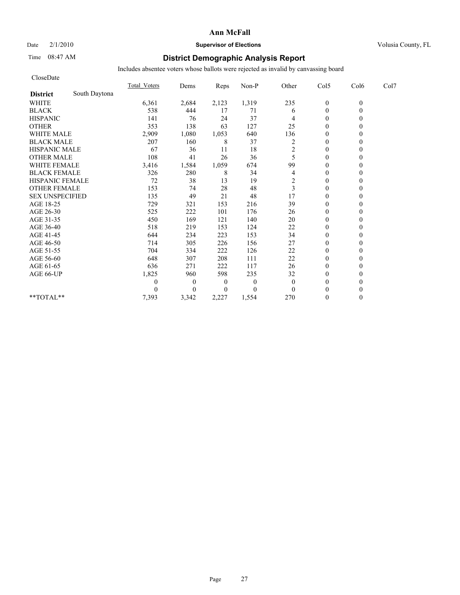#### Date  $2/1/2010$  **Supervisor of Elections** Volusia County, FL

### Time 08:47 AM **District Demographic Analysis Report**

| CloseDate              |               |                     |                  |                  |                |              |                  |          |      |
|------------------------|---------------|---------------------|------------------|------------------|----------------|--------------|------------------|----------|------|
|                        |               | <b>Total Voters</b> | Dems             | Reps             | Non-P          | Other        | Col5             | Col6     | Col7 |
| <b>District</b>        | South Daytona |                     |                  |                  |                |              |                  |          |      |
| <b>WHITE</b>           |               | 6,361               | 2,684            | 2,123            | 1,319          | 235          | $\boldsymbol{0}$ | $\theta$ |      |
| <b>BLACK</b>           |               | 538                 | 444              | 17               | 71             | 6            | $\mathbf{0}$     | $\theta$ |      |
| <b>HISPANIC</b>        |               | 141                 | 76               | 24               | 37             |              | $\theta$         |          |      |
| <b>OTHER</b>           |               | 353                 | 138              | 63               | 127            | 25           | $\theta$         |          |      |
| WHITE MALE             |               | 2,909               | 1,080            | 1,053            | 640            | 136          | $\boldsymbol{0}$ |          |      |
| <b>BLACK MALE</b>      |               | 207                 | 160              | 8                | 37             | 2            | $\theta$         |          |      |
| <b>HISPANIC MALE</b>   |               | 67                  | 36               | 11               | 18             | 2            | $\theta$         |          |      |
| <b>OTHER MALE</b>      |               | 108                 | 41               | 26               | 36             | 5            | $\mathbf{0}$     |          |      |
| <b>WHITE FEMALE</b>    |               | 3,416               | 1,584            | 1,059            | 674            | 99           | $\theta$         |          |      |
| <b>BLACK FEMALE</b>    |               | 326                 | 280              | 8                | 34             | 4            | $\mathbf{0}$     |          |      |
| HISPANIC FEMALE        |               | 72                  | 38               | 13               | 19             | 2            | $\mathbf{0}$     | $\theta$ |      |
| <b>OTHER FEMALE</b>    |               | 153                 | 74               | 28               | 48             | 3            | $\mathbf{0}$     |          |      |
| <b>SEX UNSPECIFIED</b> |               | 135                 | 49               | 21               | 48             | 17           | $\theta$         |          |      |
| AGE 18-25              |               | 729                 | 321              | 153              | 216            | 39           | $\theta$         |          |      |
| AGE 26-30              |               | 525                 | 222              | 101              | 176            | 26           | $\mathbf{0}$     |          |      |
| AGE 31-35              |               | 450                 | 169              | 121              | 140            | 20           | $\theta$         |          |      |
| AGE 36-40              |               | 518                 | 219              | 153              | 124            | 22           | $\mathbf{0}$     |          |      |
| AGE 41-45              |               | 644                 | 234              | 223              | 153            | 34           | $\mathbf{0}$     | 0        |      |
| AGE 46-50              |               | 714                 | 305              | 226              | 156            | 27           | $\theta$         |          |      |
| AGE 51-55              |               | 704                 | 334              | 222              | 126            | 22           | $\mathbf{0}$     |          |      |
| AGE 56-60              |               | 648                 | 307              | 208              | 111            | 22           | $\boldsymbol{0}$ |          |      |
| AGE 61-65              |               | 636                 | 271              | 222              | 117            | 26           | $\Omega$         |          |      |
| AGE 66-UP              |               | 1,825               | 960              | 598              | 235            | 32           | $\theta$         |          |      |
|                        |               | 0                   | $\boldsymbol{0}$ | $\boldsymbol{0}$ | $\overline{0}$ | $\mathbf{0}$ | $\theta$         |          |      |
|                        |               | 0                   | $\overline{0}$   | $\theta$         | $\Omega$       | $\theta$     | $\theta$         |          |      |
| $**TOTAL**$            |               | 7,393               | 3,342            | 2,227            | 1,554          | 270          | $\theta$         | $\theta$ |      |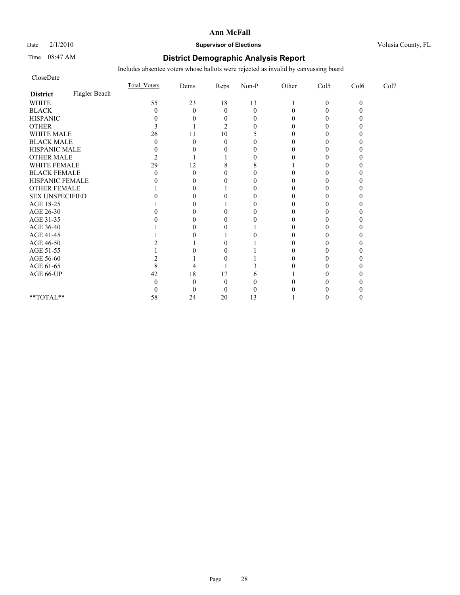# Date  $2/1/2010$  **Supervisor of Elections Supervisor of Elections** Volusia County, FL

### Time 08:47 AM **District Demographic Analysis Report**

| CloseDate              |               |                     |              |                  |          |       |                |          |      |
|------------------------|---------------|---------------------|--------------|------------------|----------|-------|----------------|----------|------|
|                        |               | <b>Total Voters</b> | Dems         | Reps             | $Non-P$  | Other | Col5           | Col6     | Col7 |
| <b>District</b>        | Flagler Beach |                     |              |                  |          |       |                |          |      |
| <b>WHITE</b>           |               | 55                  | 23           | 18               | 13       |       | $\overline{0}$ | $\theta$ |      |
| <b>BLACK</b>           |               | 0                   | $\theta$     | $\mathbf{0}$     | $\theta$ |       | $\theta$       |          |      |
| <b>HISPANIC</b>        |               |                     |              | $\boldsymbol{0}$ | $\theta$ |       | 0              |          |      |
| <b>OTHER</b>           |               | 3                   |              | $\overline{2}$   | $\theta$ |       | $\Omega$       |          |      |
| WHITE MALE             |               | 26                  | 11           | 10               | 5        |       |                |          |      |
| <b>BLACK MALE</b>      |               |                     | 0            | $\theta$         | $\theta$ |       | 0              |          |      |
| HISPANIC MALE          |               |                     |              | 0                | 0        |       | $\theta$       |          |      |
| OTHER MALE             |               |                     |              |                  | 0        |       |                |          |      |
| WHITE FEMALE           |               | 29                  | 12           | 8                | 8        |       | 0              |          |      |
| <b>BLACK FEMALE</b>    |               |                     | 0            | 0                | 0        |       |                |          |      |
| HISPANIC FEMALE        |               |                     | 0            | 0                | $\Omega$ |       | 0              |          |      |
| <b>OTHER FEMALE</b>    |               |                     |              |                  | 0        |       |                |          |      |
| <b>SEX UNSPECIFIED</b> |               |                     |              |                  | 0        |       |                |          |      |
| AGE 18-25              |               |                     |              |                  | 0        |       |                |          |      |
| AGE 26-30              |               |                     |              |                  | 0        |       |                |          |      |
| AGE 31-35              |               |                     |              |                  | 0        |       |                |          |      |
| AGE 36-40              |               |                     |              |                  |          |       |                |          |      |
| AGE 41-45              |               |                     | $\mathbf{0}$ |                  | 0        |       | 0              |          |      |
| AGE 46-50              |               |                     |              |                  |          |       | 0              |          |      |
| AGE 51-55              |               |                     |              |                  |          |       | 0              |          |      |
| AGE 56-60              |               |                     |              |                  |          |       |                |          |      |
| AGE 61-65              |               | 8                   |              |                  |          |       | 0              |          |      |
| AGE 66-UP              |               | 42                  | 18           | 17               | 6        |       |                |          |      |
|                        |               |                     |              | $\sqrt{ }$       | 0        |       |                |          |      |
|                        |               |                     | ſ            | $\theta$         | 0        |       |                |          |      |
| **TOTAL**              |               | 58                  | 24           | 20               | 13       |       |                |          |      |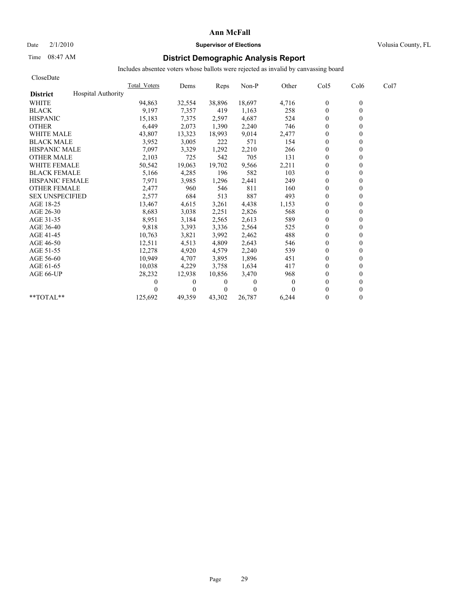# Date  $2/1/2010$  **Supervisor of Elections Supervisor of Elections** Volusia County, FL

## Time 08:47 AM **District Demographic Analysis Report**

| CloseDate              |                           |              |          |                |          |                |                |                  |      |
|------------------------|---------------------------|--------------|----------|----------------|----------|----------------|----------------|------------------|------|
|                        |                           | Total Voters | Dems     | Reps           | Non-P    | Other          | Col5           | Col <sub>6</sub> | Col7 |
| <b>District</b>        | <b>Hospital Authority</b> |              |          |                |          |                |                |                  |      |
| <b>WHITE</b>           |                           | 94,863       | 32,554   | 38,896         | 18,697   | 4,716          | $\bf{0}$       | $\theta$         |      |
| <b>BLACK</b>           |                           | 9,197        | 7,357    | 419            | 1,163    | 258            | $\mathbf{0}$   | $\theta$         |      |
| <b>HISPANIC</b>        |                           | 15,183       | 7,375    | 2,597          | 4,687    | 524            | $\mathbf{0}$   |                  |      |
| <b>OTHER</b>           |                           | 6,449        | 2,073    | 1,390          | 2,240    | 746            | $\theta$       |                  |      |
| <b>WHITE MALE</b>      |                           | 43,807       | 13,323   | 18,993         | 9,014    | 2,477          | $\mathbf{0}$   |                  |      |
| <b>BLACK MALE</b>      |                           | 3,952        | 3,005    | 222            | 571      | 154            | $\mathbf{0}$   |                  |      |
| <b>HISPANIC MALE</b>   |                           | 7,097        | 3,329    | 1,292          | 2,210    | 266            | $\theta$       |                  |      |
| <b>OTHER MALE</b>      |                           | 2,103        | 725      | 542            | 705      | 131            | $\theta$       |                  |      |
| <b>WHITE FEMALE</b>    |                           | 50,542       | 19,063   | 19,702         | 9,566    | 2,211          | $\theta$       |                  |      |
| <b>BLACK FEMALE</b>    |                           | 5,166        | 4,285    | 196            | 582      | 103            | $\theta$       |                  |      |
| <b>HISPANIC FEMALE</b> |                           | 7,971        | 3,985    | 1,296          | 2,441    | 249            | $\theta$       |                  |      |
| <b>OTHER FEMALE</b>    |                           | 2,477        | 960      | 546            | 811      | 160            | $\mathbf{0}$   |                  |      |
| <b>SEX UNSPECIFIED</b> |                           | 2,577        | 684      | 513            | 887      | 493            | $\mathbf{0}$   |                  |      |
| AGE 18-25              |                           | 13,467       | 4,615    | 3,261          | 4,438    | 1,153          | $\mathbf{0}$   |                  |      |
| AGE 26-30              |                           | 8,683        | 3,038    | 2,251          | 2,826    | 568            | $\theta$       |                  |      |
| AGE 31-35              |                           | 8,951        | 3,184    | 2,565          | 2,613    | 589            | $\theta$       |                  |      |
| AGE 36-40              |                           | 9,818        | 3,393    | 3,336          | 2,564    | 525            | $\theta$       |                  |      |
| AGE 41-45              |                           | 10,763       | 3,821    | 3,992          | 2,462    | 488            | $\overline{0}$ |                  |      |
| AGE 46-50              |                           | 12,511       | 4,513    | 4,809          | 2,643    | 546            | $\mathbf{0}$   |                  |      |
| AGE 51-55              |                           | 12,278       | 4,920    | 4,579          | 2,240    | 539            | $\mathbf{0}$   |                  |      |
| AGE 56-60              |                           | 10,949       | 4,707    | 3,895          | 1,896    | 451            | $\theta$       |                  |      |
| AGE 61-65              |                           | 10,038       | 4,229    | 3,758          | 1,634    | 417            | $\theta$       |                  |      |
| AGE 66-UP              |                           | 28,232       | 12,938   | 10,856         | 3,470    | 968            | $\mathbf{0}$   |                  |      |
|                        |                           |              | $\bf{0}$ | $\bf{0}$       | 0        | $\overline{0}$ | $\mathbf{0}$   |                  |      |
|                        |                           |              | $\theta$ | $\overline{0}$ | $\Omega$ | 0              | $\theta$       |                  |      |
| **TOTAL**              |                           | 125,692      | 49,359   | 43.302         | 26,787   | 6,244          | $\theta$       | 0                |      |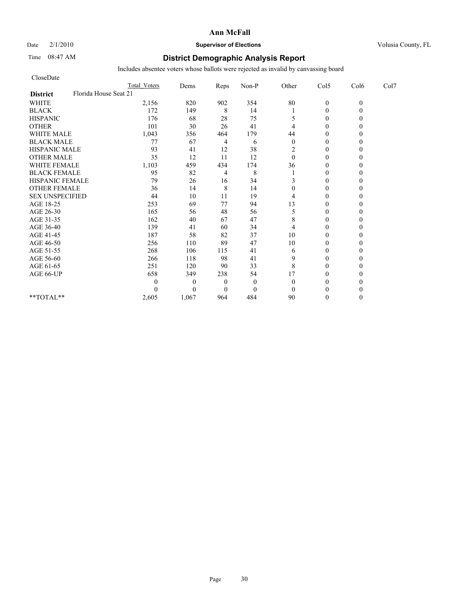# Date  $2/1/2010$  **Supervisor of Elections Supervisor of Elections** Volusia County, FL

## Time 08:47 AM **District Demographic Analysis Report**

| CloseDate                                |                     |              |                |              |              |                |          |                  |
|------------------------------------------|---------------------|--------------|----------------|--------------|--------------|----------------|----------|------------------|
|                                          | <b>Total Voters</b> | Dems         | Reps           | Non-P        | Other        | Col5           | Col6     | Col <sub>7</sub> |
| Florida House Seat 21<br><b>District</b> |                     |              |                |              |              |                |          |                  |
| <b>WHITE</b>                             | 2,156               | 820          | 902            | 354          | $80\,$       | $\mathbf{0}$   | $\theta$ |                  |
| <b>BLACK</b>                             | 172                 | 149          | 8              | 14           |              | $\mathbf{0}$   |          |                  |
| <b>HISPANIC</b>                          | 176                 | 68           | 28             | 75           | 5            | $\theta$       |          |                  |
| <b>OTHER</b>                             | 101                 | 30           | 26             | 41           | 4            | $\theta$       |          |                  |
| <b>WHITE MALE</b>                        | 1,043               | 356          | 464            | 179          | 44           | $\theta$       |          |                  |
| <b>BLACK MALE</b>                        | 77                  | 67           | 4              | 6            | $\theta$     | $\theta$       |          |                  |
| <b>HISPANIC MALE</b>                     | 93                  | 41           | 12             | 38           | 2            | $\theta$       |          |                  |
| <b>OTHER MALE</b>                        | 35                  | 12           | 11             | 12           | $\mathbf{0}$ | $\theta$       |          |                  |
| <b>WHITE FEMALE</b>                      | 1,103               | 459          | 434            | 174          | 36           | $\theta$       |          |                  |
| <b>BLACK FEMALE</b>                      | 95                  | 82           | 4              | 8            |              | $\overline{0}$ |          |                  |
| HISPANIC FEMALE                          | 79                  | 26           | 16             | 34           | 3            | $\theta$       |          |                  |
| <b>OTHER FEMALE</b>                      | 36                  | 14           | $\,$ 8 $\,$    | 14           | 0            | $\theta$       |          |                  |
| <b>SEX UNSPECIFIED</b>                   | 44                  | 10           | 11             | 19           | 4            | $\theta$       |          |                  |
| AGE 18-25                                | 253                 | 69           | 77             | 94           | 13           | $\theta$       |          |                  |
| AGE 26-30                                | 165                 | 56           | 48             | 56           | 5            | $\overline{0}$ |          |                  |
| AGE 31-35                                | 162                 | 40           | 67             | 47           | 8            | $\theta$       |          |                  |
| AGE 36-40                                | 139                 | 41           | 60             | 34           | 4            | $\theta$       |          |                  |
| AGE 41-45                                | 187                 | 58           | 82             | 37           | 10           | $\mathbf{0}$   |          |                  |
| AGE 46-50                                | 256                 | 110          | 89             | 47           | 10           | $\theta$       |          |                  |
| AGE 51-55                                | 268                 | 106          | 115            | 41           | 6            | $\Omega$       |          |                  |
| AGE 56-60                                | 266                 | 118          | 98             | 41           | 9            | $\overline{0}$ |          |                  |
| AGE 61-65                                | 251                 | 120          | 90             | 33           | 8            | $\theta$       |          |                  |
| AGE 66-UP                                | 658                 | 349          | 238            | 54           | 17           | $\theta$       |          |                  |
|                                          | 0                   | $\mathbf{0}$ | $\overline{0}$ | $\mathbf{0}$ | $\theta$     | $\Omega$       |          |                  |
|                                          | $\Omega$            | $\Omega$     | $\Omega$       | $\mathbf{0}$ | $\theta$     | $\Omega$       |          |                  |
| **TOTAL**                                | 2,605               | 1,067        | 964            | 484          | 90           | $\theta$       |          |                  |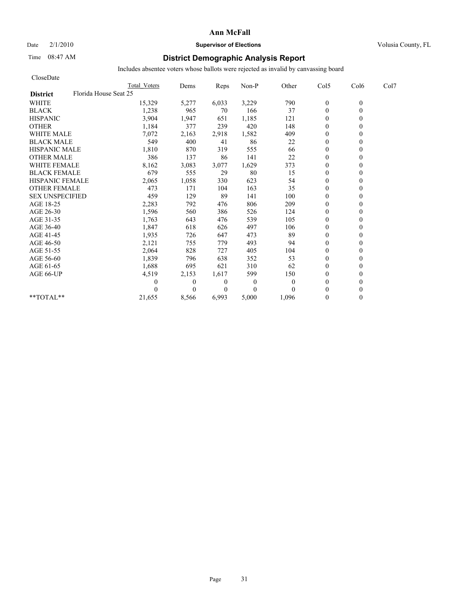Date  $2/1/2010$  **Supervisor of Elections Supervisor of Elections** Volusia County, FL

## Time 08:47 AM **District Demographic Analysis Report**

| CloseDate              |                       |              |                |                |          |                |          |      |
|------------------------|-----------------------|--------------|----------------|----------------|----------|----------------|----------|------|
|                        | Total Voters          | Dems         | Reps           | Non-P          | Other    | Col5           | Col6     | Col7 |
| <b>District</b>        | Florida House Seat 25 |              |                |                |          |                |          |      |
| <b>WHITE</b>           | 15,329                | 5,277        | 6,033          | 3,229          | 790      | $\bf{0}$       | $\theta$ |      |
| <b>BLACK</b>           | 1,238                 | 965          | 70             | 166            | 37       | $\mathbf{0}$   | $\theta$ |      |
| <b>HISPANIC</b>        | 3,904                 | 1,947        | 651            | 1,185          | 121      | $\mathbf{0}$   |          |      |
| <b>OTHER</b>           | 1,184                 | 377          | 239            | 420            | 148      | $\theta$       |          |      |
| <b>WHITE MALE</b>      | 7,072                 | 2,163        | 2,918          | 1,582          | 409      | $\mathbf{0}$   |          |      |
| <b>BLACK MALE</b>      | 549                   | 400          | 41             | 86             | 22       | $\mathbf{0}$   |          |      |
| <b>HISPANIC MALE</b>   | 1,810                 | 870          | 319            | 555            | 66       | $\theta$       |          |      |
| <b>OTHER MALE</b>      | 386                   | 137          | 86             | 141            | 22       | $\theta$       |          |      |
| <b>WHITE FEMALE</b>    | 8,162                 | 3,083        | 3,077          | 1,629          | 373      | $\theta$       |          |      |
| <b>BLACK FEMALE</b>    | 679                   | 555          | 29             | 80             | 15       | $\theta$       |          |      |
| <b>HISPANIC FEMALE</b> | 2,065                 | 1,058        | 330            | 623            | 54       | $\mathbf{0}$   |          |      |
| <b>OTHER FEMALE</b>    | 473                   | 171          | 104            | 163            | 35       | $\mathbf{0}$   |          |      |
| <b>SEX UNSPECIFIED</b> | 459                   | 129          | 89             | 141            | 100      | $\mathbf{0}$   |          |      |
| AGE 18-25              | 2,283                 | 792          | 476            | 806            | 209      | $\mathbf{0}$   |          |      |
| AGE 26-30              | 1,596                 | 560          | 386            | 526            | 124      | $\theta$       |          |      |
| AGE 31-35              | 1,763                 | 643          | 476            | 539            | 105      | $\theta$       |          |      |
| AGE 36-40              | 1,847                 | 618          | 626            | 497            | 106      | $\theta$       |          |      |
| AGE 41-45              | 1,935                 | 726          | 647            | 473            | 89       | $\overline{0}$ |          |      |
| AGE 46-50              | 2,121                 | 755          | 779            | 493            | 94       | $\mathbf{0}$   |          |      |
| AGE 51-55              | 2,064                 | 828          | 727            | 405            | 104      | $\theta$       |          |      |
| AGE 56-60              | 1,839                 | 796          | 638            | 352            | 53       | $\theta$       |          |      |
| AGE 61-65              | 1,688                 | 695          | 621            | 310            | 62       | $\theta$       |          |      |
| AGE 66-UP              | 4,519                 | 2,153        | 1,617          | 599            | 150      | $\mathbf{0}$   |          |      |
|                        |                       | $\mathbf{0}$ | $\theta$       | $\overline{0}$ | $\Omega$ | $\mathbf{0}$   |          |      |
|                        |                       | $\theta$     | $\overline{0}$ | $\Omega$       | $\Omega$ | $\theta$       |          |      |
| **TOTAL**              | 21.655                | 8,566        | 6,993          | 5,000          | 1,096    | $\theta$       | 0        |      |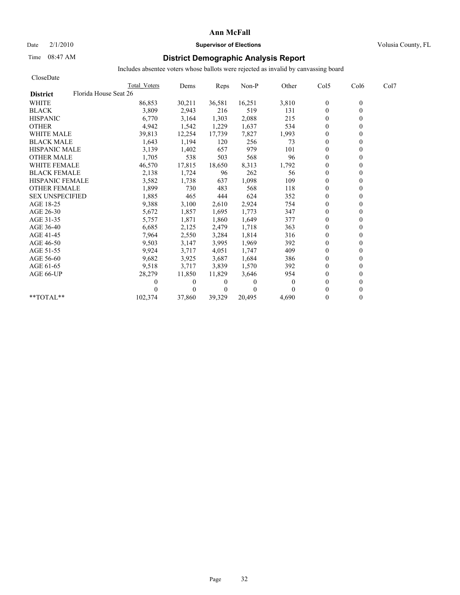### Date  $2/1/2010$  **Supervisor of Elections Supervisor of Elections** Volusia County, FL

## Time 08:47 AM **District Demographic Analysis Report**

| CloseDate              |                       |          |                |          |          |              |                  |      |
|------------------------|-----------------------|----------|----------------|----------|----------|--------------|------------------|------|
|                        | Total Voters          | Dems     | Reps           | Non-P    | Other    | Col5         | Col <sub>6</sub> | Col7 |
| <b>District</b>        | Florida House Seat 26 |          |                |          |          |              |                  |      |
| <b>WHITE</b>           | 86,853                | 30,211   | 36,581         | 16,251   | 3,810    | $\mathbf{0}$ | $\theta$         |      |
| <b>BLACK</b>           | 3,809                 | 2,943    | 216            | 519      | 131      | $\mathbf{0}$ | $\theta$         |      |
| <b>HISPANIC</b>        | 6,770                 | 3,164    | 1,303          | 2,088    | 215      | $\mathbf{0}$ |                  |      |
| <b>OTHER</b>           | 4,942                 | 1,542    | 1,229          | 1,637    | 534      | $\theta$     |                  |      |
| <b>WHITE MALE</b>      | 39,813                | 12,254   | 17,739         | 7,827    | 1,993    | $\theta$     |                  |      |
| <b>BLACK MALE</b>      | 1,643                 | 1,194    | 120            | 256      | 73       | $\mathbf{0}$ |                  |      |
| <b>HISPANIC MALE</b>   | 3,139                 | 1,402    | 657            | 979      | 101      | $\theta$     |                  |      |
| <b>OTHER MALE</b>      | 1,705                 | 538      | 503            | 568      | 96       | $\theta$     |                  |      |
| <b>WHITE FEMALE</b>    | 46,570                | 17,815   | 18,650         | 8,313    | 1,792    | $\theta$     |                  |      |
| <b>BLACK FEMALE</b>    | 2,138                 | 1,724    | 96             | 262      | 56       | $\theta$     |                  |      |
| <b>HISPANIC FEMALE</b> | 3,582                 | 1,738    | 637            | 1,098    | 109      | $\theta$     |                  |      |
| <b>OTHER FEMALE</b>    | 1,899                 | 730      | 483            | 568      | 118      | $\theta$     |                  |      |
| <b>SEX UNSPECIFIED</b> | 1,885                 | 465      | 444            | 624      | 352      | $\mathbf{0}$ |                  |      |
| AGE 18-25              | 9,388                 | 3,100    | 2,610          | 2,924    | 754      | $\mathbf{0}$ |                  |      |
| AGE 26-30              | 5,672                 | 1,857    | 1.695          | 1,773    | 347      | $\theta$     |                  |      |
| AGE 31-35              | 5,757                 | 1,871    | 1,860          | 1,649    | 377      | $\theta$     |                  |      |
| AGE 36-40              | 6,685                 | 2,125    | 2,479          | 1,718    | 363      | $\theta$     |                  |      |
| AGE 41-45              | 7,964                 | 2,550    | 3,284          | 1,814    | 316      | $\mathbf{0}$ |                  |      |
| AGE 46-50              | 9,503                 | 3,147    | 3,995          | 1,969    | 392      | $\mathbf{0}$ |                  |      |
| AGE 51-55              | 9,924                 | 3,717    | 4,051          | 1,747    | 409      | $\theta$     |                  |      |
| AGE 56-60              | 9,682                 | 3,925    | 3,687          | 1,684    | 386      | $\theta$     |                  |      |
| AGE 61-65              | 9,518                 | 3,717    | 3,839          | 1,570    | 392      | $\theta$     |                  |      |
| AGE 66-UP              | 28,279                | 11,850   | 11,829         | 3,646    | 954      | $\theta$     |                  |      |
|                        |                       | $\bf{0}$ | $\bf{0}$       | 0        | $\Omega$ | $\theta$     |                  |      |
|                        |                       | $\theta$ | $\overline{0}$ | $\Omega$ |          | $\theta$     |                  |      |
| **TOTAL**              | 102,374               | 37.860   | 39,329         | 20.495   | 4.690    | $\theta$     | 0                |      |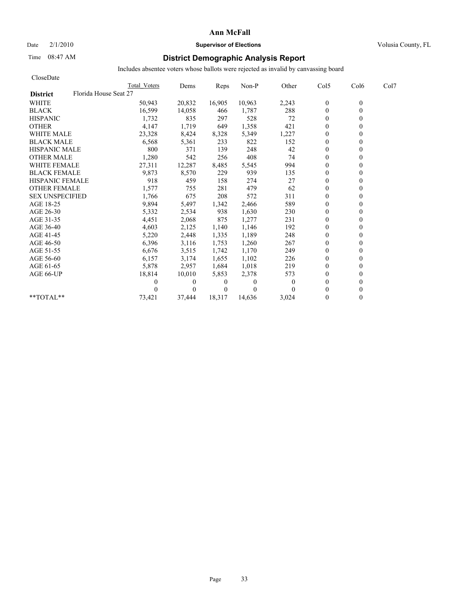Date  $2/1/2010$  **Supervisor of Elections Supervisor of Elections** Volusia County, FL

## Time 08:47 AM **District Demographic Analysis Report**

| CloseDate                                |              |                |                |          |              |                |                  |      |
|------------------------------------------|--------------|----------------|----------------|----------|--------------|----------------|------------------|------|
|                                          | Total Voters | Dems           | Reps           | Non-P    | Other        | Col5           | Col <sub>6</sub> | Col7 |
| Florida House Seat 27<br><b>District</b> |              |                |                |          |              |                |                  |      |
| <b>WHITE</b>                             | 50,943       | 20,832         | 16,905         | 10,963   | 2,243        | $\mathbf{0}$   | $\mathbf{0}$     |      |
| <b>BLACK</b>                             | 16,599       | 14,058         | 466            | 1,787    | 288          | $\mathbf{0}$   | $\theta$         |      |
| <b>HISPANIC</b>                          | 1,732        | 835            | 297            | 528      | 72           | $\overline{0}$ |                  |      |
| <b>OTHER</b>                             | 4,147        | 1,719          | 649            | 1,358    | 421          | $\theta$       |                  |      |
| <b>WHITE MALE</b>                        | 23,328       | 8,424          | 8,328          | 5,349    | 1,227        | $\theta$       |                  |      |
| <b>BLACK MALE</b>                        | 6,568        | 5,361          | 233            | 822      | 152          | $\theta$       |                  |      |
| <b>HISPANIC MALE</b>                     | 800          | 371            | 139            | 248      | 42           | $\mathbf{0}$   |                  |      |
| <b>OTHER MALE</b>                        | 1,280        | 542            | 256            | 408      | 74           | $\mathbf{0}$   |                  |      |
| <b>WHITE FEMALE</b>                      | 27,311       | 12,287         | 8,485          | 5,545    | 994          | $\theta$       |                  |      |
| <b>BLACK FEMALE</b>                      | 9,873        | 8,570          | 229            | 939      | 135          | $\theta$       |                  |      |
| <b>HISPANIC FEMALE</b>                   | 918          | 459            | 158            | 274      | 27           | $\theta$       |                  |      |
| <b>OTHER FEMALE</b>                      | 1,577        | 755            | 281            | 479      | 62           | $\overline{0}$ |                  |      |
| <b>SEX UNSPECIFIED</b>                   | 1,766        | 675            | 208            | 572      | 311          | $\theta$       |                  |      |
| AGE 18-25                                | 9,894        | 5,497          | 1,342          | 2,466    | 589          | $\theta$       |                  |      |
| AGE 26-30                                | 5,332        | 2,534          | 938            | 1,630    | 230          | $\Omega$       |                  |      |
| AGE 31-35                                | 4,451        | 2,068          | 875            | 1,277    | 231          | $\Omega$       |                  |      |
| AGE 36-40                                | 4,603        | 2,125          | 1,140          | 1,146    | 192          | $\theta$       |                  |      |
| AGE 41-45                                | 5,220        | 2,448          | 1,335          | 1,189    | 248          | $\mathbf{0}$   |                  |      |
| AGE 46-50                                | 6,396        | 3,116          | 1,753          | 1,260    | 267          | $\theta$       |                  |      |
| AGE 51-55                                | 6,676        | 3,515          | 1,742          | 1,170    | 249          | $\mathbf{0}$   |                  |      |
| AGE 56-60                                | 6,157        | 3,174          | 1,655          | 1,102    | 226          | $\overline{0}$ |                  |      |
| AGE 61-65                                | 5,878        | 2,957          | 1,684          | 1,018    | 219          | $\mathbf{0}$   |                  |      |
| AGE 66-UP                                | 18,814       | 10,010         | 5,853          | 2,378    | 573          | $\Omega$       |                  |      |
|                                          | 0            | $\overline{0}$ | $\overline{0}$ | $\Omega$ | $\mathbf{0}$ | $\Omega$       |                  |      |
|                                          |              | $\Omega$       | 0              | $\theta$ |              | $\theta$       |                  |      |
| $*$ TOTAL $*$                            | 73,421       | 37,444         | 18,317         | 14,636   | 3,024        | $\theta$       | 0                |      |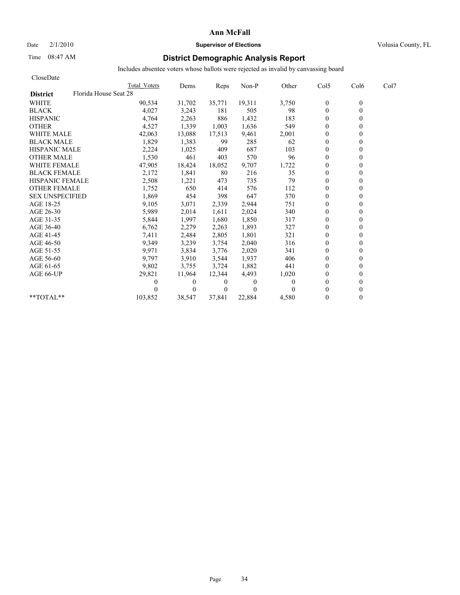### Date  $2/1/2010$  **Supervisor of Elections** Volusia County, FL

## Time 08:47 AM **District Demographic Analysis Report**

| CloseDate              |                       |              |          |                |          |          |              |                  |      |
|------------------------|-----------------------|--------------|----------|----------------|----------|----------|--------------|------------------|------|
|                        |                       | Total Voters | Dems     | Reps           | Non-P    | Other    | Col5         | Col <sub>6</sub> | Col7 |
| <b>District</b>        | Florida House Seat 28 |              |          |                |          |          |              |                  |      |
| <b>WHITE</b>           |                       | 90,534       | 31,702   | 35,771         | 19,311   | 3,750    | $\mathbf{0}$ | $\mathbf{0}$     |      |
| <b>BLACK</b>           |                       | 4,027        | 3,243    | 181            | 505      | 98       | $\mathbf{0}$ | $\theta$         |      |
| <b>HISPANIC</b>        |                       | 4,764        | 2,263    | 886            | 1,432    | 183      | $\theta$     |                  |      |
| <b>OTHER</b>           |                       | 4,527        | 1,339    | 1,003          | 1,636    | 549      | $\theta$     |                  |      |
| <b>WHITE MALE</b>      |                       | 42,063       | 13,088   | 17,513         | 9,461    | 2,001    | $\mathbf{0}$ |                  |      |
| <b>BLACK MALE</b>      |                       | 1,829        | 1,383    | 99             | 285      | 62       | $\theta$     |                  |      |
| <b>HISPANIC MALE</b>   |                       | 2,224        | 1,025    | 409            | 687      | 103      | $\mathbf{0}$ |                  |      |
| <b>OTHER MALE</b>      |                       | 1,530        | 461      | 403            | 570      | 96       | $\theta$     |                  |      |
| <b>WHITE FEMALE</b>    |                       | 47,905       | 18,424   | 18,052         | 9,707    | 1,722    | $\mathbf{0}$ |                  |      |
| <b>BLACK FEMALE</b>    |                       | 2,172        | 1,841    | 80             | 216      | 35       | $\mathbf{0}$ |                  |      |
| <b>HISPANIC FEMALE</b> |                       | 2,508        | 1,221    | 473            | 735      | 79       | $\theta$     |                  |      |
| <b>OTHER FEMALE</b>    |                       | 1,752        | 650      | 414            | 576      | 112      | $\theta$     |                  |      |
| <b>SEX UNSPECIFIED</b> |                       | 1,869        | 454      | 398            | 647      | 370      | $\theta$     |                  |      |
| AGE 18-25              |                       | 9,105        | 3,071    | 2,339          | 2,944    | 751      | $\mathbf{0}$ |                  |      |
| AGE 26-30              |                       | 5,989        | 2,014    | 1,611          | 2,024    | 340      | $\theta$     |                  |      |
| AGE 31-35              |                       | 5,844        | 1,997    | 1,680          | 1,850    | 317      | $\theta$     |                  |      |
| AGE 36-40              |                       | 6,762        | 2,279    | 2,263          | 1,893    | 327      | $\theta$     |                  |      |
| AGE 41-45              |                       | 7,411        | 2,484    | 2,805          | 1,801    | 321      | $\mathbf{0}$ |                  |      |
| AGE 46-50              |                       | 9,349        | 3,239    | 3,754          | 2,040    | 316      | $\mathbf{0}$ |                  |      |
| AGE 51-55              |                       | 9,971        | 3,834    | 3,776          | 2,020    | 341      | $\theta$     |                  |      |
| AGE 56-60              |                       | 9,797        | 3,910    | 3,544          | 1,937    | 406      | $\theta$     |                  |      |
| AGE 61-65              |                       | 9,802        | 3,755    | 3,724          | 1,882    | 441      | $\theta$     |                  |      |
| AGE 66-UP              |                       | 29,821       | 11,964   | 12,344         | 4,493    | 1,020    | $\theta$     |                  |      |
|                        |                       | 0            | $\theta$ | $\theta$       | $\Omega$ | $\theta$ | $\theta$     |                  |      |
|                        |                       |              | $\theta$ | $\overline{0}$ | $\theta$ |          | $\theta$     |                  |      |
| $*$ $TOTAI.**$         |                       | 103,852      | 38,547   | 37,841         | 22,884   | 4,580    | $\theta$     |                  |      |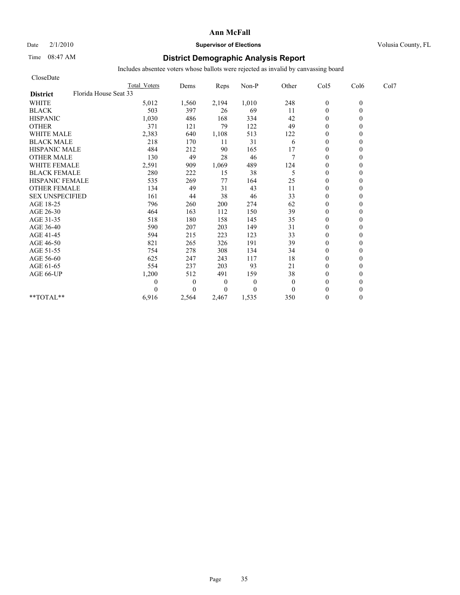### Date  $2/1/2010$  **Supervisor of Elections Supervisor of Elections** Volusia County, FL

## Time 08:47 AM **District Demographic Analysis Report**

| CloseDate              |                       |              |                  |              |              |                  |          |      |
|------------------------|-----------------------|--------------|------------------|--------------|--------------|------------------|----------|------|
|                        | <b>Total Voters</b>   | Dems         | Reps             | Non-P        | Other        | Col5             | Col6     | Col7 |
| <b>District</b>        | Florida House Seat 33 |              |                  |              |              |                  |          |      |
| <b>WHITE</b>           | 5,012                 | 1,560        | 2,194            | 1,010        | 248          | $\boldsymbol{0}$ | $\theta$ |      |
| <b>BLACK</b>           | 503                   | 397          | 26               | 69           | 11           | $\theta$         | $\theta$ |      |
| <b>HISPANIC</b>        | 1,030                 | 486          | 168              | 334          | 42           | $\theta$         |          |      |
| <b>OTHER</b>           | 371                   | 121          | 79               | 122          | 49           | $\theta$         |          |      |
| <b>WHITE MALE</b>      | 2,383                 | 640          | 1,108            | 513          | 122          | $\theta$         |          |      |
| <b>BLACK MALE</b>      | 218                   | 170          | 11               | 31           | 6            | $\mathbf{0}$     |          |      |
| <b>HISPANIC MALE</b>   | 484                   | 212          | 90               | 165          | 17           | $\mathbf{0}$     |          |      |
| <b>OTHER MALE</b>      | 130                   | 49           | 28               | 46           | $\tau$       | $\theta$         |          |      |
| <b>WHITE FEMALE</b>    | 2,591                 | 909          | 1,069            | 489          | 124          | $\theta$         |          |      |
| <b>BLACK FEMALE</b>    | 280                   | 222          | 15               | 38           | 5            | $\theta$         |          |      |
| <b>HISPANIC FEMALE</b> | 535                   | 269          | 77               | 164          | 25           | $\mathbf{0}$     |          |      |
| <b>OTHER FEMALE</b>    | 134                   | 49           | 31               | 43           | 11           | $\theta$         |          |      |
| <b>SEX UNSPECIFIED</b> | 161                   | 44           | 38               | 46           | 33           | $\theta$         |          |      |
| AGE 18-25              | 796                   | 260          | 200              | 274          | 62           | $\mathbf{0}$     |          |      |
| AGE 26-30              | 464                   | 163          | 112              | 150          | 39           | $\mathbf{0}$     |          |      |
| AGE 31-35              | 518                   | 180          | 158              | 145          | 35           | $\mathbf{0}$     |          |      |
| AGE 36-40              | 590                   | 207          | 203              | 149          | 31           | $\mathbf{0}$     |          |      |
| AGE 41-45              | 594                   | 215          | 223              | 123          | 33           | $\mathbf{0}$     |          |      |
| AGE 46-50              | 821                   | 265          | 326              | 191          | 39           | $\theta$         |          |      |
| AGE 51-55              | 754                   | 278          | 308              | 134          | 34           | $\mathbf{0}$     |          |      |
| AGE 56-60              | 625                   | 247          | 243              | 117          | 18           | $\mathbf{0}$     |          |      |
| AGE 61-65              | 554                   | 237          | 203              | 93           | 21           | $\theta$         |          |      |
| AGE 66-UP              | 1,200                 | 512          | 491              | 159          | 38           | $\mathbf{0}$     |          |      |
|                        | 0                     | $\mathbf{0}$ | $\boldsymbol{0}$ | $\mathbf{0}$ | $\mathbf{0}$ | $\theta$         |          |      |
|                        | 0                     | $\Omega$     | $\Omega$         | $\mathbf{0}$ | $\theta$     | $\theta$         |          |      |
| **TOTAL**              | 6,916                 | 2,564        | 2,467            | 1,535        | 350          | $\mathbf{0}$     | 0        |      |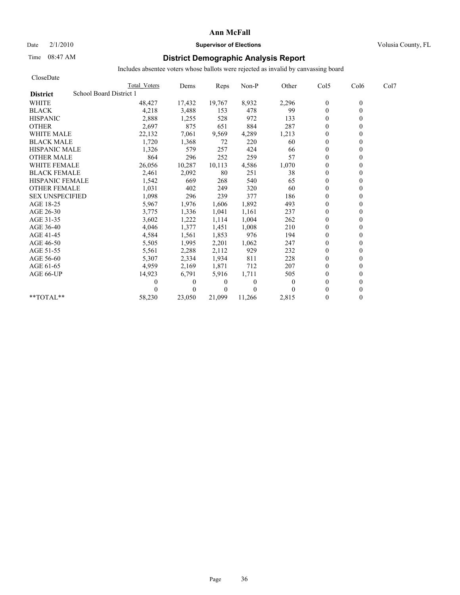## Date  $2/1/2010$  **Supervisor of Elections Supervisor of Elections** Volusia County, FL

## Time 08:47 AM **District Demographic Analysis Report**

| CloseDate                                  |              |              |          |              |          |                  |                  |      |
|--------------------------------------------|--------------|--------------|----------|--------------|----------|------------------|------------------|------|
|                                            | Total Voters | Dems         | Reps     | Non-P        | Other    | Col5             | Col <sub>6</sub> | Col7 |
| School Board District 1<br><b>District</b> |              |              |          |              |          |                  |                  |      |
| <b>WHITE</b>                               | 48,427       | 17,432       | 19,767   | 8,932        | 2,296    | $\boldsymbol{0}$ | $\mathbf{0}$     |      |
| <b>BLACK</b>                               | 4,218        | 3,488        | 153      | 478          | 99       | $\theta$         | 0                |      |
| <b>HISPANIC</b>                            | 2,888        | 1,255        | 528      | 972          | 133      | $\theta$         |                  |      |
| <b>OTHER</b>                               | 2,697        | 875          | 651      | 884          | 287      | $\theta$         |                  |      |
| <b>WHITE MALE</b>                          | 22,132       | 7,061        | 9,569    | 4,289        | 1,213    | $\theta$         |                  |      |
| <b>BLACK MALE</b>                          | 1,720        | 1,368        | 72       | 220          | 60       | $\mathbf{0}$     |                  |      |
| <b>HISPANIC MALE</b>                       | 1,326        | 579          | 257      | 424          | 66       | $\mathbf{0}$     |                  |      |
| <b>OTHER MALE</b>                          | 864          | 296          | 252      | 259          | 57       | $\overline{0}$   |                  |      |
| <b>WHITE FEMALE</b>                        | 26,056       | 10,287       | 10,113   | 4,586        | 1,070    | $\theta$         |                  |      |
| <b>BLACK FEMALE</b>                        | 2,461        | 2,092        | 80       | 251          | 38       | $\overline{0}$   |                  |      |
| <b>HISPANIC FEMALE</b>                     | 1,542        | 669          | 268      | 540          | 65       | $\theta$         |                  |      |
| <b>OTHER FEMALE</b>                        | 1,031        | 402          | 249      | 320          | 60       | $\theta$         |                  |      |
| <b>SEX UNSPECIFIED</b>                     | 1,098        | 296          | 239      | 377          | 186      | $\theta$         |                  |      |
| AGE 18-25                                  | 5,967        | 1,976        | 1,606    | 1,892        | 493      | $\theta$         |                  |      |
| AGE 26-30                                  | 3,775        | 1,336        | 1,041    | 1,161        | 237      | $\Omega$         |                  |      |
| AGE 31-35                                  | 3,602        | 1,222        | 1,114    | 1,004        | 262      | $\mathbf{0}$     |                  |      |
| AGE 36-40                                  | 4,046        | 1,377        | 1,451    | 1,008        | 210      | $\overline{0}$   |                  |      |
| AGE 41-45                                  | 4,584        | 1,561        | 1,853    | 976          | 194      | $\mathbf{0}$     |                  |      |
| AGE 46-50                                  | 5,505        | 1,995        | 2,201    | 1,062        | 247      | $\theta$         |                  |      |
| AGE 51-55                                  | 5,561        | 2,288        | 2,112    | 929          | 232      | $\mathbf{0}$     |                  |      |
| AGE 56-60                                  | 5,307        | 2,334        | 1,934    | 811          | 228      | $\overline{0}$   |                  |      |
| AGE 61-65                                  | 4,959        | 2,169        | 1,871    | 712          | 207      | $\theta$         |                  |      |
| AGE 66-UP                                  | 14,923       | 6,791        | 5,916    | 1,711        | 505      | $\theta$         |                  |      |
|                                            | 0            | $\mathbf{0}$ | 0        | $\mathbf{0}$ | $\theta$ | $\theta$         |                  |      |
|                                            |              | $\theta$     | $\Omega$ | $\theta$     |          | $\Omega$         |                  |      |
| $*$ TOTAL $*$                              | 58,230       | 23.050       | 21,099   | 11,266       | 2,815    | $\theta$         | 0                |      |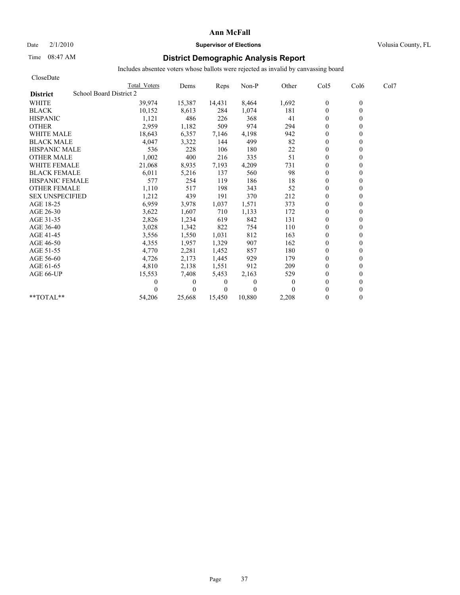# Date  $2/1/2010$  **Supervisor of Elections Supervisor of Elections** Volusia County, FL

# Time 08:47 AM **District Demographic Analysis Report**

| CloseDate                                  |              |              |          |          |              |                |                  |      |
|--------------------------------------------|--------------|--------------|----------|----------|--------------|----------------|------------------|------|
|                                            | Total Voters | Dems         | Reps     | Non-P    | Other        | Col5           | Col <sub>6</sub> | Col7 |
| School Board District 2<br><b>District</b> |              |              |          |          |              |                |                  |      |
| <b>WHITE</b>                               | 39,974       | 15,387       | 14,431   | 8,464    | 1,692        | $\mathbf{0}$   | $\mathbf{0}$     |      |
| <b>BLACK</b>                               | 10,152       | 8,613        | 284      | 1,074    | 181          | $\mathbf{0}$   | 0                |      |
| <b>HISPANIC</b>                            | 1,121        | 486          | 226      | 368      | 41           | $\theta$       |                  |      |
| <b>OTHER</b>                               | 2,959        | 1,182        | 509      | 974      | 294          | $\theta$       |                  |      |
| <b>WHITE MALE</b>                          | 18,643       | 6,357        | 7,146    | 4,198    | 942          | $\theta$       |                  |      |
| <b>BLACK MALE</b>                          | 4,047        | 3,322        | 144      | 499      | 82           | $\mathbf{0}$   |                  |      |
| <b>HISPANIC MALE</b>                       | 536          | 228          | 106      | 180      | 22           | $\theta$       |                  |      |
| <b>OTHER MALE</b>                          | 1,002        | 400          | 216      | 335      | 51           | $\overline{0}$ |                  |      |
| <b>WHITE FEMALE</b>                        | 21,068       | 8,935        | 7,193    | 4,209    | 731          | $\theta$       |                  |      |
| <b>BLACK FEMALE</b>                        | 6,011        | 5,216        | 137      | 560      | 98           | $\overline{0}$ |                  |      |
| <b>HISPANIC FEMALE</b>                     | 577          | 254          | 119      | 186      | 18           | $\mathbf{0}$   |                  |      |
| <b>OTHER FEMALE</b>                        | 1,110        | 517          | 198      | 343      | 52           | $\theta$       |                  |      |
| <b>SEX UNSPECIFIED</b>                     | 1,212        | 439          | 191      | 370      | 212          | $\theta$       |                  |      |
| AGE 18-25                                  | 6,959        | 3,978        | 1,037    | 1,571    | 373          | $\theta$       |                  |      |
| AGE 26-30                                  | 3,622        | 1,607        | 710      | 1,133    | 172          | $\overline{0}$ |                  |      |
| AGE 31-35                                  | 2,826        | 1,234        | 619      | 842      | 131          | $\mathbf{0}$   |                  |      |
| AGE 36-40                                  | 3,028        | 1,342        | 822      | 754      | 110          | $\overline{0}$ |                  |      |
| AGE 41-45                                  | 3,556        | 1,550        | 1,031    | 812      | 163          | $\mathbf{0}$   |                  |      |
| AGE 46-50                                  | 4,355        | 1,957        | 1,329    | 907      | 162          | $\theta$       |                  |      |
| AGE 51-55                                  | 4,770        | 2,281        | 1,452    | 857      | 180          | $\mathbf{0}$   |                  |      |
| AGE 56-60                                  | 4,726        | 2,173        | 1,445    | 929      | 179          | $\overline{0}$ |                  |      |
| AGE 61-65                                  | 4,810        | 2,138        | 1,551    | 912      | 209          | $\theta$       |                  |      |
| AGE 66-UP                                  | 15,553       | 7,408        | 5,453    | 2,163    | 529          | $\theta$       |                  |      |
|                                            | 0            | $\mathbf{0}$ | 0        | $\Omega$ | $\mathbf{0}$ | $\theta$       |                  |      |
|                                            |              | $\Omega$     | $\Omega$ | $\theta$ |              | $\theta$       |                  |      |
| $*$ $TOTAI.**$                             | 54,206       | 25.668       | 15.450   | 10,880   | 2,208        | $\theta$       | 0                |      |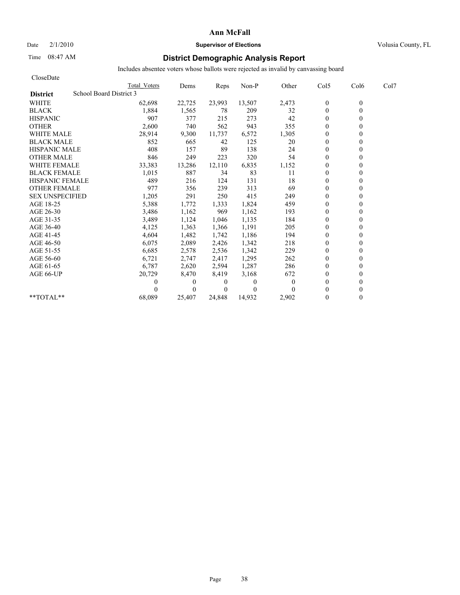# Date  $2/1/2010$  **Supervisor of Elections Supervisor of Elections** Volusia County, FL

# Time 08:47 AM **District Demographic Analysis Report**

| CloseDate                                  |              |              |          |              |          |                  |                  |      |
|--------------------------------------------|--------------|--------------|----------|--------------|----------|------------------|------------------|------|
|                                            | Total Voters | Dems         | Reps     | Non-P        | Other    | Col5             | Col <sub>6</sub> | Col7 |
| School Board District 3<br><b>District</b> |              |              |          |              |          |                  |                  |      |
| <b>WHITE</b>                               | 62,698       | 22,725       | 23,993   | 13,507       | 2,473    | $\boldsymbol{0}$ | $\mathbf{0}$     |      |
| <b>BLACK</b>                               | 1,884        | 1,565        | 78       | 209          | 32       | $\mathbf{0}$     | 0                |      |
| <b>HISPANIC</b>                            | 907          | 377          | 215      | 273          | 42       | $\overline{0}$   |                  |      |
| <b>OTHER</b>                               | 2,600        | 740          | 562      | 943          | 355      | $\theta$         |                  |      |
| <b>WHITE MALE</b>                          | 28,914       | 9,300        | 11,737   | 6,572        | 1,305    | $\theta$         |                  |      |
| <b>BLACK MALE</b>                          | 852          | 665          | 42       | 125          | 20       | $\mathbf{0}$     |                  |      |
| <b>HISPANIC MALE</b>                       | 408          | 157          | 89       | 138          | 24       | $\theta$         |                  |      |
| <b>OTHER MALE</b>                          | 846          | 249          | 223      | 320          | 54       | $\overline{0}$   |                  |      |
| <b>WHITE FEMALE</b>                        | 33,383       | 13,286       | 12,110   | 6,835        | 1,152    | $\theta$         |                  |      |
| <b>BLACK FEMALE</b>                        | 1,015        | 887          | 34       | 83           | 11       | $\overline{0}$   |                  |      |
| <b>HISPANIC FEMALE</b>                     | 489          | 216          | 124      | 131          | 18       | $\theta$         |                  |      |
| <b>OTHER FEMALE</b>                        | 977          | 356          | 239      | 313          | 69       | $\theta$         |                  |      |
| <b>SEX UNSPECIFIED</b>                     | 1,205        | 291          | 250      | 415          | 249      | $\theta$         |                  |      |
| AGE 18-25                                  | 5,388        | 1,772        | 1,333    | 1,824        | 459      | $\theta$         |                  |      |
| AGE 26-30                                  | 3,486        | 1,162        | 969      | 1,162        | 193      | $\Omega$         |                  |      |
| AGE 31-35                                  | 3,489        | 1,124        | 1,046    | 1,135        | 184      | $\mathbf{0}$     |                  |      |
| AGE 36-40                                  | 4,125        | 1,363        | 1,366    | 1,191        | 205      | $\overline{0}$   |                  |      |
| AGE 41-45                                  | 4,604        | 1,482        | 1,742    | 1,186        | 194      | $\mathbf{0}$     |                  |      |
| AGE 46-50                                  | 6,075        | 2,089        | 2,426    | 1,342        | 218      | $\theta$         |                  |      |
| AGE 51-55                                  | 6,685        | 2,578        | 2,536    | 1,342        | 229      | $\theta$         |                  |      |
| AGE 56-60                                  | 6,721        | 2,747        | 2,417    | 1,295        | 262      | $\overline{0}$   |                  |      |
| AGE 61-65                                  | 6,787        | 2,620        | 2,594    | 1,287        | 286      | $\Omega$         |                  |      |
| AGE 66-UP                                  | 20,729       | 8,470        | 8,419    | 3,168        | 672      | $\Omega$         |                  |      |
|                                            | 0            | $\mathbf{0}$ | 0        | $\mathbf{0}$ | $\Omega$ | $\overline{0}$   |                  |      |
|                                            |              | $\theta$     | $\Omega$ | $\Omega$     |          | $\Omega$         |                  |      |
| $*$ $TOTAI.**$                             | 68,089       | 25,407       | 24.848   | 14.932       | 2,902    | $\theta$         | 0                |      |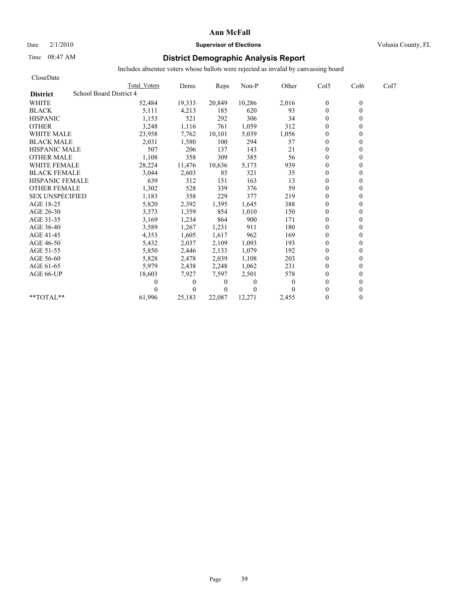Date  $2/1/2010$  **Supervisor of Elections Supervisor of Elections** Volusia County, FL

# Time 08:47 AM **District Demographic Analysis Report**

| CloseDate                                  |              |              |                |          |              |                |                  |      |
|--------------------------------------------|--------------|--------------|----------------|----------|--------------|----------------|------------------|------|
|                                            | Total Voters | Dems         | Reps           | Non-P    | Other        | Col5           | Col <sub>6</sub> | Col7 |
| School Board District 4<br><b>District</b> |              |              |                |          |              |                |                  |      |
| <b>WHITE</b>                               | 52,484       | 19,333       | 20,849         | 10,286   | 2,016        | $\mathbf{0}$   | $\mathbf{0}$     |      |
| <b>BLACK</b>                               | 5,111        | 4,213        | 185            | 620      | 93           | $\mathbf{0}$   | 0                |      |
| <b>HISPANIC</b>                            | 1,153        | 521          | 292            | 306      | 34           | $\overline{0}$ |                  |      |
| <b>OTHER</b>                               | 3,248        | 1,116        | 761            | 1,059    | 312          | $\theta$       |                  |      |
| <b>WHITE MALE</b>                          | 23,958       | 7,762        | 10,101         | 5,039    | 1,056        | $\theta$       |                  |      |
| <b>BLACK MALE</b>                          | 2,031        | 1,580        | 100            | 294      | 57           | $\theta$       |                  |      |
| <b>HISPANIC MALE</b>                       | 507          | 206          | 137            | 143      | 21           | $\mathbf{0}$   |                  |      |
| <b>OTHER MALE</b>                          | 1,108        | 358          | 309            | 385      | 56           | $\mathbf{0}$   |                  |      |
| <b>WHITE FEMALE</b>                        | 28,224       | 11,476       | 10,636         | 5,173    | 939          | $\theta$       |                  |      |
| <b>BLACK FEMALE</b>                        | 3,044        | 2,603        | 85             | 321      | 35           | $\overline{0}$ |                  |      |
| <b>HISPANIC FEMALE</b>                     | 639          | 312          | 151            | 163      | 13           | $\theta$       |                  |      |
| <b>OTHER FEMALE</b>                        | 1,302        | 528          | 339            | 376      | 59           | $\overline{0}$ |                  |      |
| <b>SEX UNSPECIFIED</b>                     | 1,183        | 358          | 229            | 377      | 219          | $\theta$       |                  |      |
| AGE 18-25                                  | 5,820        | 2,392        | 1,395          | 1,645    | 388          | $\theta$       |                  |      |
| AGE 26-30                                  | 3,373        | 1,359        | 854            | 1,010    | 150          | $\Omega$       |                  |      |
| AGE 31-35                                  | 3,169        | 1,234        | 864            | 900      | 171          | $\Omega$       |                  |      |
| AGE 36-40                                  | 3,589        | 1,267        | 1,231          | 911      | 180          | $\theta$       |                  |      |
| AGE 41-45                                  | 4,353        | 1,605        | 1,617          | 962      | 169          | $\mathbf{0}$   |                  |      |
| AGE 46-50                                  | 5,432        | 2,037        | 2,109          | 1,093    | 193          | $\theta$       |                  |      |
| AGE 51-55                                  | 5,850        | 2,446        | 2,133          | 1,079    | 192          | $\mathbf{0}$   |                  |      |
| AGE 56-60                                  | 5,828        | 2,478        | 2,039          | 1,108    | 203          | $\overline{0}$ |                  |      |
| AGE 61-65                                  | 5,979        | 2,438        | 2,248          | 1,062    | 231          | $\mathbf{0}$   |                  |      |
| AGE 66-UP                                  | 18,603       | 7,927        | 7,597          | 2,501    | 578          | $\Omega$       |                  |      |
|                                            | 0            | $\mathbf{0}$ | $\overline{0}$ | $\Omega$ | $\mathbf{0}$ | $\Omega$       |                  |      |
|                                            |              | $\theta$     | $\overline{0}$ | $\theta$ |              | $\theta$       |                  |      |
| $*$ $TOTAI.**$                             | 61,996       | 25,183       | 22,087         | 12,271   | 2,455        | $\theta$       |                  |      |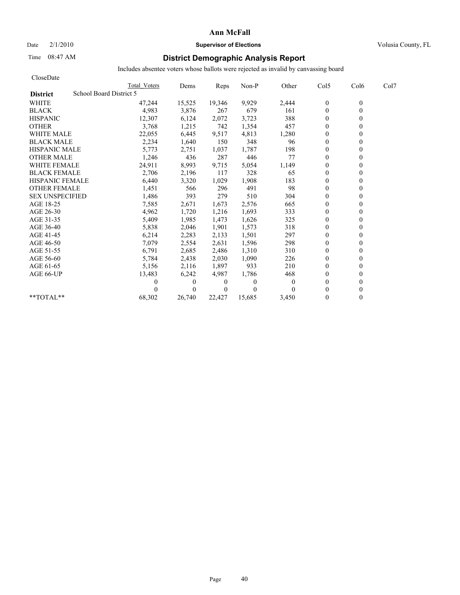## Date  $2/1/2010$  **Supervisor of Elections Supervisor of Elections** Volusia County, FL

# Time 08:47 AM **District Demographic Analysis Report**

| CloseDate                                  |              |              |          |              |          |                |                  |      |
|--------------------------------------------|--------------|--------------|----------|--------------|----------|----------------|------------------|------|
|                                            | Total Voters | Dems         | Reps     | Non-P        | Other    | Col5           | Col <sub>6</sub> | Col7 |
| School Board District 5<br><b>District</b> |              |              |          |              |          |                |                  |      |
| <b>WHITE</b>                               | 47,244       | 15,525       | 19,346   | 9,929        | 2,444    | $\mathbf{0}$   | $\mathbf{0}$     |      |
| <b>BLACK</b>                               | 4,983        | 3,876        | 267      | 679          | 161      | $\mathbf{0}$   | 0                |      |
| <b>HISPANIC</b>                            | 12,307       | 6,124        | 2,072    | 3,723        | 388      | $\theta$       |                  |      |
| <b>OTHER</b>                               | 3,768        | 1,215        | 742      | 1,354        | 457      | $\theta$       |                  |      |
| <b>WHITE MALE</b>                          | 22,055       | 6,445        | 9,517    | 4,813        | 1,280    | $\theta$       |                  |      |
| <b>BLACK MALE</b>                          | 2,234        | 1,640        | 150      | 348          | 96       | $\mathbf{0}$   |                  |      |
| <b>HISPANIC MALE</b>                       | 5,773        | 2,751        | 1,037    | 1,787        | 198      | $\theta$       |                  |      |
| <b>OTHER MALE</b>                          | 1,246        | 436          | 287      | 446          | 77       | $\overline{0}$ |                  |      |
| <b>WHITE FEMALE</b>                        | 24,911       | 8,993        | 9,715    | 5,054        | 1,149    | $\theta$       |                  |      |
| <b>BLACK FEMALE</b>                        | 2,706        | 2,196        | 117      | 328          | 65       | $\overline{0}$ |                  |      |
| HISPANIC FEMALE                            | 6,440        | 3,320        | 1,029    | 1,908        | 183      | $\mathbf{0}$   |                  |      |
| <b>OTHER FEMALE</b>                        | 1,451        | 566          | 296      | 491          | 98       | $\theta$       |                  |      |
| <b>SEX UNSPECIFIED</b>                     | 1,486        | 393          | 279      | 510          | 304      | $\theta$       |                  |      |
| AGE 18-25                                  | 7,585        | 2,671        | 1,673    | 2,576        | 665      | $\theta$       |                  |      |
| AGE 26-30                                  | 4,962        | 1,720        | 1,216    | 1,693        | 333      | $\overline{0}$ |                  |      |
| AGE 31-35                                  | 5,409        | 1,985        | 1,473    | 1,626        | 325      | $\mathbf{0}$   |                  |      |
| AGE 36-40                                  | 5,838        | 2,046        | 1,901    | 1,573        | 318      | $\overline{0}$ |                  |      |
| AGE 41-45                                  | 6,214        | 2,283        | 2,133    | 1,501        | 297      | $\mathbf{0}$   |                  |      |
| AGE 46-50                                  | 7,079        | 2,554        | 2,631    | 1,596        | 298      | $\theta$       |                  |      |
| AGE 51-55                                  | 6,791        | 2,685        | 2,486    | 1,310        | 310      | $\theta$       |                  |      |
| AGE 56-60                                  | 5,784        | 2,438        | 2,030    | 1,090        | 226      | $\overline{0}$ |                  |      |
| AGE 61-65                                  | 5,156        | 2,116        | 1,897    | 933          | 210      | $\theta$       |                  |      |
| AGE 66-UP                                  | 13,483       | 6,242        | 4,987    | 1,786        | 468      | $\Omega$       |                  |      |
|                                            | 0            | $\mathbf{0}$ | 0        | $\mathbf{0}$ | $\theta$ | $\Omega$       |                  |      |
|                                            |              | $\theta$     | $\Omega$ | $\theta$     | $\Omega$ | $\Omega$       |                  |      |
| $*$ $TOTAI.**$                             | 68,302       | 26.740       | 22.427   | 15,685       | 3.450    | $\theta$       | 0                |      |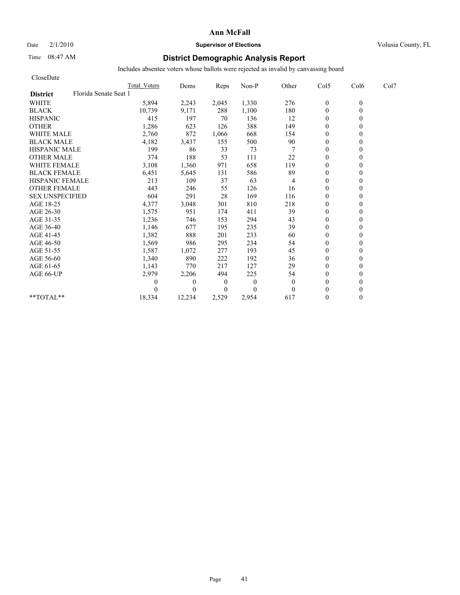# Date  $2/1/2010$  **Supervisor of Elections** Volusia County, FL

# Time 08:47 AM **District Demographic Analysis Report**

| CloseDate                                |                     |          |                |              |          |                  |          |      |
|------------------------------------------|---------------------|----------|----------------|--------------|----------|------------------|----------|------|
|                                          | <b>Total Voters</b> | Dems     | Reps           | Non-P        | Other    | Col5             | Col6     | Col7 |
| Florida Senate Seat 1<br><b>District</b> |                     |          |                |              |          |                  |          |      |
| <b>WHITE</b>                             | 5,894               | 2,243    | 2,045          | 1,330        | 276      | $\boldsymbol{0}$ | $\theta$ |      |
| <b>BLACK</b>                             | 10,739              | 9,171    | 288            | 1,100        | 180      | $\theta$         | $\theta$ |      |
| <b>HISPANIC</b>                          | 415                 | 197      | 70             | 136          | 12       | $\mathbf{0}$     |          |      |
| <b>OTHER</b>                             | 1,286               | 623      | 126            | 388          | 149      | $\theta$         |          |      |
| <b>WHITE MALE</b>                        | 2,760               | 872      | 1,066          | 668          | 154      | $\theta$         |          |      |
| <b>BLACK MALE</b>                        | 4,182               | 3,437    | 155            | 500          | $90\,$   | $\mathbf{0}$     |          |      |
| <b>HISPANIC MALE</b>                     | 199                 | 86       | 33             | 73           |          | $\theta$         |          |      |
| <b>OTHER MALE</b>                        | 374                 | 188      | 53             | 111          | 22       | $\theta$         |          |      |
| <b>WHITE FEMALE</b>                      | 3,108               | 1,360    | 971            | 658          | 119      | $\theta$         |          |      |
| <b>BLACK FEMALE</b>                      | 6,451               | 5,645    | 131            | 586          | 89       | $\overline{0}$   |          |      |
| <b>HISPANIC FEMALE</b>                   | 213                 | 109      | 37             | 63           | 4        | $\theta$         |          |      |
| <b>OTHER FEMALE</b>                      | 443                 | 246      | 55             | 126          | 16       | $\theta$         |          |      |
| <b>SEX UNSPECIFIED</b>                   | 604                 | 291      | 28             | 169          | 116      | $\theta$         |          |      |
| AGE 18-25                                | 4,377               | 3,048    | 301            | 810          | 218      | $\theta$         |          |      |
| AGE 26-30                                | 1,575               | 951      | 174            | 411          | 39       | $\mathbf{0}$     |          |      |
| AGE 31-35                                | 1,236               | 746      | 153            | 294          | 43       | $\mathbf{0}$     |          |      |
| AGE 36-40                                | 1,146               | 677      | 195            | 235          | 39       | $\mathbf{0}$     |          |      |
| AGE 41-45                                | 1,382               | 888      | 201            | 233          | 60       | $\mathbf{0}$     |          |      |
| AGE 46-50                                | 1,569               | 986      | 295            | 234          | 54       | $\theta$         |          |      |
| AGE 51-55                                | 1,587               | 1,072    | 277            | 193          | 45       | $\mathbf{0}$     |          |      |
| AGE 56-60                                | 1,340               | 890      | 222            | 192          | 36       | $\overline{0}$   |          |      |
| AGE 61-65                                | 1,143               | 770      | 217            | 127          | 29       | $\theta$         |          |      |
| AGE 66-UP                                | 2,979               | 2,206    | 494            | 225          | 54       | $\mathbf{0}$     |          |      |
|                                          | 0                   | $\theta$ | $\overline{0}$ | $\mathbf{0}$ | $\theta$ | $\theta$         |          |      |
|                                          | $\Omega$            | $\Omega$ | $\Omega$       | $\theta$     | $\theta$ | $\theta$         |          |      |
| **TOTAL**                                | 18,334              | 12,234   | 2,529          | 2,954        | 617      | $\mathbf{0}$     | 0        |      |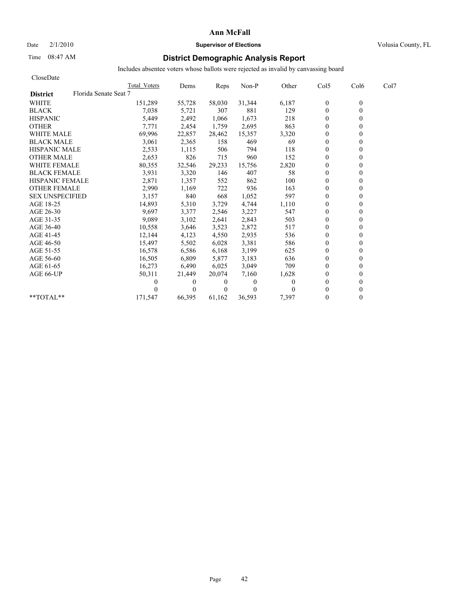# Date  $2/1/2010$  **Supervisor of Elections Supervisor of Elections** Volusia County, FL

# Time 08:47 AM **District Demographic Analysis Report**

| CloseDate                                |              |          |          |              |       |                  |                  |      |
|------------------------------------------|--------------|----------|----------|--------------|-------|------------------|------------------|------|
|                                          | Total Voters | Dems     | Reps     | Non-P        | Other | Col5             | Col <sub>6</sub> | Col7 |
| Florida Senate Seat 7<br><b>District</b> |              |          |          |              |       |                  |                  |      |
| <b>WHITE</b>                             | 151,289      | 55,728   | 58,030   | 31,344       | 6,187 | $\boldsymbol{0}$ | $\mathbf{0}$     |      |
| <b>BLACK</b>                             | 7,038        | 5,721    | 307      | 881          | 129   | $\mathbf{0}$     | 0                |      |
| <b>HISPANIC</b>                          | 5,449        | 2,492    | 1,066    | 1,673        | 218   | $\theta$         |                  |      |
| <b>OTHER</b>                             | 7,771        | 2,454    | 1,759    | 2,695        | 863   | $\theta$         |                  |      |
| <b>WHITE MALE</b>                        | 69,996       | 22,857   | 28,462   | 15,357       | 3,320 | $\theta$         |                  |      |
| <b>BLACK MALE</b>                        | 3,061        | 2,365    | 158      | 469          | 69    | $\mathbf{0}$     |                  |      |
| <b>HISPANIC MALE</b>                     | 2,533        | 1,115    | 506      | 794          | 118   | $\theta$         |                  |      |
| <b>OTHER MALE</b>                        | 2,653        | 826      | 715      | 960          | 152   | $\overline{0}$   |                  |      |
| <b>WHITE FEMALE</b>                      | 80,355       | 32,546   | 29,233   | 15,756       | 2,820 | $\theta$         |                  |      |
| <b>BLACK FEMALE</b>                      | 3,931        | 3,320    | 146      | 407          | 58    | $\overline{0}$   |                  |      |
| <b>HISPANIC FEMALE</b>                   | 2,871        | 1,357    | 552      | 862          | 100   | $\theta$         |                  |      |
| <b>OTHER FEMALE</b>                      | 2,990        | 1,169    | 722      | 936          | 163   | $\theta$         |                  |      |
| <b>SEX UNSPECIFIED</b>                   | 3,157        | 840      | 668      | 1,052        | 597   | $\theta$         |                  |      |
| AGE 18-25                                | 14,893       | 5,310    | 3,729    | 4,744        | 1,110 | $\theta$         |                  |      |
| AGE 26-30                                | 9.697        | 3,377    | 2,546    | 3,227        | 547   | $\overline{0}$   |                  |      |
| AGE 31-35                                | 9,089        | 3,102    | 2,641    | 2,843        | 503   | $\mathbf{0}$     |                  |      |
| AGE 36-40                                | 10,558       | 3,646    | 3,523    | 2,872        | 517   | $\overline{0}$   |                  |      |
| AGE 41-45                                | 12,144       | 4,123    | 4,550    | 2,935        | 536   | $\mathbf{0}$     |                  |      |
| AGE 46-50                                | 15,497       | 5,502    | 6,028    | 3,381        | 586   | $\theta$         |                  |      |
| AGE 51-55                                | 16,578       | 6,586    | 6,168    | 3,199        | 625   | $\theta$         |                  |      |
| AGE 56-60                                | 16,505       | 6,809    | 5,877    | 3,183        | 636   | $\overline{0}$   |                  |      |
| AGE 61-65                                | 16,273       | 6,490    | 6,025    | 3,049        | 709   | $\theta$         |                  |      |
| AGE 66-UP                                | 50,311       | 21,449   | 20,074   | 7,160        | 1,628 | $\Omega$         |                  |      |
|                                          | 0            | $\bf{0}$ | 0        | $\mathbf{0}$ | 0     | $\Omega$         |                  |      |
|                                          |              | 0        | $\theta$ | $\theta$     |       | $\Omega$         |                  |      |
| $*$ $TOTAI.**$                           | 171.547      | 66,395   | 61.162   | 36,593       | 7,397 | $\theta$         | 0                |      |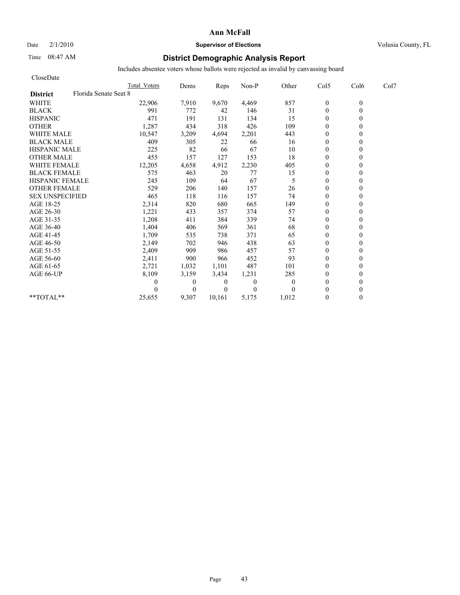## Date  $2/1/2010$  **Supervisor of Elections** Volusia County, FL

# Time 08:47 AM **District Demographic Analysis Report**

| CloseDate              |                       |                     |              |          |              |          |                  |          |      |
|------------------------|-----------------------|---------------------|--------------|----------|--------------|----------|------------------|----------|------|
|                        |                       | <b>Total Voters</b> | Dems         | Reps     | Non-P        | Other    | Col5             | Col6     | Col7 |
| <b>District</b>        | Florida Senate Seat 8 |                     |              |          |              |          |                  |          |      |
| <b>WHITE</b>           |                       | 22,906              | 7,910        | 9,670    | 4,469        | 857      | $\boldsymbol{0}$ | $\theta$ |      |
| <b>BLACK</b>           |                       | 991                 | 772          | 42       | 146          | 31       | $\mathbf{0}$     | 0        |      |
| <b>HISPANIC</b>        |                       | 471                 | 191          | 131      | 134          | 15       | $\mathbf{0}$     |          |      |
| <b>OTHER</b>           |                       | 1,287               | 434          | 318      | 426          | 109      | $\theta$         |          |      |
| <b>WHITE MALE</b>      |                       | 10,547              | 3,209        | 4,694    | 2,201        | 443      | $\theta$         |          |      |
| <b>BLACK MALE</b>      |                       | 409                 | 305          | 22       | 66           | 16       | $\mathbf{0}$     |          |      |
| <b>HISPANIC MALE</b>   |                       | 225                 | 82           | 66       | 67           | 10       | $\mathbf{0}$     |          |      |
| <b>OTHER MALE</b>      |                       | 455                 | 157          | 127      | 153          | 18       | $\mathbf{0}$     |          |      |
| <b>WHITE FEMALE</b>    |                       | 12,205              | 4,658        | 4,912    | 2,230        | 405      | $\theta$         |          |      |
| <b>BLACK FEMALE</b>    |                       | 575                 | 463          | 20       | 77           | 15       | $\overline{0}$   |          |      |
| <b>HISPANIC FEMALE</b> |                       | 245                 | 109          | 64       | 67           | 5        | $\mathbf{0}$     |          |      |
| <b>OTHER FEMALE</b>    |                       | 529                 | 206          | 140      | 157          | 26       | $\theta$         |          |      |
| <b>SEX UNSPECIFIED</b> |                       | 465                 | 118          | 116      | 157          | 74       | $\theta$         |          |      |
| AGE 18-25              |                       | 2,314               | 820          | 680      | 665          | 149      | $\theta$         |          |      |
| AGE 26-30              |                       | 1,221               | 433          | 357      | 374          | 57       | $\mathbf{0}$     |          |      |
| AGE 31-35              |                       | 1,208               | 411          | 384      | 339          | 74       | $\mathbf{0}$     |          |      |
| AGE 36-40              |                       | 1,404               | 406          | 569      | 361          | 68       | $\overline{0}$   |          |      |
| AGE 41-45              |                       | 1,709               | 535          | 738      | 371          | 65       | $\mathbf{0}$     |          |      |
| AGE 46-50              |                       | 2,149               | 702          | 946      | 438          | 63       | $\theta$         |          |      |
| AGE 51-55              |                       | 2,409               | 909          | 986      | 457          | 57       | $\mathbf{0}$     |          |      |
| AGE 56-60              |                       | 2,411               | 900          | 966      | 452          | 93       | $\mathbf{0}$     |          |      |
| AGE 61-65              |                       | 2,721               | 1,032        | 1,101    | 487          | 101      | $\theta$         |          |      |
| AGE 66-UP              |                       | 8,109               | 3,159        | 3,434    | 1,231        | 285      | $\mathbf{0}$     |          |      |
|                        |                       | 0                   | $\mathbf{0}$ | 0        | $\mathbf{0}$ | $\theta$ | $\mathbf{0}$     |          |      |
|                        |                       |                     | $\theta$     | $\Omega$ | $\theta$     | $\theta$ | $\theta$         |          |      |
| $*$ $TOTAI.**$         |                       | 25,655              | 9,307        | 10.161   | 5,175        | 1,012    | $\theta$         | 0        |      |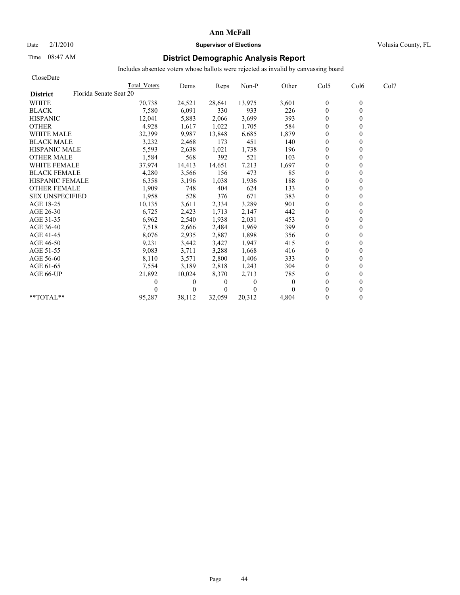# Date  $2/1/2010$  **Supervisor of Elections Supervisor of Elections** Volusia County, FL

# Time 08:47 AM **District Demographic Analysis Report**

| CloseDate                                 |              |                |                |              |              |                  |                  |      |
|-------------------------------------------|--------------|----------------|----------------|--------------|--------------|------------------|------------------|------|
|                                           | Total Voters | Dems           | Reps           | Non-P        | Other        | Col5             | Col <sub>6</sub> | Col7 |
| Florida Senate Seat 20<br><b>District</b> |              |                |                |              |              |                  |                  |      |
| <b>WHITE</b>                              | 70,738       | 24,521         | 28,641         | 13,975       | 3,601        | $\boldsymbol{0}$ | $\mathbf{0}$     |      |
| <b>BLACK</b>                              | 7,580        | 6,091          | 330            | 933          | 226          | $\mathbf{0}$     | $\theta$         |      |
| <b>HISPANIC</b>                           | 12,041       | 5,883          | 2,066          | 3,699        | 393          | $\mathbf{0}$     |                  |      |
| <b>OTHER</b>                              | 4,928        | 1,617          | 1,022          | 1,705        | 584          | $\theta$         |                  |      |
| <b>WHITE MALE</b>                         | 32,399       | 9,987          | 13,848         | 6,685        | 1,879        | $\theta$         |                  |      |
| <b>BLACK MALE</b>                         | 3,232        | 2,468          | 173            | 451          | 140          | $\mathbf{0}$     |                  |      |
| <b>HISPANIC MALE</b>                      | 5,593        | 2,638          | 1,021          | 1,738        | 196          | $\mathbf{0}$     |                  |      |
| <b>OTHER MALE</b>                         | 1,584        | 568            | 392            | 521          | 103          | $\overline{0}$   |                  |      |
| <b>WHITE FEMALE</b>                       | 37,974       | 14,413         | 14,651         | 7,213        | 1,697        | $\theta$         |                  |      |
| <b>BLACK FEMALE</b>                       | 4,280        | 3,566          | 156            | 473          | 85           | $\overline{0}$   |                  |      |
| <b>HISPANIC FEMALE</b>                    | 6,358        | 3,196          | 1,038          | 1,936        | 188          | $\theta$         |                  |      |
| <b>OTHER FEMALE</b>                       | 1,909        | 748            | 404            | 624          | 133          | $\theta$         |                  |      |
| <b>SEX UNSPECIFIED</b>                    | 1,958        | 528            | 376            | 671          | 383          | $\theta$         |                  |      |
| AGE 18-25                                 | 10,135       | 3,611          | 2,334          | 3,289        | 901          | $\theta$         |                  |      |
| AGE 26-30                                 | 6,725        | 2,423          | 1,713          | 2,147        | 442          | $\Omega$         |                  |      |
| AGE 31-35                                 | 6,962        | 2,540          | 1,938          | 2,031        | 453          | $\mathbf{0}$     |                  |      |
| AGE 36-40                                 | 7,518        | 2,666          | 2,484          | 1,969        | 399          | $\overline{0}$   |                  |      |
| AGE 41-45                                 | 8,076        | 2,935          | 2,887          | 1,898        | 356          | $\mathbf{0}$     |                  |      |
| AGE 46-50                                 | 9,231        | 3,442          | 3,427          | 1,947        | 415          | $\theta$         |                  |      |
| AGE 51-55                                 | 9,083        | 3,711          | 3,288          | 1,668        | 416          | $\mathbf{0}$     |                  |      |
| AGE 56-60                                 | 8,110        | 3,571          | 2,800          | 1,406        | 333          | $\overline{0}$   |                  |      |
| AGE 61-65                                 | 7,554        | 3,189          | 2,818          | 1,243        | 304          | $\theta$         |                  |      |
| AGE 66-UP                                 | 21,892       | 10,024         | 8,370          | 2,713        | 785          | $\theta$         |                  |      |
|                                           | 0            | $\overline{0}$ | 0              | $\mathbf{0}$ | $\mathbf{0}$ | $\theta$         |                  |      |
|                                           |              | $\theta$       | $\overline{0}$ | $\theta$     | 0            | $\Omega$         |                  |      |
| $*$ $TOTAI.**$                            | 95,287       | 38.112         | 32.059         | 20,312       | 4,804        | $\theta$         | 0                |      |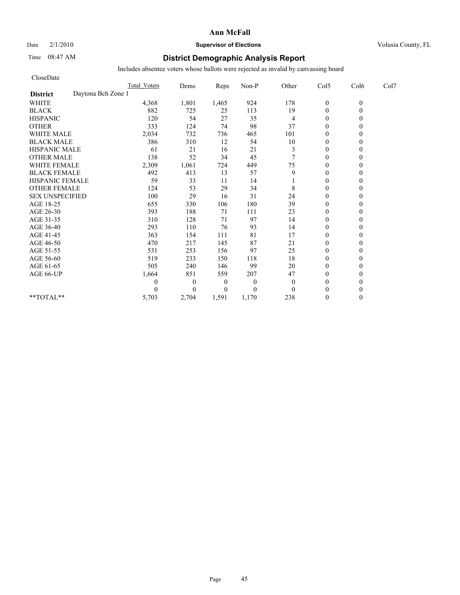## Date  $2/1/2010$  **Supervisor of Elections** Volusia County, FL

# Time 08:47 AM **District Demographic Analysis Report**

| CloseDate                             |                     |                |                  |              |              |                  |          |      |
|---------------------------------------|---------------------|----------------|------------------|--------------|--------------|------------------|----------|------|
|                                       | <b>Total Voters</b> | Dems           | Reps             | Non-P        | Other        | Col5             | Col6     | Col7 |
| Daytona Bch Zone 1<br><b>District</b> |                     |                |                  |              |              |                  |          |      |
| <b>WHITE</b>                          | 4,368               | 1,801          | 1,465            | 924          | 178          | $\boldsymbol{0}$ | $\theta$ |      |
| <b>BLACK</b>                          | 882                 | 725            | 25               | 113          | 19           | $\theta$         | 0        |      |
| <b>HISPANIC</b>                       | 120                 | 54             | 27               | 35           | 4            | $\theta$         |          |      |
| <b>OTHER</b>                          | 333                 | 124            | 74               | 98           | 37           | $\theta$         |          |      |
| <b>WHITE MALE</b>                     | 2,034               | 732            | 736              | 465          | 101          | $\theta$         |          |      |
| <b>BLACK MALE</b>                     | 386                 | 310            | 12               | 54           | 10           | $\mathbf{0}$     |          |      |
| <b>HISPANIC MALE</b>                  | 61                  | 21             | 16               | 21           | 3            | $\theta$         |          |      |
| <b>OTHER MALE</b>                     | 138                 | 52             | 34               | 45           | 7            | $\theta$         |          |      |
| <b>WHITE FEMALE</b>                   | 2,309               | 1,061          | 724              | 449          | 75           | $\theta$         |          |      |
| <b>BLACK FEMALE</b>                   | 492                 | 413            | 13               | 57           | 9            | $\theta$         |          |      |
| HISPANIC FEMALE                       | 59                  | 33             | 11               | 14           |              | $\theta$         |          |      |
| <b>OTHER FEMALE</b>                   | 124                 | 53             | 29               | 34           | 8            | $\theta$         |          |      |
| <b>SEX UNSPECIFIED</b>                | 100                 | 29             | 16               | 31           | 24           | $\theta$         |          |      |
| AGE 18-25                             | 655                 | 330            | 106              | 180          | 39           | $\mathbf{0}$     |          |      |
| AGE 26-30                             | 393                 | 188            | 71               | 111          | 23           | $\overline{0}$   |          |      |
| AGE 31-35                             | 310                 | 128            | 71               | 97           | 14           | $\mathbf{0}$     |          |      |
| AGE 36-40                             | 293                 | 110            | 76               | 93           | 14           | $\mathbf{0}$     |          |      |
| AGE 41-45                             | 363                 | 154            | 111              | 81           | 17           | $\mathbf{0}$     |          |      |
| AGE 46-50                             | 470                 | 217            | 145              | 87           | 21           | $\theta$         |          |      |
| AGE 51-55                             | 531                 | 253            | 156              | 97           | 25           | $\mathbf{0}$     |          |      |
| AGE 56-60                             | 519                 | 233            | 150              | 118          | 18           | $\overline{0}$   |          |      |
| AGE 61-65                             | 505                 | 240            | 146              | 99           | 20           | $\theta$         |          |      |
| AGE 66-UP                             | 1,664               | 851            | 559              | 207          | 47           | $\mathbf{0}$     |          |      |
|                                       | 0                   | $\overline{0}$ | $\boldsymbol{0}$ | $\mathbf{0}$ | $\mathbf{0}$ | $\mathbf{0}$     |          |      |
|                                       | 0                   | $\Omega$       | $\overline{0}$   | $\theta$     | $\theta$     | $\theta$         |          |      |
| **TOTAL**                             | 5,703               | 2,704          | 1,591            | 1,170        | 238          | $\theta$         | 0        |      |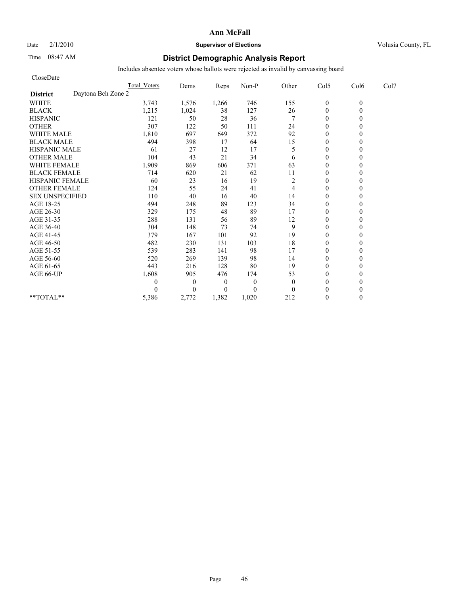# Date  $2/1/2010$  **Supervisor of Elections** Volusia County, FL

# Time 08:47 AM **District Demographic Analysis Report**

| CloseDate                             |                     |                |                  |          |          |                  |          |      |
|---------------------------------------|---------------------|----------------|------------------|----------|----------|------------------|----------|------|
|                                       | <b>Total Voters</b> | Dems           | Reps             | Non-P    | Other    | Col5             | Col6     | Col7 |
| Daytona Bch Zone 2<br><b>District</b> |                     |                |                  |          |          |                  |          |      |
| <b>WHITE</b>                          | 3,743               | 1,576          | 1,266            | 746      | 155      | $\boldsymbol{0}$ | $\theta$ |      |
| <b>BLACK</b>                          | 1,215               | 1,024          | 38               | 127      | 26       | $\mathbf{0}$     | 0        |      |
| <b>HISPANIC</b>                       | 121                 | 50             | 28               | 36       | 7        | $\theta$         |          |      |
| <b>OTHER</b>                          | 307                 | 122            | 50               | 111      | 24       | $\theta$         |          |      |
| <b>WHITE MALE</b>                     | 1,810               | 697            | 649              | 372      | 92       | $\theta$         |          |      |
| <b>BLACK MALE</b>                     | 494                 | 398            | 17               | 64       | 15       | $\mathbf{0}$     |          |      |
| <b>HISPANIC MALE</b>                  | 61                  | 27             | 12               | 17       | 5        | $\theta$         |          |      |
| <b>OTHER MALE</b>                     | 104                 | 43             | 21               | 34       | 6        | $\theta$         |          |      |
| <b>WHITE FEMALE</b>                   | 1,909               | 869            | 606              | 371      | 63       | $\theta$         |          |      |
| <b>BLACK FEMALE</b>                   | 714                 | 620            | 21               | 62       | 11       | $\overline{0}$   |          |      |
| HISPANIC FEMALE                       | 60                  | 23             | 16               | 19       | 2        | $\mathbf{0}$     |          |      |
| <b>OTHER FEMALE</b>                   | 124                 | 55             | 24               | 41       | 4        | $\theta$         |          |      |
| <b>SEX UNSPECIFIED</b>                | 110                 | 40             | 16               | 40       | 14       | $\theta$         |          |      |
| AGE 18-25                             | 494                 | 248            | 89               | 123      | 34       | $\mathbf{0}$     |          |      |
| AGE 26-30                             | 329                 | 175            | 48               | 89       | 17       | $\overline{0}$   |          |      |
| AGE 31-35                             | 288                 | 131            | 56               | 89       | 12       | $\mathbf{0}$     |          |      |
| AGE 36-40                             | 304                 | 148            | 73               | 74       | 9        | $\mathbf{0}$     |          |      |
| AGE 41-45                             | 379                 | 167            | 101              | 92       | 19       | $\mathbf{0}$     |          |      |
| AGE 46-50                             | 482                 | 230            | 131              | 103      | 18       | $\theta$         |          |      |
| AGE 51-55                             | 539                 | 283            | 141              | 98       | 17       | $\mathbf{0}$     |          |      |
| AGE 56-60                             | 520                 | 269            | 139              | 98       | 14       | $\overline{0}$   |          |      |
| AGE 61-65                             | 443                 | 216            | 128              | 80       | 19       | $\theta$         |          |      |
| AGE 66-UP                             | 1,608               | 905            | 476              | 174      | 53       | $\mathbf{0}$     |          |      |
|                                       | 0                   | $\overline{0}$ | $\boldsymbol{0}$ | $\theta$ | $\theta$ | $\mathbf{0}$     |          |      |
|                                       | 0                   | $\Omega$       | $\overline{0}$   | $\theta$ | $\Omega$ | $\theta$         |          |      |
| **TOTAL**                             | 5,386               | 2,772          | 1,382            | 1,020    | 212      | $\theta$         | 0        |      |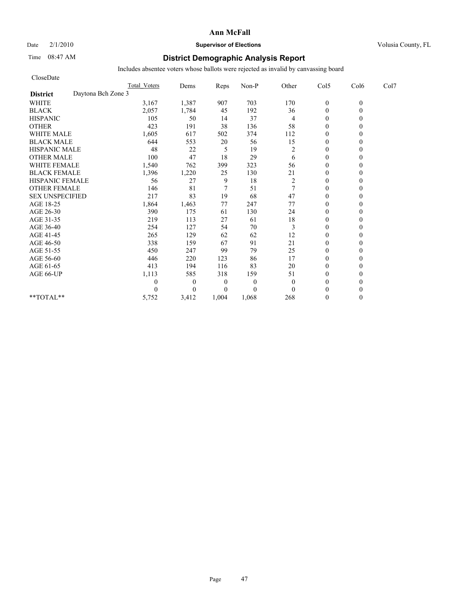## Date  $2/1/2010$  **Supervisor of Elections** Volusia County, FL

# Time 08:47 AM **District Demographic Analysis Report**

| CloseDate                             |                     |                |                  |          |                |                  |          |      |
|---------------------------------------|---------------------|----------------|------------------|----------|----------------|------------------|----------|------|
|                                       | <b>Total Voters</b> | Dems           | Reps             | Non-P    | Other          | Col5             | Col6     | Col7 |
| Daytona Bch Zone 3<br><b>District</b> |                     |                |                  |          |                |                  |          |      |
| <b>WHITE</b>                          | 3,167               | 1,387          | 907              | 703      | 170            | $\boldsymbol{0}$ | $\theta$ |      |
| <b>BLACK</b>                          | 2,057               | 1,784          | 45               | 192      | 36             | $\mathbf{0}$     | 0        |      |
| <b>HISPANIC</b>                       | 105                 | 50             | 14               | 37       | 4              | $\theta$         |          |      |
| <b>OTHER</b>                          | 423                 | 191            | 38               | 136      | 58             | $\theta$         |          |      |
| <b>WHITE MALE</b>                     | 1,605               | 617            | 502              | 374      | 112            | $\theta$         |          |      |
| <b>BLACK MALE</b>                     | 644                 | 553            | 20               | 56       | 15             | $\mathbf{0}$     |          |      |
| <b>HISPANIC MALE</b>                  | 48                  | 22             | 5                | 19       | $\overline{c}$ | $\theta$         |          |      |
| <b>OTHER MALE</b>                     | 100                 | 47             | 18               | 29       | 6              | $\theta$         |          |      |
| <b>WHITE FEMALE</b>                   | 1,540               | 762            | 399              | 323      | 56             | $\theta$         |          |      |
| <b>BLACK FEMALE</b>                   | 1,396               | 1,220          | 25               | 130      | 21             | $\overline{0}$   |          |      |
| HISPANIC FEMALE                       | 56                  | 27             | 9                | 18       | $\overline{c}$ | $\mathbf{0}$     |          |      |
| <b>OTHER FEMALE</b>                   | 146                 | 81             | $\overline{7}$   | 51       | 7              | $\theta$         |          |      |
| <b>SEX UNSPECIFIED</b>                | 217                 | 83             | 19               | 68       | 47             | $\theta$         |          |      |
| AGE 18-25                             | 1,864               | 1,463          | 77               | 247      | 77             | $\mathbf{0}$     |          |      |
| AGE 26-30                             | 390                 | 175            | 61               | 130      | 24             | $\overline{0}$   |          |      |
| AGE 31-35                             | 219                 | 113            | 27               | 61       | $18\,$         | $\mathbf{0}$     |          |      |
| AGE 36-40                             | 254                 | 127            | 54               | 70       | 3              | $\mathbf{0}$     |          |      |
| AGE 41-45                             | 265                 | 129            | 62               | 62       | 12             | $\mathbf{0}$     |          |      |
| AGE 46-50                             | 338                 | 159            | 67               | 91       | 21             | $\theta$         |          |      |
| AGE 51-55                             | 450                 | 247            | 99               | 79       | 25             | $\mathbf{0}$     |          |      |
| AGE 56-60                             | 446                 | 220            | 123              | 86       | 17             | $\overline{0}$   |          |      |
| AGE 61-65                             | 413                 | 194            | 116              | 83       | 20             | $\theta$         |          |      |
| AGE 66-UP                             | 1,113               | 585            | 318              | 159      | 51             | $\theta$         |          |      |
|                                       | 0                   | $\overline{0}$ | $\boldsymbol{0}$ | $\theta$ | $\mathbf{0}$   | $\theta$         |          |      |
|                                       | 0                   | $\Omega$       | $\overline{0}$   | $\theta$ | $\theta$       | $\theta$         |          |      |
| **TOTAL**                             | 5,752               | 3,412          | 1,004            | 1,068    | 268            | $\theta$         | 0        |      |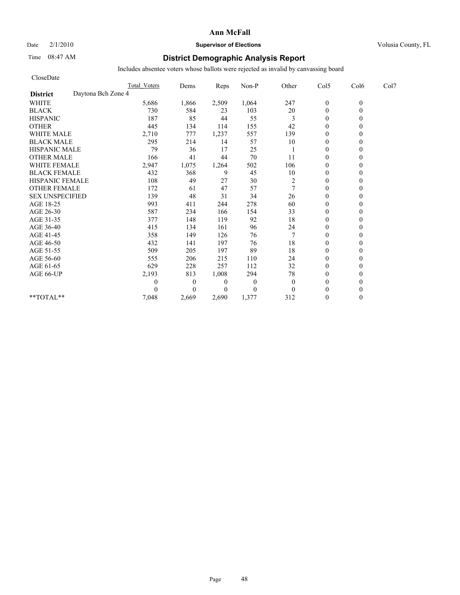# Date  $2/1/2010$  **Supervisor of Elections Supervisor of Elections** Volusia County, FL

# Time 08:47 AM **District Demographic Analysis Report**

| CloseDate              |                    |                     |          |                |                |                |                |          |      |
|------------------------|--------------------|---------------------|----------|----------------|----------------|----------------|----------------|----------|------|
|                        |                    | <b>Total Voters</b> | Dems     | Reps           | Non-P          | Other          | Col5           | Col6     | Col7 |
| <b>District</b>        | Daytona Bch Zone 4 |                     |          |                |                |                |                |          |      |
| <b>WHITE</b>           |                    | 5,686               | 1,866    | 2,509          | 1,064          | 247            | $\mathbf{0}$   | $\theta$ |      |
| <b>BLACK</b>           |                    | 730                 | 584      | 23             | 103            | 20             | $\overline{0}$ | 0        |      |
| <b>HISPANIC</b>        |                    | 187                 | 85       | 44             | 55             | 3              | $\overline{0}$ |          |      |
| <b>OTHER</b>           |                    | 445                 | 134      | 114            | 155            | 42             | $\theta$       |          |      |
| <b>WHITE MALE</b>      |                    | 2,710               | 777      | 1,237          | 557            | 139            | $\mathbf{0}$   |          |      |
| <b>BLACK MALE</b>      |                    | 295                 | 214      | 14             | 57             | 10             | $\mathbf{0}$   |          |      |
| <b>HISPANIC MALE</b>   |                    | 79                  | 36       | 17             | 25             |                | $\Omega$       |          |      |
| <b>OTHER MALE</b>      |                    | 166                 | 41       | 44             | 70             | 11             | $\mathbf{0}$   |          |      |
| <b>WHITE FEMALE</b>    |                    | 2,947               | 1,075    | 1,264          | 502            | 106            | $\theta$       |          |      |
| <b>BLACK FEMALE</b>    |                    | 432                 | 368      | 9              | 45             | 10             | $\theta$       |          |      |
| HISPANIC FEMALE        |                    | 108                 | 49       | 27             | 30             | $\overline{c}$ | $\theta$       |          |      |
| <b>OTHER FEMALE</b>    |                    | 172                 | 61       | 47             | 57             | 7              | $\mathbf{0}$   |          |      |
| <b>SEX UNSPECIFIED</b> |                    | 139                 | 48       | 31             | 34             | 26             | $\mathbf{0}$   |          |      |
| AGE 18-25              |                    | 993                 | 411      | 244            | 278            | 60             | $\mathbf{0}$   |          |      |
| AGE 26-30              |                    | 587                 | 234      | 166            | 154            | 33             | $\theta$       |          |      |
| AGE 31-35              |                    | 377                 | 148      | 119            | 92             | 18             | $\theta$       |          |      |
| AGE 36-40              |                    | 415                 | 134      | 161            | 96             | 24             | $\theta$       |          |      |
| AGE 41-45              |                    | 358                 | 149      | 126            | 76             |                | $\overline{0}$ |          |      |
| AGE 46-50              |                    | 432                 | 141      | 197            | 76             | 18             | $\mathbf{0}$   |          |      |
| AGE 51-55              |                    | 509                 | 205      | 197            | 89             | 18             | $\overline{0}$ |          |      |
| AGE 56-60              |                    | 555                 | 206      | 215            | 110            | 24             | $\theta$       |          |      |
| AGE 61-65              |                    | 629                 | 228      | 257            | 112            | 32             | $\theta$       |          |      |
| AGE 66-UP              |                    | 2,193               | 813      | 1,008          | 294            | 78             | $\mathbf{0}$   |          |      |
|                        |                    | 0                   | $\theta$ | $\theta$       | $\overline{0}$ | $\mathbf{0}$   | $\mathbf{0}$   |          |      |
|                        |                    |                     | $\theta$ | $\overline{0}$ | $\overline{0}$ | $\theta$       | $\theta$       |          |      |
| $**TOTAL**$            |                    | 7,048               | 2,669    | 2,690          | 1,377          | 312            | $\theta$       | 0        |      |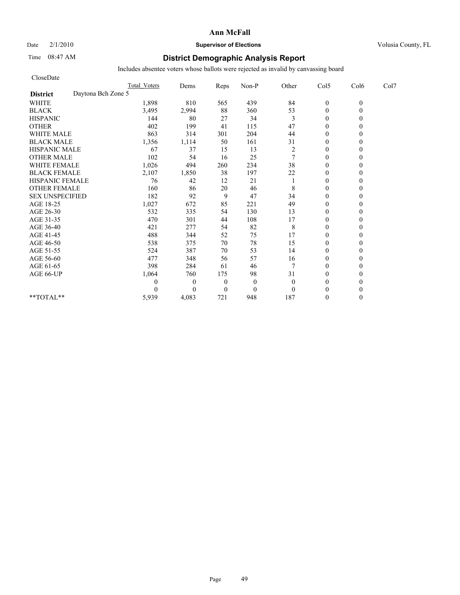## Date  $2/1/2010$  **Supervisor of Elections** Volusia County, FL

# Time 08:47 AM **District Demographic Analysis Report**

| CloseDate                             |                     |              |                |              |                  |                |          |      |
|---------------------------------------|---------------------|--------------|----------------|--------------|------------------|----------------|----------|------|
|                                       | <b>Total Voters</b> | Dems         | Reps           | Non-P        | Other            | Col5           | Col6     | Col7 |
| Daytona Bch Zone 5<br><b>District</b> |                     |              |                |              |                  |                |          |      |
| <b>WHITE</b>                          | 1,898               | 810          | 565            | 439          | 84               | $\mathbf{0}$   | $\theta$ |      |
| <b>BLACK</b>                          | 3,495               | 2,994        | 88             | 360          | 53               | $\mathbf{0}$   | 0        |      |
| <b>HISPANIC</b>                       | 144                 | 80           | 27             | 34           | 3                | $\theta$       |          |      |
| <b>OTHER</b>                          | 402                 | 199          | 41             | 115          | 47               | $\theta$       |          |      |
| <b>WHITE MALE</b>                     | 863                 | 314          | 301            | 204          | 44               | $\theta$       |          |      |
| <b>BLACK MALE</b>                     | 1,356               | 1,114        | 50             | 161          | 31               | $\mathbf{0}$   |          |      |
| <b>HISPANIC MALE</b>                  | 67                  | 37           | 15             | 13           | $\boldsymbol{2}$ | $\theta$       |          |      |
| <b>OTHER MALE</b>                     | 102                 | 54           | 16             | 25           | $\tau$           | $\theta$       |          |      |
| <b>WHITE FEMALE</b>                   | 1,026               | 494          | 260            | 234          | 38               | $\theta$       |          |      |
| <b>BLACK FEMALE</b>                   | 2,107               | 1,850        | 38             | 197          | 22               | $\overline{0}$ |          |      |
| HISPANIC FEMALE                       | 76                  | 42           | 12             | 21           |                  | $\mathbf{0}$   |          |      |
| <b>OTHER FEMALE</b>                   | 160                 | 86           | 20             | 46           | 8                | $\theta$       |          |      |
| <b>SEX UNSPECIFIED</b>                | 182                 | 92           | 9              | 47           | 34               | $\theta$       |          |      |
| AGE 18-25                             | 1,027               | 672          | 85             | 221          | 49               | $\mathbf{0}$   |          |      |
| AGE 26-30                             | 532                 | 335          | 54             | 130          | 13               | $\mathbf{0}$   |          |      |
| AGE 31-35                             | 470                 | 301          | 44             | 108          | 17               | $\mathbf{0}$   |          |      |
| AGE 36-40                             | 421                 | 277          | 54             | 82           | 8                | $\mathbf{0}$   |          |      |
| AGE 41-45                             | 488                 | 344          | 52             | 75           | 17               | $\mathbf{0}$   |          |      |
| AGE 46-50                             | 538                 | 375          | 70             | 78           | 15               | $\theta$       |          |      |
| AGE 51-55                             | 524                 | 387          | 70             | 53           | 14               | $\mathbf{0}$   |          |      |
| AGE 56-60                             | 477                 | 348          | 56             | 57           | 16               | $\overline{0}$ |          |      |
| AGE 61-65                             | 398                 | 284          | 61             | 46           | 7                | $\theta$       |          |      |
| AGE 66-UP                             | 1,064               | 760          | 175            | 98           | 31               | $\mathbf{0}$   |          |      |
|                                       | 0                   | $\mathbf{0}$ | $\theta$       | $\mathbf{0}$ | $\mathbf{0}$     | $\mathbf{0}$   |          |      |
|                                       | 0                   | $\Omega$     | $\overline{0}$ | $\mathbf{0}$ | $\theta$         | $\theta$       |          |      |
| **TOTAL**                             | 5,939               | 4,083        | 721            | 948          | 187              | $\theta$       | 0        |      |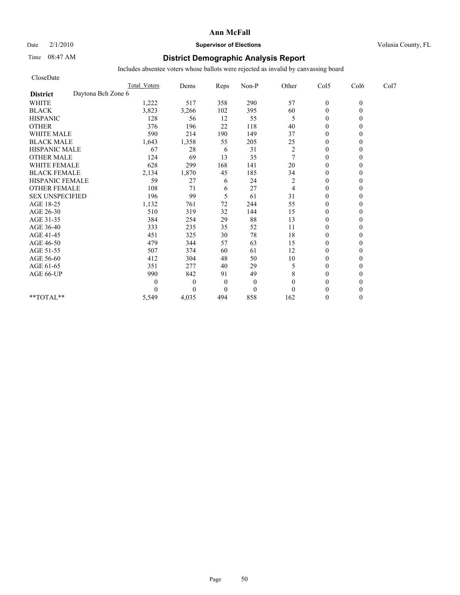## Date  $2/1/2010$  **Supervisor of Elections Supervisor of Elections** Volusia County, FL

# Time 08:47 AM **District Demographic Analysis Report**

| CloseDate                             |                     |                |          |              |                  |                  |          |      |
|---------------------------------------|---------------------|----------------|----------|--------------|------------------|------------------|----------|------|
|                                       | <b>Total Voters</b> | Dems           | Reps     | Non-P        | Other            | Col5             | Col6     | Col7 |
| Daytona Bch Zone 6<br><b>District</b> |                     |                |          |              |                  |                  |          |      |
| <b>WHITE</b>                          | 1,222               | 517            | 358      | 290          | 57               | $\boldsymbol{0}$ | $\theta$ |      |
| <b>BLACK</b>                          | 3,823               | 3,266          | 102      | 395          | 60               | $\mathbf{0}$     | 0        |      |
| <b>HISPANIC</b>                       | 128                 | 56             | 12       | 55           | 5                | $\theta$         |          |      |
| <b>OTHER</b>                          | 376                 | 196            | 22       | 118          | 40               | $\theta$         |          |      |
| <b>WHITE MALE</b>                     | 590                 | 214            | 190      | 149          | 37               | $\theta$         |          |      |
| <b>BLACK MALE</b>                     | 1,643               | 1,358          | 55       | 205          | 25               | $\mathbf{0}$     |          |      |
| <b>HISPANIC MALE</b>                  | 67                  | 28             | 6        | 31           | $\boldsymbol{2}$ | $\theta$         |          |      |
| <b>OTHER MALE</b>                     | 124                 | 69             | 13       | 35           | $\overline{7}$   | $\theta$         |          |      |
| <b>WHITE FEMALE</b>                   | 628                 | 299            | 168      | 141          | 20               | $\theta$         |          |      |
| <b>BLACK FEMALE</b>                   | 2,134               | 1,870          | 45       | 185          | 34               | $\theta$         |          |      |
| HISPANIC FEMALE                       | 59                  | 27             | 6        | 24           | $\overline{c}$   | $\theta$         |          |      |
| <b>OTHER FEMALE</b>                   | 108                 | 71             | 6        | 27           | 4                | $\theta$         |          |      |
| <b>SEX UNSPECIFIED</b>                | 196                 | 99             | 5        | 61           | 31               | $\theta$         |          |      |
| AGE 18-25                             | 1,132               | 761            | $72\,$   | 244          | 55               | $\mathbf{0}$     |          |      |
| AGE 26-30                             | 510                 | 319            | 32       | 144          | 15               | $\mathbf{0}$     |          |      |
| AGE 31-35                             | 384                 | 254            | 29       | 88           | 13               | $\mathbf{0}$     |          |      |
| AGE 36-40                             | 333                 | 235            | 35       | 52           | 11               | $\mathbf{0}$     |          |      |
| AGE 41-45                             | 451                 | 325            | 30       | 78           | 18               | $\mathbf{0}$     |          |      |
| AGE 46-50                             | 479                 | 344            | 57       | 63           | 15               | $\theta$         |          |      |
| AGE 51-55                             | 507                 | 374            | 60       | 61           | 12               | $\mathbf{0}$     |          |      |
| AGE 56-60                             | 412                 | 304            | 48       | 50           | 10               | $\overline{0}$   |          |      |
| AGE 61-65                             | 351                 | 277            | 40       | 29           | 5                | $\theta$         |          |      |
| AGE 66-UP                             | 990                 | 842            | 91       | 49           | 8                | $\theta$         |          |      |
|                                       | 0                   | $\overline{0}$ | $\theta$ | $\mathbf{0}$ | $\theta$         | $\theta$         |          |      |
|                                       | 0                   | $\Omega$       | $\theta$ | $\mathbf{0}$ | $\theta$         | $\theta$         |          |      |
| **TOTAL**                             | 5,549               | 4,035          | 494      | 858          | 162              | $\theta$         | 0        |      |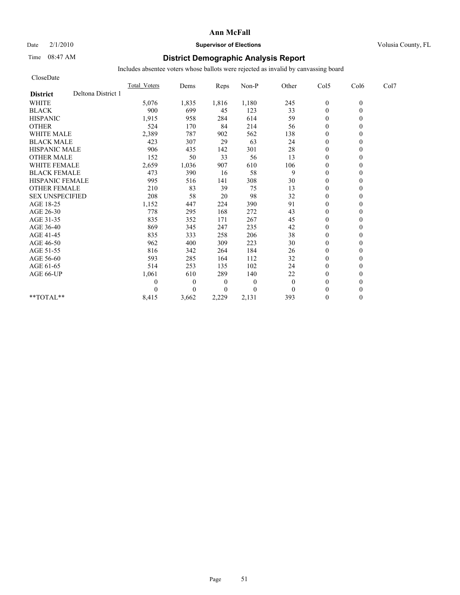# Date  $2/1/2010$  **Supervisor of Elections Supervisor of Elections** Volusia County, FL

# Time 08:47 AM **District Demographic Analysis Report**

| CloseDate              |                    |                     |              |                  |              |              |                  |          |      |
|------------------------|--------------------|---------------------|--------------|------------------|--------------|--------------|------------------|----------|------|
|                        |                    | <b>Total Voters</b> | Dems         | Reps             | Non-P        | Other        | Col5             | Col6     | Col7 |
| <b>District</b>        | Deltona District 1 |                     |              |                  |              |              |                  |          |      |
| <b>WHITE</b>           |                    | 5,076               | 1,835        | 1,816            | 1,180        | 245          | $\boldsymbol{0}$ | $\theta$ |      |
| <b>BLACK</b>           |                    | 900                 | 699          | 45               | 123          | 33           | $\theta$         | $\theta$ |      |
| <b>HISPANIC</b>        |                    | 1,915               | 958          | 284              | 614          | 59           | $\theta$         |          |      |
| <b>OTHER</b>           |                    | 524                 | 170          | 84               | 214          | 56           | $\theta$         |          |      |
| <b>WHITE MALE</b>      |                    | 2,389               | 787          | 902              | 562          | 138          | $\theta$         |          |      |
| <b>BLACK MALE</b>      |                    | 423                 | 307          | 29               | 63           | 24           | $\mathbf{0}$     |          |      |
| <b>HISPANIC MALE</b>   |                    | 906                 | 435          | 142              | 301          | $28\,$       | $\mathbf{0}$     |          |      |
| <b>OTHER MALE</b>      |                    | 152                 | 50           | 33               | 56           | 13           | $\theta$         |          |      |
| <b>WHITE FEMALE</b>    |                    | 2,659               | 1,036        | 907              | 610          | 106          | $\theta$         |          |      |
| <b>BLACK FEMALE</b>    |                    | 473                 | 390          | 16               | 58           | 9            | $\theta$         |          |      |
| <b>HISPANIC FEMALE</b> |                    | 995                 | 516          | 141              | 308          | 30           | $\mathbf{0}$     |          |      |
| <b>OTHER FEMALE</b>    |                    | 210                 | 83           | 39               | 75           | 13           | $\theta$         |          |      |
| <b>SEX UNSPECIFIED</b> |                    | 208                 | 58           | 20               | 98           | 32           | $\theta$         |          |      |
| AGE 18-25              |                    | 1,152               | 447          | 224              | 390          | 91           | $\mathbf{0}$     |          |      |
| AGE 26-30              |                    | 778                 | 295          | 168              | 272          | 43           | $\mathbf{0}$     |          |      |
| AGE 31-35              |                    | 835                 | 352          | 171              | 267          | 45           | $\mathbf{0}$     |          |      |
| AGE 36-40              |                    | 869                 | 345          | 247              | 235          | 42           | $\theta$         |          |      |
| AGE 41-45              |                    | 835                 | 333          | 258              | 206          | 38           | $\mathbf{0}$     |          |      |
| AGE 46-50              |                    | 962                 | 400          | 309              | 223          | 30           | $\theta$         |          |      |
| AGE 51-55              |                    | 816                 | 342          | 264              | 184          | 26           | $\mathbf{0}$     |          |      |
| AGE 56-60              |                    | 593                 | 285          | 164              | 112          | 32           | $\overline{0}$   |          |      |
| AGE 61-65              |                    | 514                 | 253          | 135              | 102          | 24           | $\theta$         |          |      |
| AGE 66-UP              |                    | 1,061               | 610          | 289              | 140          | 22           | $\mathbf{0}$     |          |      |
|                        |                    | 0                   | $\mathbf{0}$ | $\boldsymbol{0}$ | $\mathbf{0}$ | $\mathbf{0}$ | $\theta$         |          |      |
|                        |                    | 0                   | $\Omega$     | $\overline{0}$   | $\theta$     | $\theta$     | $\theta$         |          |      |
| $*$ $TOTAI.**$         |                    | 8,415               | 3,662        | 2,229            | 2,131        | 393          | $\mathbf{0}$     | 0        |      |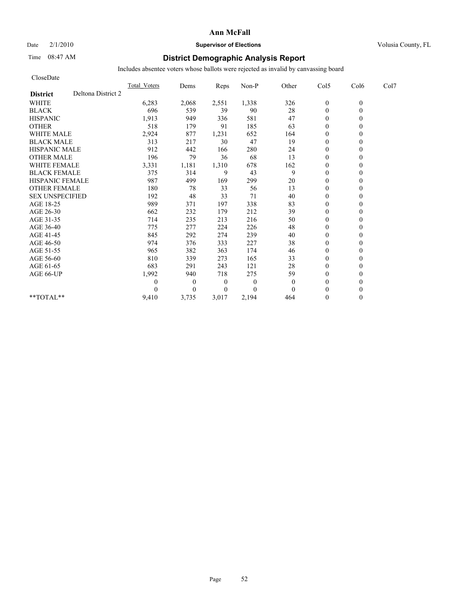## Date  $2/1/2010$  **Supervisor of Elections** Volusia County, FL

# Time 08:47 AM **District Demographic Analysis Report**

| CloseDate              |                    |                     |              |                |          |              |                  |          |      |
|------------------------|--------------------|---------------------|--------------|----------------|----------|--------------|------------------|----------|------|
|                        |                    | <b>Total Voters</b> | Dems         | Reps           | Non-P    | Other        | Col5             | Col6     | Col7 |
| <b>District</b>        | Deltona District 2 |                     |              |                |          |              |                  |          |      |
| <b>WHITE</b>           |                    | 6,283               | 2,068        | 2,551          | 1,338    | 326          | $\boldsymbol{0}$ | $\theta$ |      |
| <b>BLACK</b>           |                    | 696                 | 539          | 39             | 90       | 28           | $\overline{0}$   | $\theta$ |      |
| <b>HISPANIC</b>        |                    | 1,913               | 949          | 336            | 581      | 47           | $\theta$         |          |      |
| <b>OTHER</b>           |                    | 518                 | 179          | 91             | 185      | 63           | $\theta$         |          |      |
| <b>WHITE MALE</b>      |                    | 2,924               | 877          | 1,231          | 652      | 164          | $\mathbf{0}$     |          |      |
| <b>BLACK MALE</b>      |                    | 313                 | 217          | 30             | 47       | 19           | $\mathbf{0}$     |          |      |
| <b>HISPANIC MALE</b>   |                    | 912                 | 442          | 166            | 280      | 24           | $\Omega$         |          |      |
| <b>OTHER MALE</b>      |                    | 196                 | 79           | 36             | 68       | 13           | $\theta$         |          |      |
| <b>WHITE FEMALE</b>    |                    | 3,331               | 1,181        | 1,310          | 678      | 162          | $\theta$         |          |      |
| <b>BLACK FEMALE</b>    |                    | 375                 | 314          | 9              | 43       | 9            | $\theta$         |          |      |
| <b>HISPANIC FEMALE</b> |                    | 987                 | 499          | 169            | 299      | 20           | $\theta$         |          |      |
| <b>OTHER FEMALE</b>    |                    | 180                 | 78           | 33             | 56       | 13           | $\mathbf{0}$     |          |      |
| <b>SEX UNSPECIFIED</b> |                    | 192                 | 48           | 33             | 71       | 40           | $\mathbf{0}$     |          |      |
| AGE 18-25              |                    | 989                 | 371          | 197            | 338      | 83           | $\mathbf{0}$     |          |      |
| AGE 26-30              |                    | 662                 | 232          | 179            | 212      | 39           | $\theta$         |          |      |
| AGE 31-35              |                    | 714                 | 235          | 213            | 216      | 50           | $\theta$         |          |      |
| AGE 36-40              |                    | 775                 | 277          | 224            | 226      | 48           | $\theta$         |          |      |
| AGE 41-45              |                    | 845                 | 292          | 274            | 239      | 40           | $\overline{0}$   |          |      |
| AGE 46-50              |                    | 974                 | 376          | 333            | 227      | 38           | $\mathbf{0}$     |          |      |
| AGE 51-55              |                    | 965                 | 382          | 363            | 174      | 46           | $\theta$         |          |      |
| AGE 56-60              |                    | 810                 | 339          | 273            | 165      | 33           | $\theta$         |          |      |
| AGE 61-65              |                    | 683                 | 291          | 243            | 121      | 28           | $\theta$         |          |      |
| AGE 66-UP              |                    | 1,992               | 940          | 718            | 275      | 59           | $\mathbf{0}$     |          |      |
|                        |                    | 0                   | $\mathbf{0}$ | $\theta$       | $\theta$ | $\mathbf{0}$ | $\mathbf{0}$     |          |      |
|                        |                    |                     | $\Omega$     | $\overline{0}$ | $\Omega$ | $\Omega$     | $\theta$         |          |      |
| $**TOTAL**$            |                    | 9,410               | 3,735        | 3,017          | 2,194    | 464          | $\theta$         | 0        |      |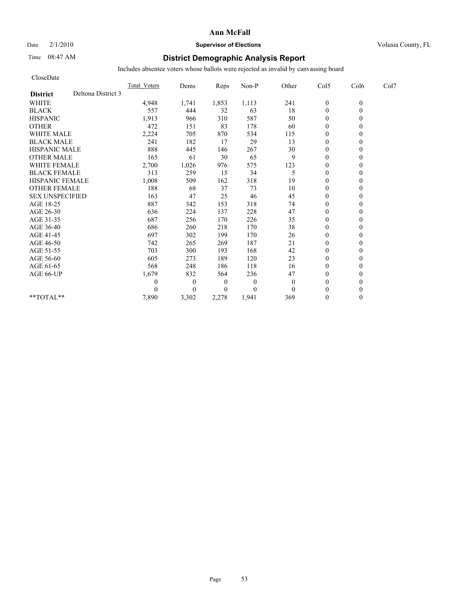## Date  $2/1/2010$  **Supervisor of Elections Supervisor of Elections** Volusia County, FL

# Time 08:47 AM **District Demographic Analysis Report**

| CloseDate              |                    |              |                  |                  |              |          |                  |          |      |
|------------------------|--------------------|--------------|------------------|------------------|--------------|----------|------------------|----------|------|
|                        |                    | Total Voters | Dems             | Reps             | Non-P        | Other    | Col5             | Col6     | Col7 |
| <b>District</b>        | Deltona District 3 |              |                  |                  |              |          |                  |          |      |
| <b>WHITE</b>           |                    | 4,948        | 1,741            | 1,853            | 1,113        | 241      | $\boldsymbol{0}$ | $\theta$ |      |
| <b>BLACK</b>           |                    | 557          | 444              | 32               | 63           | 18       | $\mathbf{0}$     | $\theta$ |      |
| <b>HISPANIC</b>        |                    | 1,913        | 966              | 310              | 587          | 50       | $\boldsymbol{0}$ |          |      |
| <b>OTHER</b>           |                    | 472          | 151              | 83               | 178          | 60       | $\Omega$         |          |      |
| <b>WHITE MALE</b>      |                    | 2,224        | 705              | 870              | 534          | 115      | $\boldsymbol{0}$ |          |      |
| <b>BLACK MALE</b>      |                    | 241          | 182              | 17               | 29           | 13       | $\theta$         |          |      |
| <b>HISPANIC MALE</b>   |                    | 888          | 445              | 146              | 267          | 30       | $\theta$         |          |      |
| <b>OTHER MALE</b>      |                    | 165          | 61               | 30               | 65           | 9        | $\mathbf{0}$     |          |      |
| <b>WHITE FEMALE</b>    |                    | 2,700        | 1,026            | 976              | 575          | 123      | $\theta$         |          |      |
| <b>BLACK FEMALE</b>    |                    | 313          | 259              | 15               | 34           | 5        | $\mathbf{0}$     |          |      |
| HISPANIC FEMALE        |                    | 1,008        | 509              | 162              | 318          | 19       | $\mathbf{0}$     | $\theta$ |      |
| <b>OTHER FEMALE</b>    |                    | 188          | 68               | 37               | 73           | 10       | $\theta$         |          |      |
| <b>SEX UNSPECIFIED</b> |                    | 163          | 47               | 25               | 46           | 45       | $\theta$         |          |      |
| AGE 18-25              |                    | 887          | 342              | 153              | 318          | 74       | $\theta$         |          |      |
| AGE 26-30              |                    | 636          | 224              | 137              | 228          | 47       | $\mathbf{0}$     |          |      |
| AGE 31-35              |                    | 687          | 256              | 170              | 226          | 35       | $\mathbf{0}$     |          |      |
| AGE 36-40              |                    | 686          | 260              | 218              | 170          | 38       | $\mathbf{0}$     |          |      |
| AGE 41-45              |                    | 697          | 302              | 199              | 170          | 26       | $\mathbf{0}$     | 0        |      |
| AGE 46-50              |                    | 742          | 265              | 269              | 187          | 21       | $\theta$         |          |      |
| AGE 51-55              |                    | 703          | 300              | 193              | 168          | 42       | $\mathbf{0}$     |          |      |
| AGE 56-60              |                    | 605          | 273              | 189              | 120          | 23       | $\boldsymbol{0}$ |          |      |
| AGE 61-65              |                    | 568          | 248              | 186              | 118          | 16       | $\Omega$         |          |      |
| AGE 66-UP              |                    | 1,679        | 832              | 564              | 236          | 47       | $\theta$         |          |      |
|                        |                    | 0            | $\boldsymbol{0}$ | $\boldsymbol{0}$ | $\mathbf{0}$ | 0        | $\mathbf{0}$     |          |      |
|                        |                    | 0            | $\overline{0}$   | $\theta$         | $\Omega$     | $\theta$ | $\Omega$         |          |      |
| **TOTAL**              |                    | 7,890        | 3,302            | 2,278            | 1,941        | 369      | $\mathbf{0}$     | $\theta$ |      |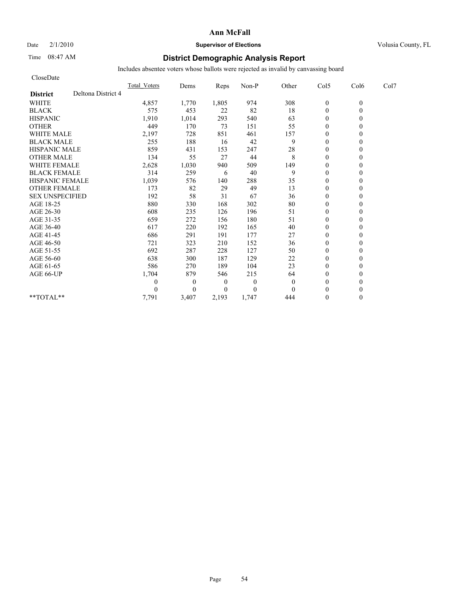# Date  $2/1/2010$  **Supervisor of Elections** Volusia County, FL

# Time 08:47 AM **District Demographic Analysis Report**

| CloseDate              |                    |                     |              |                |                |              |                  |          |      |
|------------------------|--------------------|---------------------|--------------|----------------|----------------|--------------|------------------|----------|------|
|                        |                    | <b>Total Voters</b> | Dems         | Reps           | Non-P          | Other        | Col5             | Col6     | Col7 |
| <b>District</b>        | Deltona District 4 |                     |              |                |                |              |                  |          |      |
| <b>WHITE</b>           |                    | 4,857               | 1,770        | 1,805          | 974            | 308          | $\boldsymbol{0}$ | $\theta$ |      |
| <b>BLACK</b>           |                    | 575                 | 453          | 22             | 82             | 18           | $\overline{0}$   | $\theta$ |      |
| <b>HISPANIC</b>        |                    | 1,910               | 1,014        | 293            | 540            | 63           | $\mathbf{0}$     |          |      |
| <b>OTHER</b>           |                    | 449                 | 170          | 73             | 151            | 55           | $\theta$         |          |      |
| <b>WHITE MALE</b>      |                    | 2,197               | 728          | 851            | 461            | 157          | $\theta$         |          |      |
| <b>BLACK MALE</b>      |                    | 255                 | 188          | 16             | 42             | 9            | $\mathbf{0}$     |          |      |
| <b>HISPANIC MALE</b>   |                    | 859                 | 431          | 153            | 247            | 28           | $\theta$         |          |      |
| <b>OTHER MALE</b>      |                    | 134                 | 55           | 27             | 44             | 8            | $\mathbf{0}$     |          |      |
| <b>WHITE FEMALE</b>    |                    | 2,628               | 1,030        | 940            | 509            | 149          | $\theta$         |          |      |
| <b>BLACK FEMALE</b>    |                    | 314                 | 259          | 6              | 40             | 9            | $\theta$         |          |      |
| <b>HISPANIC FEMALE</b> |                    | 1,039               | 576          | 140            | 288            | 35           | $\mathbf{0}$     |          |      |
| <b>OTHER FEMALE</b>    |                    | 173                 | 82           | 29             | 49             | 13           | $\mathbf{0}$     |          |      |
| <b>SEX UNSPECIFIED</b> |                    | 192                 | 58           | 31             | 67             | 36           | $\mathbf{0}$     |          |      |
| AGE 18-25              |                    | 880                 | 330          | 168            | 302            | 80           | $\mathbf{0}$     |          |      |
| AGE 26-30              |                    | 608                 | 235          | 126            | 196            | 51           | $\theta$         |          |      |
| AGE 31-35              |                    | 659                 | 272          | 156            | 180            | 51           | $\theta$         |          |      |
| AGE 36-40              |                    | 617                 | 220          | 192            | 165            | 40           | $\theta$         |          |      |
| AGE 41-45              |                    | 686                 | 291          | 191            | 177            | 27           | $\overline{0}$   |          |      |
| AGE 46-50              |                    | 721                 | 323          | 210            | 152            | 36           | $\mathbf{0}$     |          |      |
| AGE 51-55              |                    | 692                 | 287          | 228            | 127            | 50           | $\overline{0}$   |          |      |
| AGE 56-60              |                    | 638                 | 300          | 187            | 129            | 22           | $\theta$         |          |      |
| AGE 61-65              |                    | 586                 | 270          | 189            | 104            | 23           | $\theta$         |          |      |
| AGE 66-UP              |                    | 1,704               | 879          | 546            | 215            | 64           | $\mathbf{0}$     |          |      |
|                        |                    | 0                   | $\mathbf{0}$ | $\theta$       | $\theta$       | $\mathbf{0}$ | $\mathbf{0}$     |          |      |
|                        |                    |                     | $\theta$     | $\overline{0}$ | $\overline{0}$ | $\Omega$     | $\theta$         |          |      |
| $**TOTAL**$            |                    | 7,791               | 3,407        | 2,193          | 1,747          | 444          | $\theta$         | 0        |      |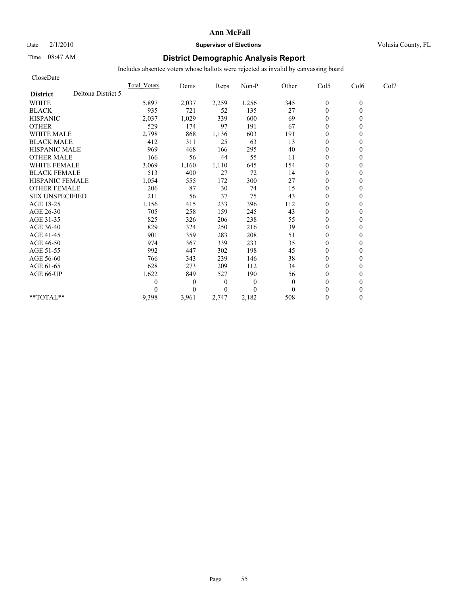CloseDate

## **Ann McFall**

## Date  $2/1/2010$  **Supervisor of Elections Supervisor of Elections** Volusia County, FL

# Time 08:47 AM **District Demographic Analysis Report**

|                                       | <b>Total Voters</b> | Dems     | Reps     | Non-P    | Other    | Col5             | Col6     | Col7 |  |
|---------------------------------------|---------------------|----------|----------|----------|----------|------------------|----------|------|--|
| Deltona District 5<br><b>District</b> |                     |          |          |          |          |                  |          |      |  |
| <b>WHITE</b>                          | 5,897               | 2,037    | 2,259    | 1,256    | 345      | $\boldsymbol{0}$ | $\theta$ |      |  |
| <b>BLACK</b>                          | 935                 | 721      | 52       | 135      | 27       | $\overline{0}$   |          |      |  |
| <b>HISPANIC</b>                       | 2,037               | 1,029    | 339      | 600      | 69       | $\theta$         |          |      |  |
| <b>OTHER</b>                          | 529                 | 174      | 97       | 191      | 67       | $\theta$         |          |      |  |
| <b>WHITE MALE</b>                     | 2,798               | 868      | 1,136    | 603      | 191      | $\mathbf{0}$     |          |      |  |
| <b>BLACK MALE</b>                     | 412                 | 311      | 25       | 63       | 13       | $\theta$         |          |      |  |
| <b>HISPANIC MALE</b>                  | 969                 | 468      | 166      | 295      | 40       | $\theta$         |          |      |  |
| <b>OTHER MALE</b>                     | 166                 | 56       | 44       | 55       | 11       | $\mathbf{0}$     |          |      |  |
| WHITE FEMALE                          | 3,069               | 1,160    | 1,110    | 645      | 154      | $\mathbf{0}$     |          |      |  |
| <b>BLACK FEMALE</b>                   | 513                 | 400      | 27       | 72       | 14       | $\mathbf{0}$     |          |      |  |
| HISPANIC FEMALE                       | 1,054               | 555      | 172      | 300      | 27       | $\mathbf{0}$     |          |      |  |
| <b>OTHER FEMALE</b>                   | 206                 | 87       | 30       | 74       | 15       | $\theta$         |          |      |  |
| <b>SEX UNSPECIFIED</b>                | 211                 | 56       | 37       | 75       | 43       | $\theta$         |          |      |  |
| AGE 18-25                             | 1,156               | 415      | 233      | 396      | 112      | $\mathbf{0}$     |          |      |  |
| AGE 26-30                             | 705                 | 258      | 159      | 245      | 43       | $\theta$         |          |      |  |
| AGE 31-35                             | 825                 | 326      | 206      | 238      | 55       | $\overline{0}$   |          |      |  |
| AGE 36-40                             | 829                 | 324      | 250      | 216      | 39       | $\mathbf{0}$     |          |      |  |
| AGE 41-45                             | 901                 | 359      | 283      | 208      | 51       | $\mathbf{0}$     |          |      |  |
| AGE 46-50                             | 974                 | 367      | 339      | 233      | 35       | $\theta$         |          |      |  |
| AGE 51-55                             | 992                 | 447      | 302      | 198      | 45       | $\theta$         |          |      |  |
| AGE 56-60                             | 766                 | 343      | 239      | 146      | 38       | $\mathbf{0}$     |          |      |  |
| AGE 61-65                             | 628                 | 273      | 209      | 112      | 34       | $\theta$         |          |      |  |
| AGE 66-UP                             | 1,622               | 849      | 527      | 190      | 56       | $\theta$         |          |      |  |
|                                       | 0                   | $\bf{0}$ | $\theta$ | $\theta$ | $\theta$ | $\theta$         |          |      |  |
|                                       |                     | $\Omega$ | $\theta$ | $\theta$ | $\Omega$ | $\theta$         |          |      |  |
| **TOTAL**                             | 9,398               | 3,961    | 2,747    | 2,182    | 508      | $\theta$         | 0        |      |  |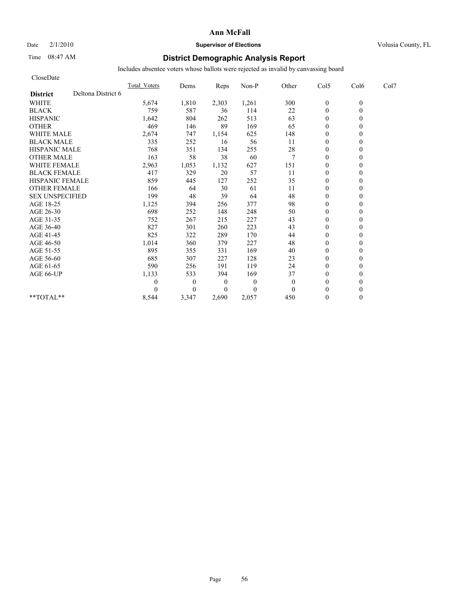## Date  $2/1/2010$  **Supervisor of Elections** Volusia County, FL

# Time 08:47 AM **District Demographic Analysis Report**

| CloseDate              |                    |                     |          |                  |          |              |                  |          |      |
|------------------------|--------------------|---------------------|----------|------------------|----------|--------------|------------------|----------|------|
|                        |                    | <b>Total Voters</b> | Dems     | Reps             | Non-P    | Other        | Col5             | Col6     | Col7 |
| <b>District</b>        | Deltona District 6 |                     |          |                  |          |              |                  |          |      |
| <b>WHITE</b>           |                    | 5,674               | 1,810    | 2,303            | 1,261    | 300          | $\boldsymbol{0}$ | $\theta$ |      |
| <b>BLACK</b>           |                    | 759                 | 587      | 36               | 114      | 22           | $\overline{0}$   | $\theta$ |      |
| <b>HISPANIC</b>        |                    | 1,642               | 804      | 262              | 513      | 63           | $\mathbf{0}$     |          |      |
| <b>OTHER</b>           |                    | 469                 | 146      | 89               | 169      | 65           | $\theta$         |          |      |
| <b>WHITE MALE</b>      |                    | 2,674               | 747      | 1,154            | 625      | 148          | $\mathbf{0}$     |          |      |
| <b>BLACK MALE</b>      |                    | 335                 | 252      | 16               | 56       | 11           | $\mathbf{0}$     |          |      |
| <b>HISPANIC MALE</b>   |                    | 768                 | 351      | 134              | 255      | 28           | $\mathbf{0}$     |          |      |
| <b>OTHER MALE</b>      |                    | 163                 | 58       | 38               | 60       | 7            | $\mathbf{0}$     |          |      |
| <b>WHITE FEMALE</b>    |                    | 2,963               | 1,053    | 1,132            | 627      | 151          | $\theta$         |          |      |
| <b>BLACK FEMALE</b>    |                    | 417                 | 329      | 20               | 57       | 11           | $\mathbf{0}$     |          |      |
| <b>HISPANIC FEMALE</b> |                    | 859                 | 445      | 127              | 252      | 35           | $\mathbf{0}$     |          |      |
| <b>OTHER FEMALE</b>    |                    | 166                 | 64       | 30               | 61       | 11           | $\mathbf{0}$     |          |      |
| <b>SEX UNSPECIFIED</b> |                    | 199                 | 48       | 39               | 64       | 48           | $\mathbf{0}$     |          |      |
| AGE 18-25              |                    | 1,125               | 394      | 256              | 377      | 98           | $\mathbf{0}$     |          |      |
| AGE 26-30              |                    | 698                 | 252      | 148              | 248      | 50           | $\theta$         |          |      |
| AGE 31-35              |                    | 752                 | 267      | 215              | 227      | 43           | $\mathbf{0}$     |          |      |
| AGE 36-40              |                    | 827                 | 301      | 260              | 223      | 43           | $\theta$         |          |      |
| AGE 41-45              |                    | 825                 | 322      | 289              | 170      | 44           | $\overline{0}$   |          |      |
| AGE 46-50              |                    | 1,014               | 360      | 379              | 227      | 48           | $\mathbf{0}$     |          |      |
| AGE 51-55              |                    | 895                 | 355      | 331              | 169      | 40           | $\mathbf{0}$     |          |      |
| AGE 56-60              |                    | 685                 | 307      | 227              | 128      | 23           | $\theta$         |          |      |
| AGE 61-65              |                    | 590                 | 256      | 191              | 119      | 24           | $\theta$         |          |      |
| AGE 66-UP              |                    | 1,133               | 533      | 394              | 169      | 37           | $\mathbf{0}$     |          |      |
|                        |                    | 0                   | $\theta$ | $\boldsymbol{0}$ | $\theta$ | $\mathbf{0}$ | $\mathbf{0}$     |          |      |
|                        |                    |                     | $\theta$ | $\overline{0}$   | $\Omega$ | $\theta$     | $\theta$         |          |      |
| $**TOTAL**$            |                    | 8,544               | 3,347    | 2,690            | 2,057    | 450          | $\mathbf{0}$     | 0        |      |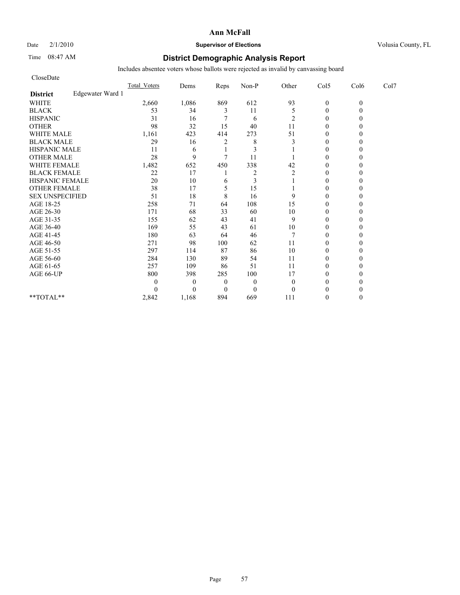# Date  $2/1/2010$  **Supervisor of Elections Supervisor of Elections** Volusia County, FL

# Time 08:47 AM **District Demographic Analysis Report**

| CloseDate              |                  |                     |                |                |                |                |                |          |      |
|------------------------|------------------|---------------------|----------------|----------------|----------------|----------------|----------------|----------|------|
|                        |                  | <b>Total Voters</b> | Dems           | Reps           | Non-P          | Other          | Col5           | Col6     | Col7 |
| <b>District</b>        | Edgewater Ward 1 |                     |                |                |                |                |                |          |      |
| <b>WHITE</b>           |                  | 2,660               | 1,086          | 869            | 612            | 93             | $\mathbf{0}$   | $\theta$ |      |
| <b>BLACK</b>           |                  | 53                  | 34             | 3              | 11             | 5              | $\mathbf{0}$   |          |      |
| <b>HISPANIC</b>        |                  | 31                  | 16             |                | 6              | 2              | $\theta$       |          |      |
| <b>OTHER</b>           |                  | 98                  | 32             | 15             | 40             | 11             | $\theta$       |          |      |
| <b>WHITE MALE</b>      |                  | 1,161               | 423            | 414            | 273            | 51             | $\theta$       |          |      |
| <b>BLACK MALE</b>      |                  | 29                  | 16             | $\overline{c}$ | 8              | 3              | $\theta$       |          |      |
| <b>HISPANIC MALE</b>   |                  | 11                  | 6              |                | 3              |                | $\theta$       |          |      |
| <b>OTHER MALE</b>      |                  | 28                  | 9              | $\tau$         | 11             |                | $\theta$       |          |      |
| <b>WHITE FEMALE</b>    |                  | 1,482               | 652            | 450            | 338            | 42             | $\theta$       |          |      |
| <b>BLACK FEMALE</b>    |                  | 22                  | 17             |                | $\overline{2}$ | $\overline{2}$ | $\theta$       |          |      |
| HISPANIC FEMALE        |                  | 20                  | 10             | 6              | 3              |                | $\theta$       |          |      |
| <b>OTHER FEMALE</b>    |                  | 38                  | 17             | 5              | 15             |                | $\theta$       |          |      |
| <b>SEX UNSPECIFIED</b> |                  | 51                  | 18             | 8              | 16             | 9              | $\theta$       |          |      |
| AGE 18-25              |                  | 258                 | 71             | 64             | 108            | 15             | $\theta$       |          |      |
| AGE 26-30              |                  | 171                 | 68             | 33             | 60             | 10             | $\overline{0}$ |          |      |
| AGE 31-35              |                  | 155                 | 62             | 43             | 41             | 9              | $\theta$       |          |      |
| AGE 36-40              |                  | 169                 | 55             | 43             | 61             | 10             | $\theta$       |          |      |
| AGE 41-45              |                  | 180                 | 63             | 64             | 46             |                | $\mathbf{0}$   |          |      |
| AGE 46-50              |                  | 271                 | 98             | 100            | 62             | 11             | $\theta$       |          |      |
| AGE 51-55              |                  | 297                 | 114            | 87             | 86             | 10             | $\theta$       |          |      |
| AGE 56-60              |                  | 284                 | 130            | 89             | 54             | 11             | $\overline{0}$ |          |      |
| AGE 61-65              |                  | 257                 | 109            | 86             | 51             | 11             | $\theta$       |          |      |
| AGE 66-UP              |                  | 800                 | 398            | 285            | 100            | 17             | $\theta$       |          |      |
|                        |                  | 0                   | $\overline{0}$ | $\overline{0}$ | $\mathbf{0}$   | $\theta$       | $\theta$       |          |      |
|                        |                  | 0                   | $\Omega$       | $\overline{0}$ | $\mathbf{0}$   | $\Omega$       | $\theta$       |          |      |
| **TOTAL**              |                  | 2,842               | 1,168          | 894            | 669            | 111            | $\theta$       |          |      |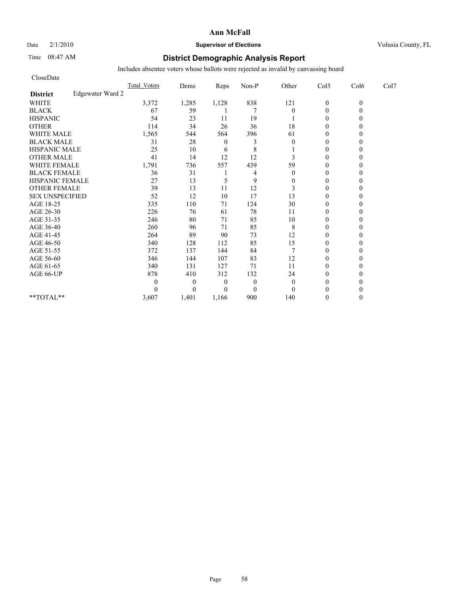# Date  $2/1/2010$  **Supervisor of Elections Supervisor of Elections** Volusia County, FL

# Time 08:47 AM **District Demographic Analysis Report**

| CloseDate              |                  |              |          |          |                |                |                  |          |      |
|------------------------|------------------|--------------|----------|----------|----------------|----------------|------------------|----------|------|
|                        |                  | Total Voters | Dems     | Reps     | Non-P          | Other          | Col5             | Col6     | Col7 |
| <b>District</b>        | Edgewater Ward 2 |              |          |          |                |                |                  |          |      |
| <b>WHITE</b>           |                  | 3,372        | 1,285    | 1,128    | 838            | 121            | $\boldsymbol{0}$ | $\theta$ |      |
| <b>BLACK</b>           |                  | 67           | 59       |          | 7              | $\theta$       | $\overline{0}$   |          |      |
| <b>HISPANIC</b>        |                  | 54           | 23       | 11       | 19             |                | $\mathbf{0}$     |          |      |
| <b>OTHER</b>           |                  | 114          | 34       | 26       | 36             | 18             | $\theta$         |          |      |
| <b>WHITE MALE</b>      |                  | 1,565        | 544      | 564      | 396            | 61             | $\mathbf{0}$     |          |      |
| <b>BLACK MALE</b>      |                  | 31           | 28       | $\theta$ | 3              | $\theta$       | $\theta$         |          |      |
| <b>HISPANIC MALE</b>   |                  | 25           | 10       | 6        | 8              |                | $\theta$         |          |      |
| <b>OTHER MALE</b>      |                  | 41           | 14       | 12       | 12             | 3              | $\mathbf{0}$     |          |      |
| <b>WHITE FEMALE</b>    |                  | 1,791        | 736      | 557      | 439            | 59             | $\theta$         |          |      |
| <b>BLACK FEMALE</b>    |                  | 36           | 31       |          | 4              | $\theta$       | $\theta$         |          |      |
| HISPANIC FEMALE        |                  | 27           | 13       | 5        | 9              | $\mathbf{0}$   | $\theta$         |          |      |
| <b>OTHER FEMALE</b>    |                  | 39           | 13       | 11       | 12             | 3              | $\mathbf{0}$     |          |      |
| <b>SEX UNSPECIFIED</b> |                  | 52           | 12       | 10       | 17             | 13             | $\mathbf{0}$     |          |      |
| AGE 18-25              |                  | 335          | 110      | 71       | 124            | 30             | $\mathbf{0}$     |          |      |
| AGE 26-30              |                  | 226          | 76       | 61       | 78             | 11             | $\theta$         |          |      |
| AGE 31-35              |                  | 246          | 80       | 71       | 85             | 10             | $\theta$         |          |      |
| AGE 36-40              |                  | 260          | 96       | 71       | 85             | 8              | $\theta$         |          |      |
| AGE 41-45              |                  | 264          | 89       | 90       | 73             | 12             | $\overline{0}$   |          |      |
| AGE 46-50              |                  | 340          | 128      | 112      | 85             | 15             | $\mathbf{0}$     |          |      |
| AGE 51-55              |                  | 372          | 137      | 144      | 84             | $\overline{7}$ | $\mathbf{0}$     |          |      |
| AGE 56-60              |                  | 346          | 144      | 107      | 83             | 12             | $\theta$         |          |      |
| AGE 61-65              |                  | 340          | 131      | 127      | 71             | 11             | $\theta$         |          |      |
| AGE 66-UP              |                  | 878          | 410      | 312      | 132            | 24             | $\theta$         |          |      |
|                        |                  | 0            | $\theta$ | $\theta$ | $\overline{0}$ | $\mathbf{0}$   | $\mathbf{0}$     |          |      |
|                        |                  |              | $\theta$ | $\theta$ | $\theta$       | $\theta$       | $\theta$         |          |      |
| $**TOTAL**$            |                  | 3,607        | 1,401    | 1,166    | 900            | 140            | $\theta$         | 0        |      |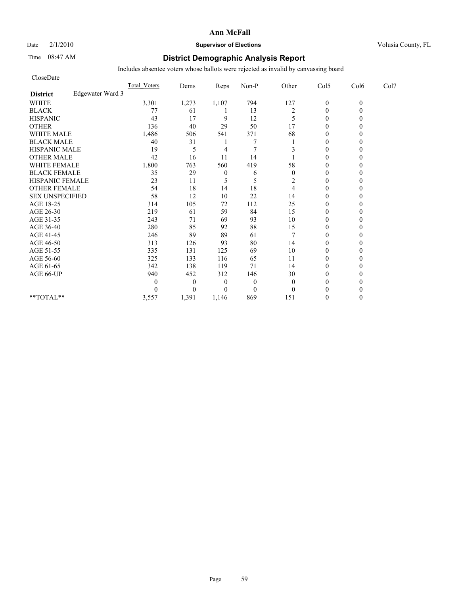## Date  $2/1/2010$  **Supervisor of Elections Supervisor of Elections** Volusia County, FL

# Time 08:47 AM **District Demographic Analysis Report**

| CloseDate              |                  |              |              |                  |              |                |                  |          |      |
|------------------------|------------------|--------------|--------------|------------------|--------------|----------------|------------------|----------|------|
|                        |                  | Total Voters | Dems         | Reps             | Non-P        | Other          | Col5             | Col6     | Col7 |
| <b>District</b>        | Edgewater Ward 3 |              |              |                  |              |                |                  |          |      |
| <b>WHITE</b>           |                  | 3,301        | 1,273        | 1,107            | 794          | 127            | $\boldsymbol{0}$ | $\theta$ |      |
| <b>BLACK</b>           |                  | 77           | 61           |                  | 13           | $\overline{2}$ | $\theta$         | 0        |      |
| <b>HISPANIC</b>        |                  | 43           | 17           | 9                | 12           | 5              | $\theta$         |          |      |
| <b>OTHER</b>           |                  | 136          | 40           | 29               | 50           | 17             | $\theta$         |          |      |
| <b>WHITE MALE</b>      |                  | 1,486        | 506          | 541              | 371          | 68             | $\theta$         |          |      |
| <b>BLACK MALE</b>      |                  | 40           | 31           |                  |              |                | $\mathbf{0}$     |          |      |
| <b>HISPANIC MALE</b>   |                  | 19           | 5            | 4                |              | 3              | $\theta$         |          |      |
| <b>OTHER MALE</b>      |                  | 42           | 16           | 11               | 14           |                | $\theta$         |          |      |
| <b>WHITE FEMALE</b>    |                  | 1,800        | 763          | 560              | 419          | 58             | $\theta$         |          |      |
| <b>BLACK FEMALE</b>    |                  | 35           | 29           | $\boldsymbol{0}$ | 6            | $\theta$       | $\theta$         |          |      |
| HISPANIC FEMALE        |                  | 23           | 11           | 5                | 5            | 2              | $\theta$         |          |      |
| <b>OTHER FEMALE</b>    |                  | 54           | 18           | 14               | 18           | 4              | $\theta$         |          |      |
| <b>SEX UNSPECIFIED</b> |                  | 58           | 12           | 10               | 22           | 14             | $\theta$         |          |      |
| AGE 18-25              |                  | 314          | 105          | $72\,$           | 112          | 25             | $\theta$         |          |      |
| AGE 26-30              |                  | 219          | 61           | 59               | 84           | 15             | $\overline{0}$   |          |      |
| AGE 31-35              |                  | 243          | 71           | 69               | 93           | 10             | $\mathbf{0}$     |          |      |
| AGE 36-40              |                  | 280          | 85           | 92               | 88           | 15             | $\theta$         |          |      |
| AGE 41-45              |                  | 246          | 89           | 89               | 61           |                | $\mathbf{0}$     |          |      |
| AGE 46-50              |                  | 313          | 126          | 93               | 80           | 14             | $\theta$         |          |      |
| AGE 51-55              |                  | 335          | 131          | 125              | 69           | 10             | $\mathbf{0}$     |          |      |
| AGE 56-60              |                  | 325          | 133          | 116              | 65           | 11             | $\overline{0}$   |          |      |
| AGE 61-65              |                  | 342          | 138          | 119              | 71           | 14             | $\theta$         |          |      |
| AGE 66-UP              |                  | 940          | 452          | 312              | 146          | 30             | $\theta$         |          |      |
|                        |                  | 0            | $\mathbf{0}$ | $\overline{0}$   | $\mathbf{0}$ | $\theta$       | $\theta$         |          |      |
|                        |                  | 0            | $\Omega$     | $\Omega$         | $\mathbf{0}$ | $\theta$       | $\theta$         |          |      |
| **TOTAL**              |                  | 3,557        | 1,391        | 1.146            | 869          | 151            | $\theta$         | 0        |      |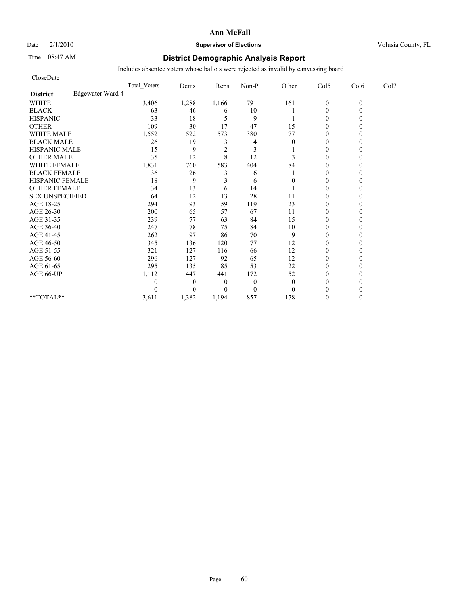## Date  $2/1/2010$  **Supervisor of Elections Supervisor of Elections** Volusia County, FL

# Time 08:47 AM **District Demographic Analysis Report**

| CloseDate              |                  |                     |                |                |              |              |                |          |      |
|------------------------|------------------|---------------------|----------------|----------------|--------------|--------------|----------------|----------|------|
|                        |                  | <b>Total Voters</b> | Dems           | Reps           | Non-P        | Other        | Col5           | Col6     | Col7 |
| <b>District</b>        | Edgewater Ward 4 |                     |                |                |              |              |                |          |      |
| <b>WHITE</b>           |                  | 3,406               | 1,288          | 1,166          | 791          | 161          | $\mathbf{0}$   | $\theta$ |      |
| <b>BLACK</b>           |                  | 63                  | 46             | 6              | 10           |              | $\mathbf{0}$   |          |      |
| <b>HISPANIC</b>        |                  | 33                  | 18             | 5              | 9            |              | $\theta$       |          |      |
| <b>OTHER</b>           |                  | 109                 | 30             | 17             | 47           | 15           | $\theta$       |          |      |
| <b>WHITE MALE</b>      |                  | 1,552               | 522            | 573            | 380          | 77           | $\theta$       |          |      |
| <b>BLACK MALE</b>      |                  | 26                  | 19             | 3              | 4            | $\theta$     | $\theta$       |          |      |
| <b>HISPANIC MALE</b>   |                  | 15                  | 9              | $\overline{2}$ | 3            |              | $\theta$       |          |      |
| <b>OTHER MALE</b>      |                  | 35                  | 12             | 8              | 12           | 3            | $\theta$       |          |      |
| <b>WHITE FEMALE</b>    |                  | 1,831               | 760            | 583            | 404          | 84           | $\theta$       |          |      |
| <b>BLACK FEMALE</b>    |                  | 36                  | 26             | 3              | 6            |              | $\overline{0}$ |          |      |
| HISPANIC FEMALE        |                  | 18                  | 9              | 3              | 6            | 0            | $\theta$       |          |      |
| <b>OTHER FEMALE</b>    |                  | 34                  | 13             | 6              | 14           |              | $\theta$       |          |      |
| <b>SEX UNSPECIFIED</b> |                  | 64                  | 12             | 13             | 28           | 11           | $\theta$       |          |      |
| AGE 18-25              |                  | 294                 | 93             | 59             | 119          | 23           | $\theta$       |          |      |
| AGE 26-30              |                  | 200                 | 65             | 57             | 67           | 11           | $\overline{0}$ |          |      |
| AGE 31-35              |                  | 239                 | 77             | 63             | 84           | 15           | $\theta$       |          |      |
| AGE 36-40              |                  | 247                 | 78             | 75             | 84           | 10           | $\theta$       |          |      |
| AGE 41-45              |                  | 262                 | 97             | 86             | 70           | 9            | $\mathbf{0}$   |          |      |
| AGE 46-50              |                  | 345                 | 136            | 120            | 77           | 12           | $\theta$       |          |      |
| AGE 51-55              |                  | 321                 | 127            | 116            | 66           | 12           | $\overline{0}$ |          |      |
| AGE 56-60              |                  | 296                 | 127            | 92             | 65           | 12           | $\overline{0}$ |          |      |
| AGE 61-65              |                  | 295                 | 135            | 85             | 53           | 22           | $\theta$       |          |      |
| AGE 66-UP              |                  | 1,112               | 447            | 441            | 172          | 52           | $\theta$       |          |      |
|                        |                  | 0                   | $\overline{0}$ | $\overline{0}$ | $\theta$     | $\mathbf{0}$ | $\theta$       |          |      |
|                        |                  | $\Omega$            | $\Omega$       | $\Omega$       | $\mathbf{0}$ | $\theta$     | $\theta$       |          |      |
| **TOTAL**              |                  | 3,611               | 1,382          | 1,194          | 857          | 178          | $\theta$       |          |      |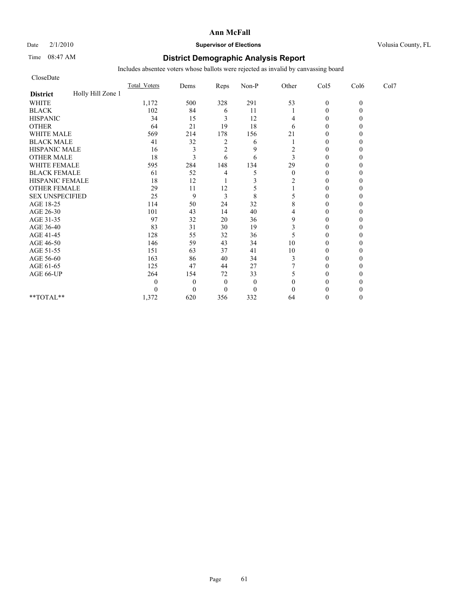# Date  $2/1/2010$  **Supervisor of Elections Supervisor of Elections** Volusia County, FL

# Time 08:47 AM **District Demographic Analysis Report**

| CloseDate              |                   |                     |              |                |              |          |                |          |      |
|------------------------|-------------------|---------------------|--------------|----------------|--------------|----------|----------------|----------|------|
|                        |                   | <b>Total Voters</b> | Dems         | Reps           | Non-P        | Other    | Col5           | Col6     | Col7 |
| <b>District</b>        | Holly Hill Zone 1 |                     |              |                |              |          |                |          |      |
| <b>WHITE</b>           |                   | 1,172               | 500          | 328            | 291          | 53       | $\mathbf{0}$   | $\theta$ |      |
| <b>BLACK</b>           |                   | 102                 | 84           | 6              | 11           |          | $\theta$       |          |      |
| <b>HISPANIC</b>        |                   | 34                  | 15           | 3              | 12           | 4        | $\theta$       |          |      |
| <b>OTHER</b>           |                   | 64                  | 21           | 19             | 18           | 6        | $\theta$       |          |      |
| <b>WHITE MALE</b>      |                   | 569                 | 214          | 178            | 156          | 21       | $\theta$       |          |      |
| <b>BLACK MALE</b>      |                   | 41                  | 32           | 2              | 6            |          | $\theta$       |          |      |
| <b>HISPANIC MALE</b>   |                   | 16                  | 3            | $\overline{2}$ | 9            | 2        | $\theta$       |          |      |
| <b>OTHER MALE</b>      |                   | 18                  | 3            | 6              | 6            | 3        | $\theta$       |          |      |
| <b>WHITE FEMALE</b>    |                   | 595                 | 284          | 148            | 134          | 29       | $\theta$       |          |      |
| <b>BLACK FEMALE</b>    |                   | 61                  | 52           | 4              | 5            | $\theta$ | $\overline{0}$ |          |      |
| HISPANIC FEMALE        |                   | 18                  | 12           |                | 3            | 2        | $\theta$       |          |      |
| <b>OTHER FEMALE</b>    |                   | 29                  | 11           | 12             |              |          | $\theta$       |          |      |
| <b>SEX UNSPECIFIED</b> |                   | 25                  | 9            | 3              | 8            | 5        | $\theta$       |          |      |
| AGE 18-25              |                   | 114                 | 50           | 24             | 32           | 8        | $\theta$       |          |      |
| AGE 26-30              |                   | 101                 | 43           | 14             | 40           | 4        | $\Omega$       |          |      |
| AGE 31-35              |                   | 97                  | 32           | 20             | 36           | 9        | $\theta$       |          |      |
| AGE 36-40              |                   | 83                  | 31           | 30             | 19           | 3        | $\theta$       |          |      |
| AGE 41-45              |                   | 128                 | 55           | 32             | 36           | 5        | $\mathbf{0}$   |          |      |
| AGE 46-50              |                   | 146                 | 59           | 43             | 34           | 10       | $\theta$       |          |      |
| AGE 51-55              |                   | 151                 | 63           | 37             | 41           | 10       | $\theta$       |          |      |
| AGE 56-60              |                   | 163                 | 86           | 40             | 34           | 3        | $\overline{0}$ |          |      |
| AGE 61-65              |                   | 125                 | 47           | 44             | 27           |          | $\theta$       |          |      |
| AGE 66-UP              |                   | 264                 | 154          | 72             | 33           | 5        | $\theta$       |          |      |
|                        |                   | 0                   | $\mathbf{0}$ | $\mathbf{0}$   | $\mathbf{0}$ | $\theta$ | 0              |          |      |
|                        |                   | 0                   | $\Omega$     | $\theta$       | $\mathbf{0}$ | $\theta$ | $\Omega$       |          |      |
| **TOTAL**              |                   | 1,372               | 620          | 356            | 332          | 64       | $\Omega$       |          |      |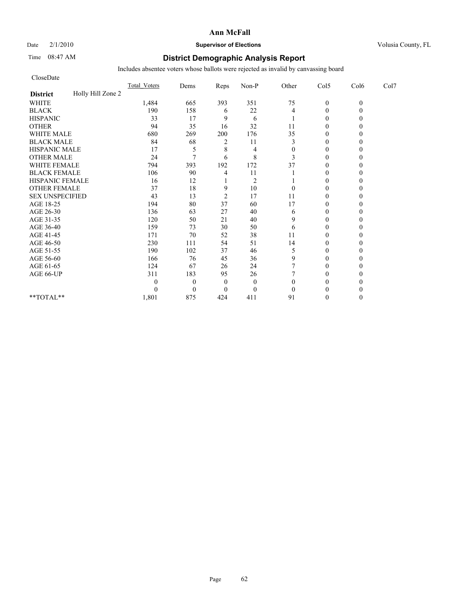## Date  $2/1/2010$  **Supervisor of Elections** Volusia County, FL

# Time 08:47 AM **District Demographic Analysis Report**

| CloseDate              |                   |                     |              |                |                |                |                |              |      |
|------------------------|-------------------|---------------------|--------------|----------------|----------------|----------------|----------------|--------------|------|
|                        |                   | <b>Total Voters</b> | Dems         | Reps           | Non-P          | Other          | Col5           | Col6         | Col7 |
| <b>District</b>        | Holly Hill Zone 2 |                     |              |                |                |                |                |              |      |
| <b>WHITE</b>           |                   | 1,484               | 665          | 393            | 351            | 75             | $\overline{0}$ | $\mathbf{0}$ |      |
| <b>BLACK</b>           |                   | 190                 | 158          | 6              | 22             | $\overline{4}$ | $\mathbf{0}$   | 0            |      |
| <b>HISPANIC</b>        |                   | 33                  | 17           | 9              | 6              |                | $\mathbf{0}$   |              |      |
| <b>OTHER</b>           |                   | 94                  | 35           | 16             | 32             | 11             | $\theta$       |              |      |
| <b>WHITE MALE</b>      |                   | 680                 | 269          | 200            | 176            | 35             | $\mathbf{0}$   |              |      |
| <b>BLACK MALE</b>      |                   | 84                  | 68           | 2              | 11             | 3              | $\theta$       |              |      |
| <b>HISPANIC MALE</b>   |                   | 17                  | 5            | 8              | 4              | $\overline{0}$ | $\theta$       |              |      |
| <b>OTHER MALE</b>      |                   | 24                  | $\tau$       | 6              | 8              | 3              | $\theta$       |              |      |
| <b>WHITE FEMALE</b>    |                   | 794                 | 393          | 192            | 172            | 37             | $\theta$       |              |      |
| <b>BLACK FEMALE</b>    |                   | 106                 | 90           | 4              | 11             |                | $\theta$       |              |      |
| HISPANIC FEMALE        |                   | 16                  | 12           |                | $\overline{2}$ |                | $\theta$       |              |      |
| <b>OTHER FEMALE</b>    |                   | 37                  | 18           | 9              | 10             | $\theta$       | $\theta$       |              |      |
| <b>SEX UNSPECIFIED</b> |                   | 43                  | 13           | $\overline{2}$ | 17             | 11             | $\theta$       |              |      |
| AGE 18-25              |                   | 194                 | 80           | 37             | 60             | 17             | $\theta$       |              |      |
| AGE 26-30              |                   | 136                 | 63           | 27             | 40             | 6              | $\theta$       |              |      |
| AGE 31-35              |                   | 120                 | 50           | 21             | 40             | 9              | $\theta$       |              |      |
| AGE 36-40              |                   | 159                 | 73           | 30             | 50             | 6              | $\theta$       |              |      |
| AGE 41-45              |                   | 171                 | 70           | 52             | 38             | 11             | $\mathbf{0}$   |              |      |
| AGE 46-50              |                   | 230                 | 111          | 54             | 51             | 14             | $\theta$       |              |      |
| AGE 51-55              |                   | 190                 | 102          | 37             | 46             | 5              | $\theta$       |              |      |
| AGE 56-60              |                   | 166                 | 76           | 45             | 36             | 9              | $\theta$       |              |      |
| AGE 61-65              |                   | 124                 | 67           | 26             | 24             | 7              | $\theta$       |              |      |
| AGE 66-UP              |                   | 311                 | 183          | 95             | 26             |                | $\theta$       |              |      |
|                        |                   | $\boldsymbol{0}$    | $\mathbf{0}$ | $\overline{0}$ | $\overline{0}$ | $\theta$       | $\theta$       |              |      |
|                        |                   | $\boldsymbol{0}$    | $\mathbf{0}$ | $\theta$       | $\theta$       | $\theta$       | $\theta$       |              |      |
| **TOTAL**              |                   | 1,801               | 875          | 424            | 411            | 91             | $\theta$       | 0            |      |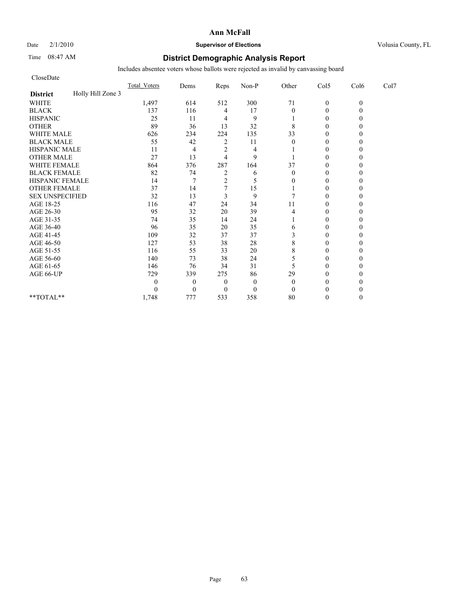# Date  $2/1/2010$  **Supervisor of Elections Supervisor of Elections** Volusia County, FL

# Time 08:47 AM **District Demographic Analysis Report**

| CloseDate              |                   |                     |              |                |              |          |                |          |      |
|------------------------|-------------------|---------------------|--------------|----------------|--------------|----------|----------------|----------|------|
|                        |                   | <b>Total Voters</b> | Dems         | Reps           | Non-P        | Other    | Col5           | Col6     | Col7 |
| <b>District</b>        | Holly Hill Zone 3 |                     |              |                |              |          |                |          |      |
| <b>WHITE</b>           |                   | 1,497               | 614          | 512            | 300          | 71       | $\mathbf{0}$   | $\theta$ |      |
| <b>BLACK</b>           |                   | 137                 | 116          | 4              | 17           | $\theta$ | $\theta$       |          |      |
| <b>HISPANIC</b>        |                   | 25                  | 11           | 4              | 9            |          | $\overline{0}$ |          |      |
| <b>OTHER</b>           |                   | 89                  | 36           | 13             | 32           | 8        | $\theta$       |          |      |
| <b>WHITE MALE</b>      |                   | 626                 | 234          | 224            | 135          | 33       | $\theta$       |          |      |
| <b>BLACK MALE</b>      |                   | 55                  | 42           | 2              | 11           | $\theta$ | $\theta$       |          |      |
| <b>HISPANIC MALE</b>   |                   | 11                  | 4            | $\overline{2}$ | 4            |          | $\theta$       |          |      |
| <b>OTHER MALE</b>      |                   | 27                  | 13           | 4              | 9            |          | $\theta$       |          |      |
| <b>WHITE FEMALE</b>    |                   | 864                 | 376          | 287            | 164          | 37       | $\theta$       |          |      |
| <b>BLACK FEMALE</b>    |                   | 82                  | 74           | $\overline{c}$ | 6            | $\theta$ | $\overline{0}$ |          |      |
| HISPANIC FEMALE        |                   | 14                  |              | $\overline{2}$ | 5            | 0        | $\theta$       |          |      |
| <b>OTHER FEMALE</b>    |                   | 37                  | 14           |                | 15           |          | $\theta$       |          |      |
| <b>SEX UNSPECIFIED</b> |                   | 32                  | 13           | 3              | 9            |          | $\theta$       |          |      |
| AGE 18-25              |                   | 116                 | 47           | 24             | 34           | 11       | $\theta$       |          |      |
| AGE 26-30              |                   | 95                  | 32           | 20             | 39           | 4        | $\Omega$       |          |      |
| AGE 31-35              |                   | 74                  | 35           | 14             | 24           |          | $\theta$       |          |      |
| AGE 36-40              |                   | 96                  | 35           | 20             | 35           | 6        | $\Omega$       |          |      |
| AGE 41-45              |                   | 109                 | 32           | 37             | 37           | 3        | $\mathbf{0}$   |          |      |
| AGE 46-50              |                   | 127                 | 53           | 38             | 28           | 8        | $\theta$       |          |      |
| AGE 51-55              |                   | 116                 | 55           | 33             | 20           | 8        | $\Omega$       |          |      |
| AGE 56-60              |                   | 140                 | 73           | 38             | 24           | 5        | $\overline{0}$ |          |      |
| AGE 61-65              |                   | 146                 | 76           | 34             | 31           | 5        | $\theta$       |          |      |
| AGE 66-UP              |                   | 729                 | 339          | 275            | 86           | 29       | $\Omega$       |          |      |
|                        |                   | 0                   | $\mathbf{0}$ | $\overline{0}$ | $\mathbf{0}$ | $\theta$ | 0              |          |      |
|                        |                   | 0                   | $\theta$     | $\overline{0}$ | $\mathbf{0}$ | $\theta$ | $\Omega$       |          |      |
| **TOTAL**              |                   | 1,748               | 777          | 533            | 358          | 80       | $\Omega$       |          |      |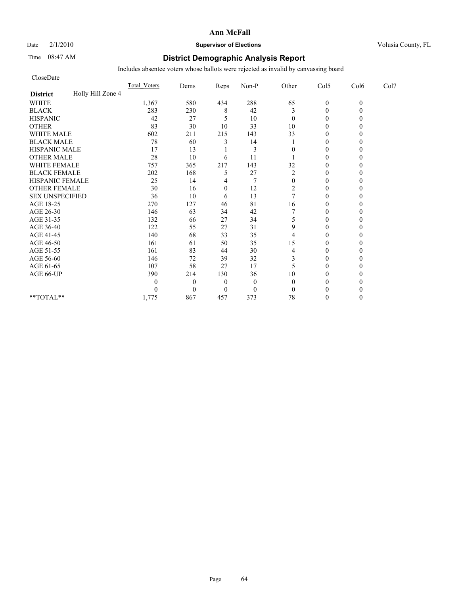## Date  $2/1/2010$  **Supervisor of Elections** Volusia County, FL

# Time 08:47 AM **District Demographic Analysis Report**

| CloseDate              |                   |                     |                |                |              |                |                |          |      |
|------------------------|-------------------|---------------------|----------------|----------------|--------------|----------------|----------------|----------|------|
|                        |                   | <b>Total Voters</b> | Dems           | Reps           | Non-P        | Other          | Col5           | Col6     | Col7 |
| <b>District</b>        | Holly Hill Zone 4 |                     |                |                |              |                |                |          |      |
| <b>WHITE</b>           |                   | 1,367               | 580            | 434            | 288          | 65             | $\mathbf{0}$   | $\theta$ |      |
| <b>BLACK</b>           |                   | 283                 | 230            | 8              | 42           | 3              | $\mathbf{0}$   |          |      |
| <b>HISPANIC</b>        |                   | 42                  | 27             | 5              | 10           | $\mathbf{0}$   | $\theta$       |          |      |
| <b>OTHER</b>           |                   | 83                  | 30             | 10             | 33           | 10             | $\theta$       |          |      |
| <b>WHITE MALE</b>      |                   | 602                 | 211            | 215            | 143          | 33             | $\theta$       |          |      |
| <b>BLACK MALE</b>      |                   | 78                  | 60             | 3              | 14           |                | $\theta$       |          |      |
| <b>HISPANIC MALE</b>   |                   | 17                  | 13             |                | 3            | $\Omega$       | $\theta$       |          |      |
| <b>OTHER MALE</b>      |                   | 28                  | 10             | 6              | 11           |                | $\theta$       |          |      |
| <b>WHITE FEMALE</b>    |                   | 757                 | 365            | 217            | 143          | 32             | $\theta$       |          |      |
| <b>BLACK FEMALE</b>    |                   | 202                 | 168            | 5              | 27           | $\overline{c}$ | $\overline{0}$ |          |      |
| HISPANIC FEMALE        |                   | 25                  | 14             | 4              |              | $\mathbf{0}$   | $\theta$       |          |      |
| <b>OTHER FEMALE</b>    |                   | 30                  | 16             | $\mathbf{0}$   | 12           | $\overline{c}$ | $\theta$       |          |      |
| <b>SEX UNSPECIFIED</b> |                   | 36                  | 10             | 6              | 13           | $\overline{7}$ | $\theta$       |          |      |
| AGE 18-25              |                   | 270                 | 127            | 46             | 81           | 16             | $\theta$       |          |      |
| AGE 26-30              |                   | 146                 | 63             | 34             | 42           |                | $\Omega$       |          |      |
| AGE 31-35              |                   | 132                 | 66             | 27             | 34           | 5              | $\theta$       |          |      |
| AGE 36-40              |                   | 122                 | 55             | 27             | 31           | 9              | $\theta$       |          |      |
| AGE 41-45              |                   | 140                 | 68             | 33             | 35           | $\overline{4}$ | $\mathbf{0}$   |          |      |
| AGE 46-50              |                   | 161                 | 61             | 50             | 35           | 15             | $\theta$       |          |      |
| AGE 51-55              |                   | 161                 | 83             | 44             | 30           | 4              | $\theta$       |          |      |
| AGE 56-60              |                   | 146                 | 72             | 39             | 32           | 3              | $\overline{0}$ |          |      |
| AGE 61-65              |                   | 107                 | 58             | 27             | 17           | 5              | $\theta$       |          |      |
| AGE 66-UP              |                   | 390                 | 214            | 130            | 36           | 10             | $\theta$       |          |      |
|                        |                   | 0                   | $\overline{0}$ | $\overline{0}$ | $\mathbf{0}$ | $\theta$       | $\Omega$       |          |      |
|                        |                   | 0                   | $\theta$       | $\overline{0}$ | $\mathbf{0}$ | $\mathbf{0}$   | $\Omega$       |          |      |
| **TOTAL**              |                   | 1,775               | 867            | 457            | 373          | 78             | $\theta$       |          |      |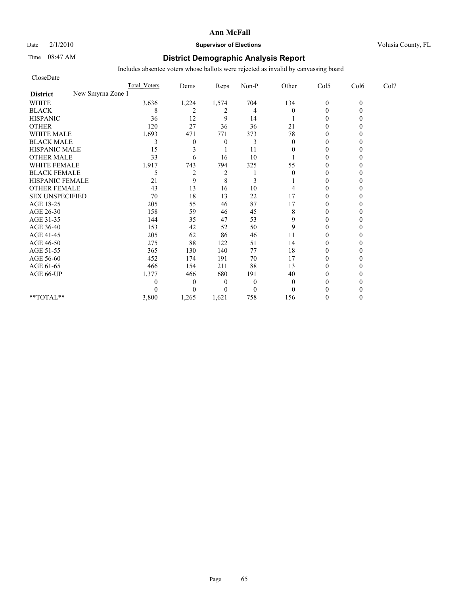# Date  $2/1/2010$  **Supervisor of Elections Supervisor of Elections** Volusia County, FL

# Time 08:47 AM **District Demographic Analysis Report**

| CloseDate                            |                     |                  |                |                |                |                |          |      |
|--------------------------------------|---------------------|------------------|----------------|----------------|----------------|----------------|----------|------|
|                                      | <b>Total Voters</b> | Dems             | Reps           | Non-P          | Other          | Col5           | Col6     | Col7 |
| New Smyrna Zone 1<br><b>District</b> |                     |                  |                |                |                |                |          |      |
| <b>WHITE</b>                         | 3,636               | 1,224            | 1,574          | 704            | 134            | $\mathbf{0}$   | $\theta$ |      |
| <b>BLACK</b>                         | 8                   | 2                | 2              | $\overline{4}$ | $\Omega$       | $\overline{0}$ |          |      |
| <b>HISPANIC</b>                      | 36                  | 12               | 9              | 14             |                | $\theta$       |          |      |
| <b>OTHER</b>                         | 120                 | 27               | 36             | 36             | 21             | $\theta$       |          |      |
| <b>WHITE MALE</b>                    | 1,693               | 471              | 771            | 373            | 78             | $\theta$       |          |      |
| <b>BLACK MALE</b>                    | 3                   | $\boldsymbol{0}$ | $\theta$       | 3              | $\mathbf{0}$   | $\theta$       |          |      |
| <b>HISPANIC MALE</b>                 | 15                  | 3                |                | 11             | $\theta$       | $\theta$       |          |      |
| <b>OTHER MALE</b>                    | 33                  | 6                | 16             | 10             |                | $\theta$       |          |      |
| WHITE FEMALE                         | 1,917               | 743              | 794            | 325            | 55             | $\theta$       |          |      |
| <b>BLACK FEMALE</b>                  | 5                   | $\overline{c}$   | $\overline{c}$ |                | $\theta$       | $\theta$       |          |      |
| HISPANIC FEMALE                      | 21                  | 9                | 8              | 3              |                | $\theta$       |          |      |
| <b>OTHER FEMALE</b>                  | 43                  | 13               | 16             | 10             |                | $\theta$       |          |      |
| <b>SEX UNSPECIFIED</b>               | 70                  | 18               | 13             | 22             | 17             | $\theta$       |          |      |
| AGE 18-25                            | 205                 | 55               | 46             | 87             | 17             | $\mathbf{0}$   |          |      |
| AGE 26-30                            | 158                 | 59               | 46             | 45             | 8              | $\theta$       |          |      |
| AGE 31-35                            | 144                 | 35               | 47             | 53             | 9              | $\theta$       |          |      |
| AGE 36-40                            | 153                 | 42               | 52             | 50             | 9              | $\theta$       |          |      |
| AGE 41-45                            | 205                 | 62               | 86             | 46             | 11             | $\overline{0}$ |          |      |
| AGE 46-50                            | 275                 | 88               | 122            | 51             | 14             | $\mathbf{0}$   |          |      |
| AGE 51-55                            | 365                 | 130              | 140            | 77             | 18             | $\theta$       |          |      |
| AGE 56-60                            | 452                 | 174              | 191            | 70             | 17             | $\theta$       |          |      |
| AGE 61-65                            | 466                 | 154              | 211            | 88             | 13             | $\theta$       |          |      |
| AGE 66-UP                            | 1,377               | 466              | 680            | 191            | 40             | $\theta$       |          |      |
|                                      |                     | $\theta$         | $\theta$       | $\theta$       | $\overline{0}$ | $\theta$       |          |      |
|                                      |                     | $\theta$         | $\theta$       | $\overline{0}$ | $\theta$       | $\theta$       |          |      |
| $**TOTAL**$                          | 3,800               | 1,265            | 1,621          | 758            | 156            | $\theta$       |          |      |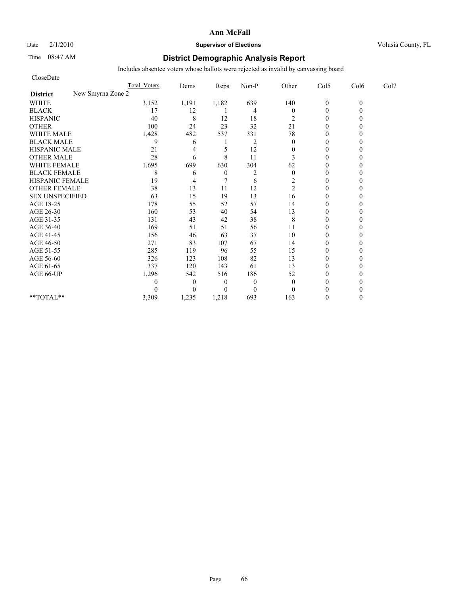# Date  $2/1/2010$  **Supervisor of Elections Supervisor of Elections** Volusia County, FL

# Time 08:47 AM **District Demographic Analysis Report**

| CloseDate              |                     |          |                  |                |                  |                |          |      |
|------------------------|---------------------|----------|------------------|----------------|------------------|----------------|----------|------|
|                        | <b>Total Voters</b> | Dems     | Reps             | Non-P          | Other            | Col5           | Col6     | Col7 |
| <b>District</b>        | New Smyrna Zone 2   |          |                  |                |                  |                |          |      |
| <b>WHITE</b>           | 3,152               | 1,191    | 1,182            | 639            | 140              | $\mathbf{0}$   | $\theta$ |      |
| <b>BLACK</b>           | 17                  | 12       |                  | $\overline{4}$ | $\boldsymbol{0}$ | $\overline{0}$ |          |      |
| <b>HISPANIC</b>        | 40                  | 8        | 12               | 18             | 2                | $\mathbf{0}$   |          |      |
| <b>OTHER</b>           | 100                 | 24       | 23               | 32             | 21               | $\theta$       |          |      |
| <b>WHITE MALE</b>      | 1,428               | 482      | 537              | 331            | 78               | $\theta$       |          |      |
| <b>BLACK MALE</b>      | 9                   | 6        |                  | $\overline{2}$ | $\mathbf{0}$     | $\theta$       |          |      |
| <b>HISPANIC MALE</b>   | 21                  | 4        | 5                | 12             | $\mathbf{0}$     | $\theta$       |          |      |
| <b>OTHER MALE</b>      | 28                  | 6        | 8                | 11             | 3                | $\theta$       |          |      |
| WHITE FEMALE           | 1,695               | 699      | 630              | 304            | 62               | $\theta$       |          |      |
| <b>BLACK FEMALE</b>    | 8                   | 6        | $\boldsymbol{0}$ | $\overline{2}$ | $\theta$         | $\theta$       |          |      |
| HISPANIC FEMALE        | 19                  | 4        |                  | 6              | 2                | $\theta$       |          |      |
| <b>OTHER FEMALE</b>    | 38                  | 13       | 11               | 12             | $\overline{c}$   | $\mathbf{0}$   |          |      |
| <b>SEX UNSPECIFIED</b> | 63                  | 15       | 19               | 13             | 16               | $\theta$       |          |      |
| AGE 18-25              | 178                 | 55       | 52               | 57             | 14               | $\mathbf{0}$   |          |      |
| AGE 26-30              | 160                 | 53       | 40               | 54             | 13               | $\theta$       |          |      |
| AGE 31-35              | 131                 | 43       | 42               | 38             | 8                | $\theta$       |          |      |
| AGE 36-40              | 169                 | 51       | 51               | 56             | 11               | $\theta$       |          |      |
| AGE 41-45              | 156                 | 46       | 63               | 37             | 10               | $\overline{0}$ |          |      |
| AGE 46-50              | 271                 | 83       | 107              | 67             | 14               | $\mathbf{0}$   |          |      |
| AGE 51-55              | 285                 | 119      | 96               | 55             | 15               | $\theta$       |          |      |
| AGE 56-60              | 326                 | 123      | 108              | 82             | 13               | $\theta$       |          |      |
| AGE 61-65              | 337                 | 120      | 143              | 61             | 13               | $\theta$       |          |      |
| AGE 66-UP              | 1,296               | 542      | 516              | 186            | 52               | $\theta$       |          |      |
|                        | 0                   | $\theta$ | $\theta$         | $\theta$       | $\mathbf{0}$     | $\theta$       |          |      |
|                        |                     | $\theta$ | $\theta$         | $\mathbf{0}$   | $\theta$         | $\theta$       |          |      |
| $**TOTAL**$            | 3,309               | 1,235    | 1,218            | 693            | 163              | $\theta$       |          |      |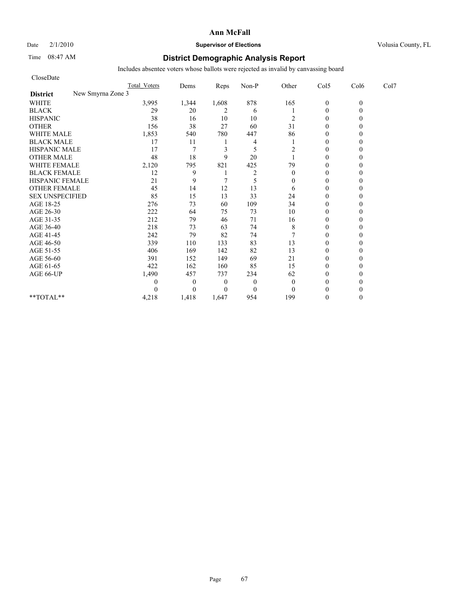# Date  $2/1/2010$  **Supervisor of Elections Supervisor of Elections** Volusia County, FL

# Time 08:47 AM **District Demographic Analysis Report**

| CloseDate                            |                     |                |          |                |              |                |          |      |
|--------------------------------------|---------------------|----------------|----------|----------------|--------------|----------------|----------|------|
|                                      | <b>Total Voters</b> | Dems           | Reps     | Non-P          | Other        | Col5           | Col6     | Col7 |
| New Smyrna Zone 3<br><b>District</b> |                     |                |          |                |              |                |          |      |
| <b>WHITE</b>                         | 3,995               | 1,344          | 1,608    | 878            | 165          | $\mathbf{0}$   | $\theta$ |      |
| <b>BLACK</b>                         | 29                  | 20             | 2        | 6              |              | $\overline{0}$ |          |      |
| <b>HISPANIC</b>                      | 38                  | 16             | 10       | 10             | 2            | $\mathbf{0}$   |          |      |
| <b>OTHER</b>                         | 156                 | 38             | 27       | 60             | 31           | $\theta$       |          |      |
| <b>WHITE MALE</b>                    | 1,853               | 540            | 780      | 447            | 86           | $\theta$       |          |      |
| <b>BLACK MALE</b>                    | 17                  | 11             |          | 4              |              | $\theta$       |          |      |
| <b>HISPANIC MALE</b>                 | 17                  | $\overline{7}$ | 3        | 5              | 2            | $\theta$       |          |      |
| <b>OTHER MALE</b>                    | 48                  | 18             | 9        | 20             |              | $\theta$       |          |      |
| WHITE FEMALE                         | 2,120               | 795            | 821      | 425            | 79           | $\theta$       |          |      |
| <b>BLACK FEMALE</b>                  | 12                  | 9              |          | $\overline{2}$ | $\mathbf{0}$ | $\theta$       |          |      |
| HISPANIC FEMALE                      | 21                  | 9              |          | 5              | $\Omega$     | $\theta$       |          |      |
| <b>OTHER FEMALE</b>                  | 45                  | 14             | 12       | 13             | 6            | $\mathbf{0}$   |          |      |
| <b>SEX UNSPECIFIED</b>               | 85                  | 15             | 13       | 33             | 24           | $\theta$       |          |      |
| AGE 18-25                            | 276                 | 73             | 60       | 109            | 34           | $\mathbf{0}$   |          |      |
| AGE 26-30                            | 222                 | 64             | 75       | 73             | 10           | $\theta$       |          |      |
| AGE 31-35                            | 212                 | 79             | 46       | 71             | 16           | $\theta$       |          |      |
| AGE 36-40                            | 218                 | 73             | 63       | 74             | 8            | $\theta$       |          |      |
| AGE 41-45                            | 242                 | 79             | 82       | 74             |              | $\theta$       |          |      |
| AGE 46-50                            | 339                 | 110            | 133      | 83             | 13           | $\mathbf{0}$   |          |      |
| AGE 51-55                            | 406                 | 169            | 142      | 82             | 13           | $\mathbf{0}$   |          |      |
| AGE 56-60                            | 391                 | 152            | 149      | 69             | 21           | $\theta$       |          |      |
| AGE 61-65                            | 422                 | 162            | 160      | 85             | 15           | $\theta$       |          |      |
| AGE 66-UP                            | 1,490               | 457            | 737      | 234            | 62           | $\theta$       |          |      |
|                                      | 0                   | $\theta$       | $\theta$ | $\overline{0}$ | $\mathbf{0}$ | $\mathbf{0}$   |          |      |
|                                      |                     | $\theta$       | $\theta$ | $\mathbf{0}$   | $\theta$     | $\theta$       |          |      |
| $**TOTAL**$                          | 4,218               | 1,418          | 1,647    | 954            | 199          | $\theta$       |          |      |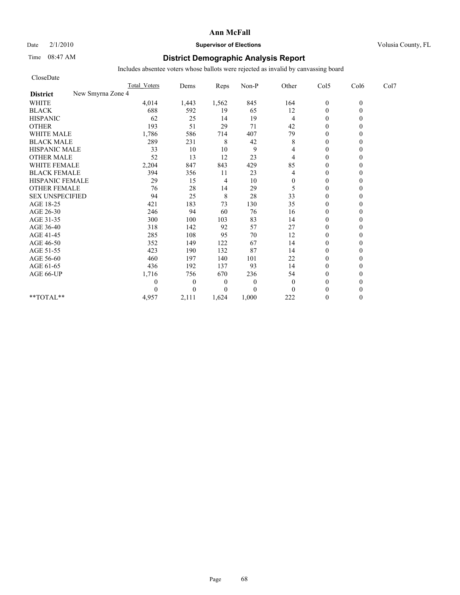## Date  $2/1/2010$  **Supervisor of Elections Supervisor of Elections** Volusia County, FL

# Time 08:47 AM **District Demographic Analysis Report**

| CloseDate                            |                     |              |                |              |                |                  |          |      |
|--------------------------------------|---------------------|--------------|----------------|--------------|----------------|------------------|----------|------|
|                                      | <b>Total Voters</b> | Dems         | Reps           | Non-P        | Other          | Col5             | Col6     | Col7 |
| New Smyrna Zone 4<br><b>District</b> |                     |              |                |              |                |                  |          |      |
| <b>WHITE</b>                         | 4,014               | 1,443        | 1,562          | 845          | 164            | $\boldsymbol{0}$ | $\theta$ |      |
| <b>BLACK</b>                         | 688                 | 592          | 19             | 65           | 12             | $\mathbf{0}$     | 0        |      |
| <b>HISPANIC</b>                      | 62                  | 25           | 14             | 19           | 4              | $\theta$         |          |      |
| <b>OTHER</b>                         | 193                 | 51           | 29             | 71           | 42             | $\theta$         |          |      |
| <b>WHITE MALE</b>                    | 1,786               | 586          | 714            | 407          | 79             | $\theta$         |          |      |
| <b>BLACK MALE</b>                    | 289                 | 231          | 8              | 42           | $\,$ 8 $\,$    | $\mathbf{0}$     |          |      |
| <b>HISPANIC MALE</b>                 | 33                  | 10           | 10             | 9            | 4              | $\theta$         |          |      |
| <b>OTHER MALE</b>                    | 52                  | 13           | 12             | 23           | 4              | $\theta$         |          |      |
| <b>WHITE FEMALE</b>                  | 2,204               | 847          | 843            | 429          | 85             | $\theta$         |          |      |
| <b>BLACK FEMALE</b>                  | 394                 | 356          | 11             | 23           | 4              | $\theta$         |          |      |
| HISPANIC FEMALE                      | 29                  | 15           | 4              | 10           | $\overline{0}$ | $\mathbf{0}$     |          |      |
| <b>OTHER FEMALE</b>                  | 76                  | 28           | 14             | 29           | 5              | $\theta$         |          |      |
| <b>SEX UNSPECIFIED</b>               | 94                  | 25           | $\,$ 8 $\,$    | 28           | 33             | $\theta$         |          |      |
| AGE 18-25                            | 421                 | 183          | 73             | 130          | 35             | $\mathbf{0}$     |          |      |
| AGE 26-30                            | 246                 | 94           | 60             | 76           | 16             | $\overline{0}$   |          |      |
| AGE 31-35                            | 300                 | 100          | 103            | 83           | 14             | $\mathbf{0}$     |          |      |
| AGE 36-40                            | 318                 | 142          | 92             | 57           | 27             | $\mathbf{0}$     |          |      |
| AGE 41-45                            | 285                 | 108          | 95             | 70           | 12             | $\mathbf{0}$     |          |      |
| AGE 46-50                            | 352                 | 149          | 122            | 67           | 14             | $\theta$         |          |      |
| AGE 51-55                            | 423                 | 190          | 132            | 87           | 14             | $\mathbf{0}$     |          |      |
| AGE 56-60                            | 460                 | 197          | 140            | 101          | 22             | $\overline{0}$   |          |      |
| AGE 61-65                            | 436                 | 192          | 137            | 93           | 14             | $\theta$         |          |      |
| AGE 66-UP                            | 1,716               | 756          | 670            | 236          | 54             | $\mathbf{0}$     |          |      |
|                                      | 0                   | $\mathbf{0}$ | $\overline{0}$ | $\mathbf{0}$ | $\mathbf{0}$   | $\mathbf{0}$     |          |      |
|                                      | 0                   | $\Omega$     | $\overline{0}$ | $\theta$     | $\Omega$       | $\theta$         |          |      |
| **TOTAL**                            | 4,957               | 2,111        | 1,624          | 1,000        | 222            | $\theta$         | 0        |      |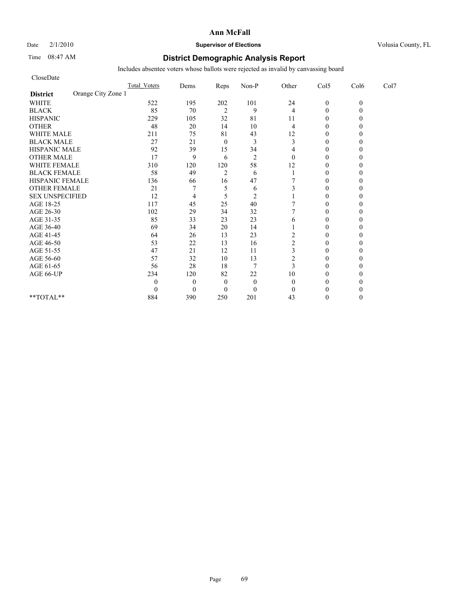Date  $2/1/2010$  **Supervisor of Elections Supervisor of Elections** Volusia County, FL

# Time 08:47 AM **District Demographic Analysis Report**

| CloseDate              |                    |                     |                |                |                |                |                |          |      |
|------------------------|--------------------|---------------------|----------------|----------------|----------------|----------------|----------------|----------|------|
|                        |                    | <b>Total Voters</b> | Dems           | Reps           | Non-P          | Other          | Col5           | Col6     | Col7 |
| <b>District</b>        | Orange City Zone 1 |                     |                |                |                |                |                |          |      |
| <b>WHITE</b>           |                    | 522                 | 195            | 202            | 101            | 24             | $\mathbf{0}$   | $\theta$ |      |
| <b>BLACK</b>           |                    | 85                  | 70             | $\overline{c}$ | 9              | 4              | $\theta$       |          |      |
| <b>HISPANIC</b>        |                    | 229                 | 105            | 32             | 81             | 11             | $\overline{0}$ |          |      |
| <b>OTHER</b>           |                    | 48                  | 20             | 14             | 10             | 4              | $\theta$       |          |      |
| <b>WHITE MALE</b>      |                    | 211                 | 75             | 81             | 43             | 12             | $\theta$       |          |      |
| <b>BLACK MALE</b>      |                    | 27                  | 21             | $\mathbf{0}$   | 3              | 3              | $\theta$       |          |      |
| <b>HISPANIC MALE</b>   |                    | 92                  | 39             | 15             | 34             | 4              | $\theta$       |          |      |
| <b>OTHER MALE</b>      |                    | 17                  | 9              | 6              | $\overline{2}$ | $\theta$       | $\theta$       |          |      |
| <b>WHITE FEMALE</b>    |                    | 310                 | 120            | 120            | 58             | 12             | $\theta$       |          |      |
| <b>BLACK FEMALE</b>    |                    | 58                  | 49             | $\overline{c}$ | 6              |                | $\overline{0}$ |          |      |
| HISPANIC FEMALE        |                    | 136                 | 66             | 16             | 47             |                | $\theta$       |          |      |
| <b>OTHER FEMALE</b>    |                    | 21                  |                | 5              | 6              |                | $\theta$       |          |      |
| <b>SEX UNSPECIFIED</b> |                    | 12                  | 4              | 5              | $\overline{2}$ |                | $\theta$       |          |      |
| AGE 18-25              |                    | 117                 | 45             | 25             | 40             |                | $\theta$       |          |      |
| AGE 26-30              |                    | 102                 | 29             | 34             | 32             |                | $\Omega$       |          |      |
| AGE 31-35              |                    | 85                  | 33             | 23             | 23             | 6              | $\theta$       |          |      |
| AGE 36-40              |                    | 69                  | 34             | 20             | 14             |                | $\overline{0}$ |          |      |
| AGE 41-45              |                    | 64                  | 26             | 13             | 23             | 2              | $\mathbf{0}$   |          |      |
| AGE 46-50              |                    | 53                  | 22             | 13             | 16             | $\overline{c}$ | $\theta$       |          |      |
| AGE 51-55              |                    | 47                  | 21             | 12             | 11             | 3              | $\theta$       |          |      |
| AGE 56-60              |                    | 57                  | 32             | 10             | 13             | 2              | $\overline{0}$ |          |      |
| AGE 61-65              |                    | 56                  | 28             | 18             | $\overline{7}$ | 3              | $\theta$       |          |      |
| AGE 66-UP              |                    | 234                 | 120            | 82             | $22\,$         | 10             | $\theta$       |          |      |
|                        |                    | 0                   | $\overline{0}$ | $\mathbf{0}$   | $\mathbf{0}$   | $\theta$       | 0              |          |      |
|                        |                    | $\theta$            | $\theta$       | $\theta$       | $\mathbf{0}$   | $\Omega$       | $\Omega$       |          |      |
| **TOTAL**              |                    | 884                 | 390            | 250            | 201            | 43             | $\theta$       |          |      |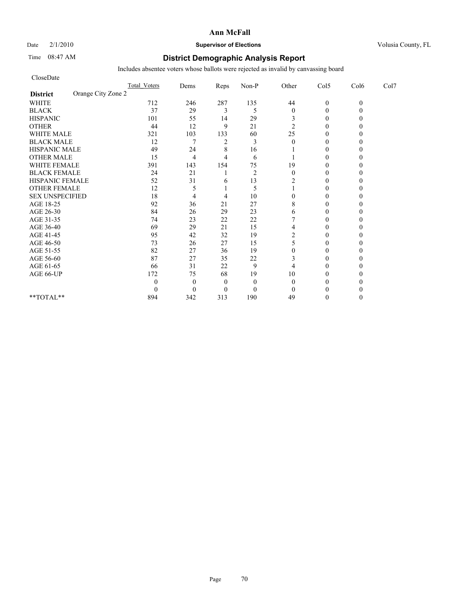# Date  $2/1/2010$  **Supervisor of Elections Supervisor of Elections** Volusia County, FL

# Time 08:47 AM **District Demographic Analysis Report**

| CloseDate                             |                     |                |                |                |                  |                |          |      |
|---------------------------------------|---------------------|----------------|----------------|----------------|------------------|----------------|----------|------|
|                                       | <b>Total Voters</b> | Dems           | Reps           | Non-P          | Other            | Col5           | Col6     | Col7 |
| Orange City Zone 2<br><b>District</b> |                     |                |                |                |                  |                |          |      |
| <b>WHITE</b>                          | 712                 | 246            | 287            | 135            | 44               | $\mathbf{0}$   | $\theta$ |      |
| <b>BLACK</b>                          | 37                  | 29             | 3              | 5              | $\boldsymbol{0}$ | $\theta$       |          |      |
| <b>HISPANIC</b>                       | 101                 | 55             | 14             | 29             | 3                | $\overline{0}$ |          |      |
| <b>OTHER</b>                          | 44                  | 12             | 9              | 21             | $\overline{2}$   | $\theta$       |          |      |
| <b>WHITE MALE</b>                     | 321                 | 103            | 133            | 60             | 25               | $\theta$       |          |      |
| <b>BLACK MALE</b>                     | 12                  | 7              | $\overline{2}$ | 3              | $\theta$         | $\theta$       |          |      |
| <b>HISPANIC MALE</b>                  | 49                  | 24             | 8              | 16             |                  | $\theta$       |          |      |
| <b>OTHER MALE</b>                     | 15                  | $\overline{4}$ | 4              | 6              |                  | $\theta$       |          |      |
| <b>WHITE FEMALE</b>                   | 391                 | 143            | 154            | 75             | 19               | $\theta$       |          |      |
| <b>BLACK FEMALE</b>                   | 24                  | 21             |                | $\overline{2}$ | $\mathbf{0}$     | $\overline{0}$ |          |      |
| HISPANIC FEMALE                       | 52                  | 31             | 6              | 13             | 2                | $\theta$       |          |      |
| <b>OTHER FEMALE</b>                   | 12                  | 5              |                | 5              |                  | $\Omega$       |          |      |
| <b>SEX UNSPECIFIED</b>                | 18                  | 4              | 4              | 10             | 0                | $\theta$       |          |      |
| AGE 18-25                             | 92                  | 36             | 21             | 27             | 8                | $\theta$       |          |      |
| AGE 26-30                             | 84                  | 26             | 29             | 23             | 6                | $\Omega$       |          |      |
| AGE 31-35                             | 74                  | 23             | 22             | 22             |                  | $\theta$       |          |      |
| AGE 36-40                             | 69                  | 29             | 21             | 15             | 4                | $\Omega$       |          |      |
| AGE 41-45                             | 95                  | 42             | 32             | 19             | 2                | $\mathbf{0}$   |          |      |
| AGE 46-50                             | 73                  | 26             | 27             | 15             | 5                | $\theta$       |          |      |
| AGE 51-55                             | 82                  | 27             | 36             | 19             | 0                | $\Omega$       |          |      |
| AGE 56-60                             | 87                  | 27             | 35             | $22\,$         | 3                | $\overline{0}$ |          |      |
| AGE 61-65                             | 66                  | 31             | 22             | 9              | 4                | 0              |          |      |
| AGE 66-UP                             | 172                 | 75             | 68             | 19             | 10               | $\Omega$       |          |      |
|                                       | 0                   | $\overline{0}$ | $\theta$       | $\mathbf{0}$   | $\theta$         | 0              |          |      |
|                                       | 0                   | $\Omega$       | $\Omega$       | $\mathbf{0}$   | $\Omega$         | $\Omega$       |          |      |
| **TOTAL**                             | 894                 | 342            | 313            | 190            | 49               | $\Omega$       |          |      |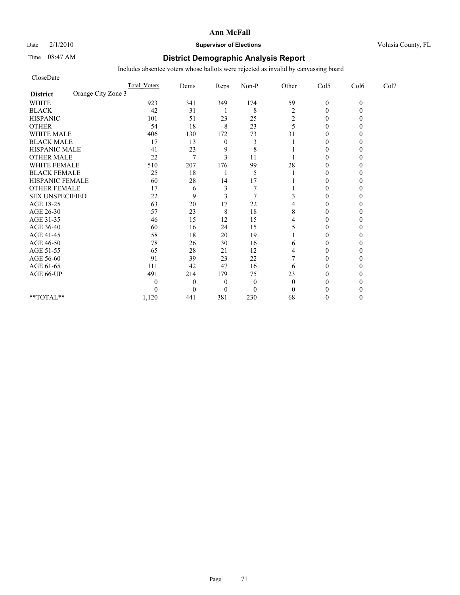# Date  $2/1/2010$  **Supervisor of Elections Supervisor of Elections** Volusia County, FL

# Time 08:47 AM **District Demographic Analysis Report**

| CloseDate                             |                     |          |                |              |                |                |          |      |
|---------------------------------------|---------------------|----------|----------------|--------------|----------------|----------------|----------|------|
|                                       | <b>Total Voters</b> | Dems     | Reps           | Non-P        | Other          | Col5           | Col6     | Col7 |
| Orange City Zone 3<br><b>District</b> |                     |          |                |              |                |                |          |      |
| <b>WHITE</b>                          | 923                 | 341      | 349            | 174          | 59             | $\mathbf{0}$   | $\theta$ |      |
| <b>BLACK</b>                          | 42                  | 31       | ı              | 8            | $\overline{c}$ | $\theta$       |          |      |
| <b>HISPANIC</b>                       | 101                 | 51       | 23             | 25           | 2              | $\overline{0}$ |          |      |
| <b>OTHER</b>                          | 54                  | 18       | 8              | 23           | 5              | $\theta$       |          |      |
| <b>WHITE MALE</b>                     | 406                 | 130      | 172            | 73           | 31             | $\theta$       |          |      |
| <b>BLACK MALE</b>                     | 17                  | 13       | $\mathbf{0}$   | 3            |                | $\theta$       |          |      |
| <b>HISPANIC MALE</b>                  | 41                  | 23       | 9              | 8            |                | $\theta$       |          |      |
| <b>OTHER MALE</b>                     | 22                  | 7        | 3              | 11           |                | $\overline{0}$ |          |      |
| <b>WHITE FEMALE</b>                   | 510                 | 207      | 176            | 99           | 28             | $\theta$       |          |      |
| <b>BLACK FEMALE</b>                   | 25                  | 18       |                | 5            |                | $\overline{0}$ |          |      |
| HISPANIC FEMALE                       | 60                  | 28       | 14             | 17           |                | $\theta$       |          |      |
| <b>OTHER FEMALE</b>                   | 17                  | 6        | 3              |              |                | $\theta$       |          |      |
| <b>SEX UNSPECIFIED</b>                | 22                  | 9        | 3              |              |                | $\theta$       |          |      |
| AGE 18-25                             | 63                  | 20       | 17             | 22           |                | $\theta$       |          |      |
| AGE 26-30                             | 57                  | 23       | 8              | 18           | 8              | 0              |          |      |
| AGE 31-35                             | 46                  | 15       | 12             | 15           |                | $\theta$       |          |      |
| AGE 36-40                             | 60                  | 16       | 24             | 15           |                | $\Omega$       |          |      |
| AGE 41-45                             | 58                  | 18       | 20             | 19           |                | $\mathbf{0}$   |          |      |
| AGE 46-50                             | 78                  | 26       | 30             | 16           | 6              | $\theta$       |          |      |
| AGE 51-55                             | 65                  | 28       | 21             | 12           | 4              | $\Omega$       |          |      |
| AGE 56-60                             | 91                  | 39       | 23             | 22           |                | $\overline{0}$ |          |      |
| AGE 61-65                             | 111                 | 42       | 47             | 16           | 6              | $\theta$       |          |      |
| AGE 66-UP                             | 491                 | 214      | 179            | 75           | 23             | $\Omega$       |          |      |
|                                       | 0                   | $\theta$ | $\theta$       | $\mathbf{0}$ | $\theta$       | 0              |          |      |
|                                       | 0                   | $\theta$ | $\overline{0}$ | $\mathbf{0}$ | $\theta$       | $\Omega$       |          |      |
| **TOTAL**                             | 1,120               | 441      | 381            | 230          | 68             | $\Omega$       |          |      |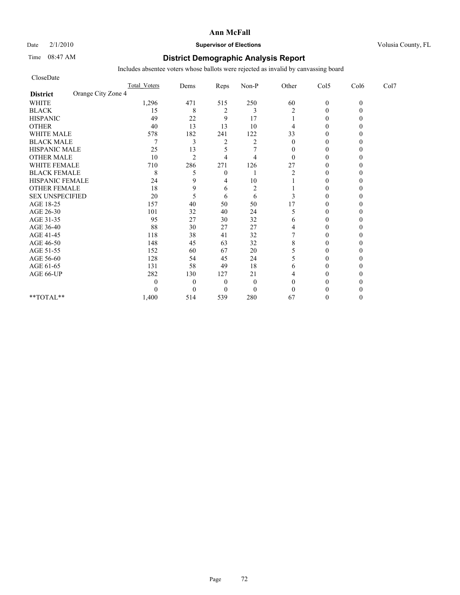# Date  $2/1/2010$  **Supervisor of Elections** Volusia County, FL

# Time 08:47 AM **District Demographic Analysis Report**

| CloseDate                             |                     |                |                |                |              |                |          |      |
|---------------------------------------|---------------------|----------------|----------------|----------------|--------------|----------------|----------|------|
|                                       | <b>Total Voters</b> | Dems           | Reps           | Non-P          | Other        | Col5           | Col6     | Col7 |
| Orange City Zone 4<br><b>District</b> |                     |                |                |                |              |                |          |      |
| <b>WHITE</b>                          | 1,296               | 471            | 515            | 250            | 60           | $\mathbf{0}$   | $\theta$ |      |
| <b>BLACK</b>                          | 15                  | 8              | $\overline{c}$ | 3              | 2            | $\theta$       |          |      |
| <b>HISPANIC</b>                       | 49                  | 22             | 9              | 17             |              | $\overline{0}$ |          |      |
| <b>OTHER</b>                          | 40                  | 13             | 13             | 10             | 4            | $\theta$       |          |      |
| <b>WHITE MALE</b>                     | 578                 | 182            | 241            | 122            | 33           | $\theta$       |          |      |
| <b>BLACK MALE</b>                     | 7                   | 3              | $\overline{c}$ | $\overline{2}$ | $\theta$     | $\theta$       |          |      |
| <b>HISPANIC MALE</b>                  | 25                  | 13             | 5              |                | $\mathbf{0}$ | $\theta$       |          |      |
| <b>OTHER MALE</b>                     | 10                  | $\overline{2}$ | $\overline{4}$ | $\overline{4}$ | $\theta$     | $\theta$       |          |      |
| <b>WHITE FEMALE</b>                   | 710                 | 286            | 271            | 126            | 27           | $\theta$       |          |      |
| <b>BLACK FEMALE</b>                   | 8                   | 5              | $\overline{0}$ |                | 2            | $\overline{0}$ |          |      |
| HISPANIC FEMALE                       | 24                  | 9              | 4              | 10             |              | $\theta$       |          |      |
| <b>OTHER FEMALE</b>                   | 18                  | 9              | 6              | $\overline{2}$ |              | $\theta$       |          |      |
| <b>SEX UNSPECIFIED</b>                | 20                  | 5              | 6              | 6              | 3            | $\theta$       |          |      |
| AGE 18-25                             | 157                 | 40             | 50             | 50             | 17           | $\theta$       |          |      |
| AGE 26-30                             | 101                 | 32             | 40             | 24             | 5            | $\Omega$       |          |      |
| AGE 31-35                             | 95                  | 27             | 30             | 32             | 6            | $\theta$       |          |      |
| AGE 36-40                             | 88                  | 30             | 27             | 27             | 4            | $\Omega$       |          |      |
| AGE 41-45                             | 118                 | 38             | 41             | 32             |              | $\theta$       |          |      |
| AGE 46-50                             | 148                 | 45             | 63             | 32             | 8            | $\theta$       |          |      |
| AGE 51-55                             | 152                 | 60             | 67             | 20             | 5            | $\Omega$       |          |      |
| AGE 56-60                             | 128                 | 54             | 45             | 24             | 5            | $\overline{0}$ |          |      |
| AGE 61-65                             | 131                 | 58             | 49             | 18             | 6            | 0              |          |      |
| AGE 66-UP                             | 282                 | 130            | 127            | 21             | 4            | $\Omega$       |          |      |
|                                       | 0                   | $\overline{0}$ | $\overline{0}$ | $\mathbf{0}$   | $\theta$     | 0              |          |      |
|                                       | 0                   | $\Omega$       | $\Omega$       | $\mathbf{0}$   | $\theta$     | $\Omega$       |          |      |
| **TOTAL**                             | 1,400               | 514            | 539            | 280            | 67           | $\Omega$       |          |      |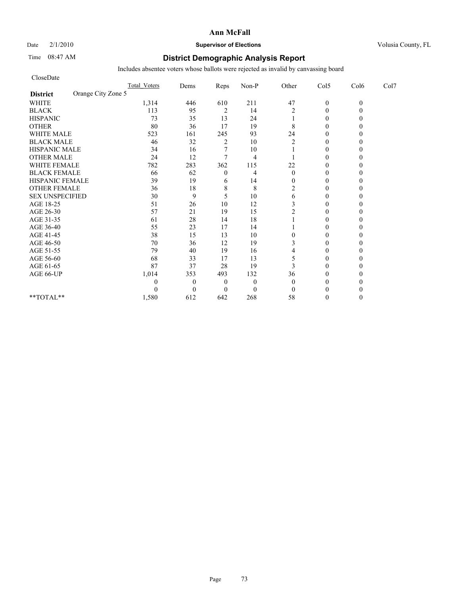### Date  $2/1/2010$  **Supervisor of Elections Supervisor of Elections** Volusia County, FL

## Time 08:47 AM **District Demographic Analysis Report**

| CloseDate                             |              |                |                |                |                  |                |          |      |
|---------------------------------------|--------------|----------------|----------------|----------------|------------------|----------------|----------|------|
|                                       | Total Voters | Dems           | Reps           | Non-P          | Other            | Col5           | Col6     | Col7 |
| Orange City Zone 5<br><b>District</b> |              |                |                |                |                  |                |          |      |
| <b>WHITE</b>                          | 1,314        | 446            | 610            | 211            | 47               | $\mathbf{0}$   | $\theta$ |      |
| <b>BLACK</b>                          | 113          | 95             | $\overline{c}$ | 14             | $\overline{2}$   | $\theta$       |          |      |
| <b>HISPANIC</b>                       | 73           | 35             | 13             | 24             |                  | $\overline{0}$ |          |      |
| <b>OTHER</b>                          | 80           | 36             | 17             | 19             | 8                | $\theta$       |          |      |
| <b>WHITE MALE</b>                     | 523          | 161            | 245            | 93             | 24               | $\theta$       |          |      |
| <b>BLACK MALE</b>                     | 46           | 32             | $\overline{c}$ | 10             | $\overline{c}$   | $\theta$       |          |      |
| <b>HISPANIC MALE</b>                  | 34           | 16             |                | 10             |                  | $\theta$       |          |      |
| <b>OTHER MALE</b>                     | 24           | 12             | 7              | $\overline{4}$ |                  | $\theta$       |          |      |
| <b>WHITE FEMALE</b>                   | 782          | 283            | 362            | 115            | 22               | $\theta$       |          |      |
| <b>BLACK FEMALE</b>                   | 66           | 62             | $\mathbf{0}$   | 4              | $\mathbf{0}$     | $\overline{0}$ |          |      |
| HISPANIC FEMALE                       | 39           | 19             | 6              | 14             | $\overline{0}$   | $\theta$       |          |      |
| <b>OTHER FEMALE</b>                   | 36           | 18             | 8              | 8              | $\overline{c}$   | $\theta$       |          |      |
| <b>SEX UNSPECIFIED</b>                | 30           | 9              | 5              | 10             | 6                | $\theta$       |          |      |
| AGE 18-25                             | 51           | 26             | 10             | 12             | 3                | $\theta$       |          |      |
| AGE 26-30                             | 57           | 21             | 19             | 15             | $\overline{c}$   | $\Omega$       |          |      |
| AGE 31-35                             | 61           | 28             | 14             | 18             |                  | $\theta$       |          |      |
| AGE 36-40                             | 55           | 23             | 17             | 14             |                  | $\overline{0}$ |          |      |
| AGE 41-45                             | 38           | 15             | 13             | 10             | $\boldsymbol{0}$ | $\mathbf{0}$   |          |      |
| AGE 46-50                             | $70\,$       | 36             | 12             | 19             | 3                | $\theta$       |          |      |
| AGE 51-55                             | 79           | 40             | 19             | 16             | 4                | $\theta$       |          |      |
| AGE 56-60                             | 68           | 33             | 17             | 13             | 5                | $\overline{0}$ |          |      |
| AGE 61-65                             | 87           | 37             | 28             | 19             | 3                | $\theta$       |          |      |
| AGE 66-UP                             | 1,014        | 353            | 493            | 132            | 36               | $\theta$       |          |      |
|                                       | 0            | $\overline{0}$ | $\overline{0}$ | $\mathbf{0}$   | $\theta$         | 0              |          |      |
|                                       | 0            | $\theta$       | $\Omega$       | $\mathbf{0}$   | $\theta$         | $\Omega$       |          |      |
| **TOTAL**                             | 1,580        | 612            | 642            | 268            | 58               | $\theta$       |          |      |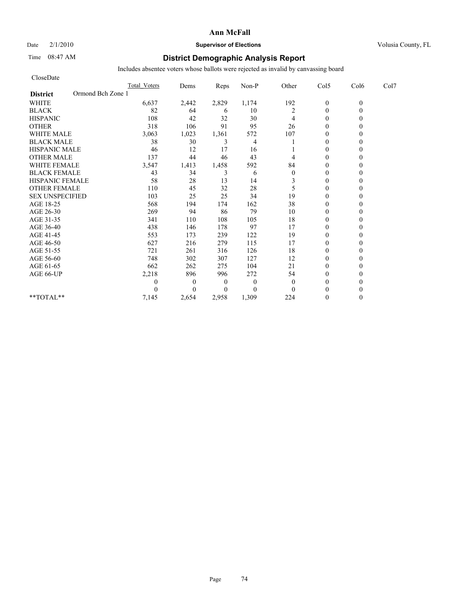# Date  $2/1/2010$  **Supervisor of Elections** Volusia County, FL

# Time 08:47 AM **District Demographic Analysis Report**

| CloseDate                            |                     |              |                |              |                |                |          |      |
|--------------------------------------|---------------------|--------------|----------------|--------------|----------------|----------------|----------|------|
|                                      | <b>Total Voters</b> | Dems         | Reps           | Non-P        | Other          | Col5           | Col6     | Col7 |
| Ormond Bch Zone 1<br><b>District</b> |                     |              |                |              |                |                |          |      |
| <b>WHITE</b>                         | 6,637               | 2,442        | 2,829          | 1,174        | 192            | $\mathbf{0}$   | $\theta$ |      |
| <b>BLACK</b>                         | 82                  | 64           | 6              | 10           | $\overline{c}$ | $\mathbf{0}$   | 0        |      |
| <b>HISPANIC</b>                      | 108                 | 42           | 32             | 30           | 4              | $\theta$       |          |      |
| <b>OTHER</b>                         | 318                 | 106          | 91             | 95           | 26             | $\theta$       |          |      |
| <b>WHITE MALE</b>                    | 3,063               | 1,023        | 1,361          | 572          | 107            | $\theta$       |          |      |
| <b>BLACK MALE</b>                    | 38                  | 30           | 3              | 4            |                | $\theta$       |          |      |
| <b>HISPANIC MALE</b>                 | 46                  | 12           | 17             | 16           |                | $\theta$       |          |      |
| <b>OTHER MALE</b>                    | 137                 | 44           | 46             | 43           | 4              | $\theta$       |          |      |
| <b>WHITE FEMALE</b>                  | 3,547               | 1,413        | 1,458          | 592          | 84             | $\theta$       |          |      |
| <b>BLACK FEMALE</b>                  | 43                  | 34           | 3              | 6            | $\mathbf{0}$   | $\overline{0}$ |          |      |
| HISPANIC FEMALE                      | 58                  | 28           | 13             | 14           | 3              | $\theta$       |          |      |
| <b>OTHER FEMALE</b>                  | 110                 | 45           | 32             | 28           | 5              | $\theta$       |          |      |
| <b>SEX UNSPECIFIED</b>               | 103                 | 25           | 25             | 34           | 19             | $\theta$       |          |      |
| AGE 18-25                            | 568                 | 194          | 174            | 162          | 38             | $\theta$       |          |      |
| AGE 26-30                            | 269                 | 94           | 86             | 79           | 10             | $\overline{0}$ |          |      |
| AGE 31-35                            | 341                 | 110          | 108            | 105          | 18             | $\mathbf{0}$   |          |      |
| AGE 36-40                            | 438                 | 146          | 178            | 97           | 17             | $\overline{0}$ |          |      |
| AGE 41-45                            | 553                 | 173          | 239            | 122          | 19             | $\mathbf{0}$   |          |      |
| AGE 46-50                            | 627                 | 216          | 279            | 115          | 17             | $\theta$       |          |      |
| AGE 51-55                            | 721                 | 261          | 316            | 126          | 18             | $\mathbf{0}$   |          |      |
| AGE 56-60                            | 748                 | 302          | 307            | 127          | 12             | $\overline{0}$ |          |      |
| AGE 61-65                            | 662                 | 262          | 275            | 104          | 21             | $\Omega$       |          |      |
| AGE 66-UP                            | 2,218               | 896          | 996            | 272          | 54             | $\Omega$       |          |      |
|                                      | 0                   | $\mathbf{0}$ | $\overline{0}$ | $\mathbf{0}$ | $\theta$       | $\Omega$       |          |      |
|                                      | $\Omega$            | $\Omega$     | $\Omega$       | $\theta$     | $\Omega$       | $\Omega$       |          |      |
| **TOTAL**                            | 7,145               | 2,654        | 2,958          | 1,309        | 224            | $\Omega$       |          |      |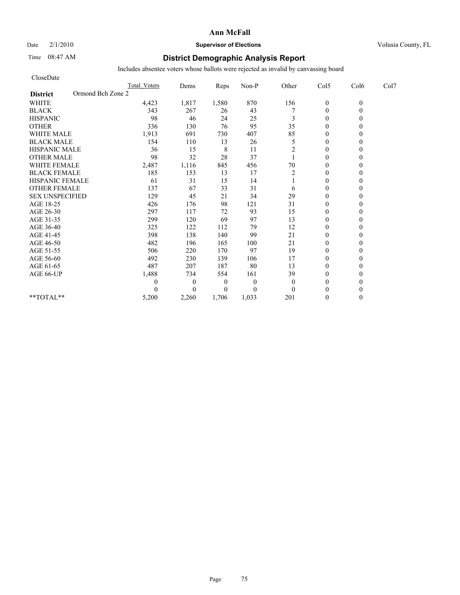# Date  $2/1/2010$  **Supervisor of Elections** Volusia County, FL

# Time 08:47 AM **District Demographic Analysis Report**

| CloseDate                            |                     |              |                |          |                |                  |          |      |
|--------------------------------------|---------------------|--------------|----------------|----------|----------------|------------------|----------|------|
|                                      | <b>Total Voters</b> | Dems         | Reps           | Non-P    | Other          | Col5             | Col6     | Col7 |
| Ormond Bch Zone 2<br><b>District</b> |                     |              |                |          |                |                  |          |      |
| <b>WHITE</b>                         | 4,423               | 1,817        | 1,580          | 870      | 156            | $\boldsymbol{0}$ | $\theta$ |      |
| <b>BLACK</b>                         | 343                 | 267          | 26             | 43       |                | $\theta$         | 0        |      |
| <b>HISPANIC</b>                      | 98                  | 46           | 24             | 25       | 3              | $\theta$         |          |      |
| <b>OTHER</b>                         | 336                 | 130          | 76             | 95       | 35             | $\theta$         |          |      |
| <b>WHITE MALE</b>                    | 1,913               | 691          | 730            | 407      | 85             | $\theta$         |          |      |
| <b>BLACK MALE</b>                    | 154                 | 110          | 13             | 26       | 5              | $\mathbf{0}$     |          |      |
| <b>HISPANIC MALE</b>                 | 36                  | 15           | 8              | 11       | 2              | $\theta$         |          |      |
| <b>OTHER MALE</b>                    | 98                  | 32           | 28             | 37       |                | $\theta$         |          |      |
| <b>WHITE FEMALE</b>                  | 2,487               | 1,116        | 845            | 456      | 70             | $\theta$         |          |      |
| <b>BLACK FEMALE</b>                  | 185                 | 153          | 13             | 17       | $\overline{2}$ | $\theta$         |          |      |
| HISPANIC FEMALE                      | 61                  | 31           | 15             | 14       |                | $\theta$         |          |      |
| <b>OTHER FEMALE</b>                  | 137                 | 67           | 33             | 31       | 6              | $\theta$         |          |      |
| <b>SEX UNSPECIFIED</b>               | 129                 | 45           | 21             | 34       | 29             | $\theta$         |          |      |
| AGE 18-25                            | 426                 | 176          | 98             | 121      | 31             | $\mathbf{0}$     |          |      |
| AGE 26-30                            | 297                 | 117          | 72             | 93       | 15             | $\overline{0}$   |          |      |
| AGE 31-35                            | 299                 | 120          | 69             | 97       | 13             | $\mathbf{0}$     |          |      |
| AGE 36-40                            | 325                 | 122          | 112            | 79       | 12             | $\theta$         |          |      |
| AGE 41-45                            | 398                 | 138          | 140            | 99       | 21             | $\mathbf{0}$     |          |      |
| AGE 46-50                            | 482                 | 196          | 165            | 100      | 21             | $\theta$         |          |      |
| AGE 51-55                            | 506                 | 220          | 170            | 97       | 19             | $\mathbf{0}$     |          |      |
| AGE 56-60                            | 492                 | 230          | 139            | 106      | 17             | $\overline{0}$   |          |      |
| AGE 61-65                            | 487                 | 207          | 187            | 80       | 13             | $\theta$         |          |      |
| AGE 66-UP                            | 1,488               | 734          | 554            | 161      | 39             | $\theta$         |          |      |
|                                      | 0                   | $\mathbf{0}$ | $\overline{0}$ | $\theta$ | $\mathbf{0}$   | $\theta$         |          |      |
|                                      | 0                   | $\Omega$     | $\overline{0}$ | $\theta$ | $\Omega$       | $\theta$         |          |      |
| $*$ $TOTAI.**$                       | 5,200               | 2,260        | 1.706          | 1,033    | 201            | $\theta$         | 0        |      |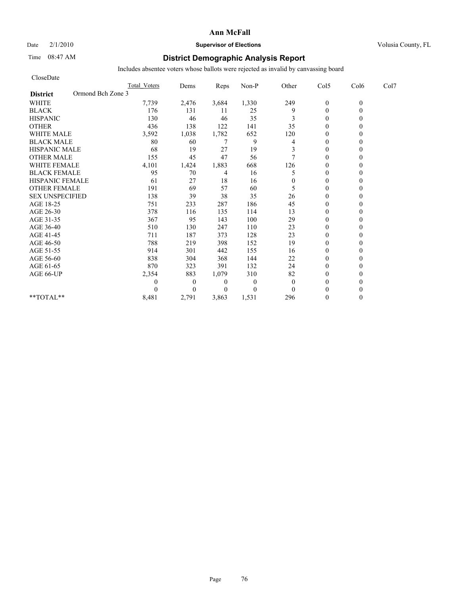# Date  $2/1/2010$  **Supervisor of Elections** Volusia County, FL

# Time 08:47 AM **District Demographic Analysis Report**

| CloseDate                            |                     |                |                |                  |              |                |          |      |
|--------------------------------------|---------------------|----------------|----------------|------------------|--------------|----------------|----------|------|
|                                      | <b>Total Voters</b> | Dems           | Reps           | Non-P            | Other        | Col5           | Col6     | Col7 |
| Ormond Bch Zone 3<br><b>District</b> |                     |                |                |                  |              |                |          |      |
| <b>WHITE</b>                         | 7,739               | 2,476          | 3,684          | 1,330            | 249          | $\mathbf{0}$   | $\theta$ |      |
| <b>BLACK</b>                         | 176                 | 131            | 11             | 25               | 9            | $\mathbf{0}$   | 0        |      |
| <b>HISPANIC</b>                      | 130                 | 46             | 46             | 35               | 3            | $\theta$       |          |      |
| <b>OTHER</b>                         | 436                 | 138            | 122            | 141              | 35           | $\theta$       |          |      |
| <b>WHITE MALE</b>                    | 3,592               | 1,038          | 1,782          | 652              | 120          | $\overline{0}$ |          |      |
| <b>BLACK MALE</b>                    | 80                  | 60             | 7              | 9                | 4            | $\mathbf{0}$   |          |      |
| <b>HISPANIC MALE</b>                 | 68                  | 19             | 27             | 19               | 3            | $\theta$       |          |      |
| <b>OTHER MALE</b>                    | 155                 | 45             | 47             | 56               | 7            | $\theta$       |          |      |
| <b>WHITE FEMALE</b>                  | 4,101               | 1,424          | 1,883          | 668              | 126          | $\theta$       |          |      |
| <b>BLACK FEMALE</b>                  | 95                  | 70             | 4              | 16               | 5            | $\overline{0}$ |          |      |
| <b>HISPANIC FEMALE</b>               | 61                  | 27             | 18             | 16               | $\mathbf{0}$ | $\theta$       |          |      |
| <b>OTHER FEMALE</b>                  | 191                 | 69             | 57             | 60               | 5            | $\theta$       |          |      |
| <b>SEX UNSPECIFIED</b>               | 138                 | 39             | 38             | 35               | 26           | $\theta$       |          |      |
| AGE 18-25                            | 751                 | 233            | 287            | 186              | 45           | $\theta$       |          |      |
| AGE 26-30                            | 378                 | 116            | 135            | 114              | 13           | $\overline{0}$ |          |      |
| AGE 31-35                            | 367                 | 95             | 143            | 100              | 29           | $\theta$       |          |      |
| AGE 36-40                            | 510                 | 130            | 247            | 110              | 23           | $\overline{0}$ |          |      |
| AGE 41-45                            | 711                 | 187            | 373            | 128              | 23           | $\mathbf{0}$   |          |      |
| AGE 46-50                            | 788                 | 219            | 398            | 152              | 19           | $\theta$       |          |      |
| AGE 51-55                            | 914                 | 301            | 442            | 155              | 16           | $\mathbf{0}$   |          |      |
| AGE 56-60                            | 838                 | 304            | 368            | 144              | 22           | $\overline{0}$ |          |      |
| AGE 61-65                            | 870                 | 323            | 391            | 132              | 24           | $\Omega$       |          |      |
| AGE 66-UP                            | 2,354               | 883            | 1,079          | 310              | 82           | $\theta$       |          |      |
|                                      | 0                   | $\overline{0}$ | $\overline{0}$ | $\theta$         | $\mathbf{0}$ | $\theta$       |          |      |
|                                      | $\Omega$            | $\Omega$       | $\Omega$       | $\boldsymbol{0}$ | $\theta$     | $\theta$       |          |      |
| $*$ $TOTAI.**$                       | 8,481               | 2,791          | 3,863          | 1,531            | 296          | $\theta$       | 0        |      |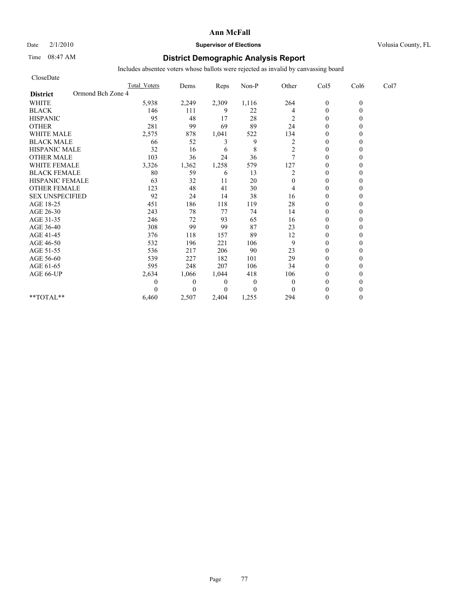# Date  $2/1/2010$  **Supervisor of Elections** Volusia County, FL

# Time 08:47 AM **District Demographic Analysis Report**

| CloseDate                            |                     |          |          |                |                |                |          |      |
|--------------------------------------|---------------------|----------|----------|----------------|----------------|----------------|----------|------|
|                                      | <b>Total Voters</b> | Dems     | Reps     | Non-P          | Other          | Col5           | Col6     | Col7 |
| Ormond Bch Zone 4<br><b>District</b> |                     |          |          |                |                |                |          |      |
| <b>WHITE</b>                         | 5,938               | 2,249    | 2,309    | 1,116          | 264            | $\mathbf{0}$   | $\theta$ |      |
| <b>BLACK</b>                         | 146                 | 111      | 9        | 22             | 4              | $\overline{0}$ |          |      |
| <b>HISPANIC</b>                      | 95                  | 48       | 17       | 28             | 2              | $\overline{0}$ |          |      |
| <b>OTHER</b>                         | 281                 | 99       | 69       | 89             | 24             | $\theta$       |          |      |
| <b>WHITE MALE</b>                    | 2,575               | 878      | 1,041    | 522            | 134            | $\theta$       |          |      |
| <b>BLACK MALE</b>                    | 66                  | 52       | 3        | 9              | 2              | $\mathbf{0}$   |          |      |
| <b>HISPANIC MALE</b>                 | 32                  | 16       | 6        | 8              | 2              | $\theta$       |          |      |
| <b>OTHER MALE</b>                    | 103                 | 36       | 24       | 36             | $\overline{7}$ | $\theta$       |          |      |
| <b>WHITE FEMALE</b>                  | 3,326               | 1,362    | 1,258    | 579            | 127            | $\theta$       |          |      |
| <b>BLACK FEMALE</b>                  | 80                  | 59       | 6        | 13             | 2              | $\theta$       |          |      |
| HISPANIC FEMALE                      | 63                  | 32       | 11       | 20             | $\Omega$       | $\theta$       |          |      |
| <b>OTHER FEMALE</b>                  | 123                 | 48       | 41       | 30             | 4              | $\mathbf{0}$   |          |      |
| <b>SEX UNSPECIFIED</b>               | 92                  | 24       | 14       | 38             | 16             | $\theta$       |          |      |
| AGE 18-25                            | 451                 | 186      | 118      | 119            | 28             | $\mathbf{0}$   |          |      |
| AGE 26-30                            | 243                 | 78       | 77       | 74             | 14             | $\theta$       |          |      |
| AGE 31-35                            | 246                 | 72       | 93       | 65             | 16             | $\theta$       |          |      |
| AGE 36-40                            | 308                 | 99       | 99       | 87             | 23             | $\theta$       |          |      |
| AGE 41-45                            | 376                 | 118      | 157      | 89             | 12             | $\overline{0}$ |          |      |
| AGE 46-50                            | 532                 | 196      | 221      | 106            | 9              | $\mathbf{0}$   |          |      |
| AGE 51-55                            | 536                 | 217      | 206      | 90             | 23             | $\theta$       |          |      |
| AGE 56-60                            | 539                 | 227      | 182      | 101            | 29             | $\theta$       |          |      |
| AGE 61-65                            | 595                 | 248      | 207      | 106            | 34             | $\theta$       |          |      |
| AGE 66-UP                            | 2,634               | 1,066    | 1,044    | 418            | 106            | $\theta$       |          |      |
|                                      | 0                   | $\theta$ | $\theta$ | $\overline{0}$ | $\theta$       | $\theta$       |          |      |
|                                      |                     | $\theta$ | $\theta$ | $\Omega$       | $\Omega$       | $\theta$       |          |      |
| $**TOTAL**$                          | 6,460               | 2,507    | 2.404    | 1,255          | 294            | $\theta$       |          |      |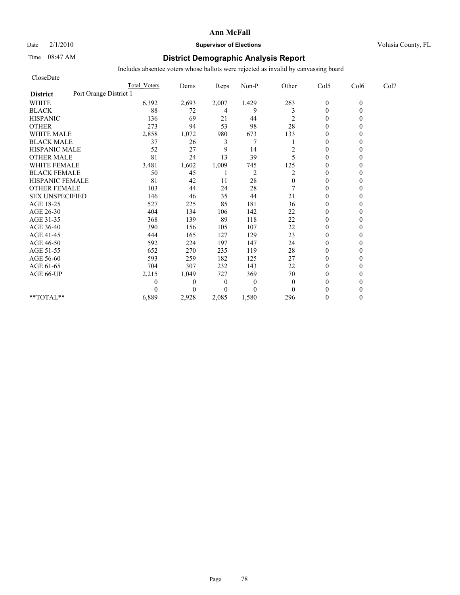Date  $2/1/2010$  **Supervisor of Elections Supervisor of Elections** Volusia County, FL

# Time 08:47 AM **District Demographic Analysis Report**

| CloseDate                                 |                     |              |                  |                |              |                |          |      |
|-------------------------------------------|---------------------|--------------|------------------|----------------|--------------|----------------|----------|------|
|                                           | <b>Total Voters</b> | Dems         | Reps             | Non-P          | Other        | Col5           | Col6     | Col7 |
| Port Orange District 1<br><b>District</b> |                     |              |                  |                |              |                |          |      |
| <b>WHITE</b>                              | 6,392               | 2,693        | 2,007            | 1,429          | 263          | $\mathbf{0}$   | $\theta$ |      |
| <b>BLACK</b>                              | 88                  | 72           | 4                | 9              | 3            | $\mathbf{0}$   | 0        |      |
| <b>HISPANIC</b>                           | 136                 | 69           | 21               | 44             | 2            | $\theta$       |          |      |
| <b>OTHER</b>                              | 273                 | 94           | 53               | 98             | 28           | $\theta$       |          |      |
| <b>WHITE MALE</b>                         | 2,858               | 1,072        | 980              | 673            | 133          | $\theta$       |          |      |
| <b>BLACK MALE</b>                         | 37                  | 26           | 3                | 7              |              | $\theta$       |          |      |
| <b>HISPANIC MALE</b>                      | 52                  | 27           | 9                | 14             | 2            | $\theta$       |          |      |
| <b>OTHER MALE</b>                         | 81                  | 24           | 13               | 39             | 5            | $\theta$       |          |      |
| <b>WHITE FEMALE</b>                       | 3,481               | 1,602        | 1,009            | 745            | 125          | $\theta$       |          |      |
| <b>BLACK FEMALE</b>                       | 50                  | 45           |                  | $\overline{c}$ | 2            | $\overline{0}$ |          |      |
| HISPANIC FEMALE                           | 81                  | 42           | 11               | 28             | $\mathbf{0}$ | $\theta$       |          |      |
| <b>OTHER FEMALE</b>                       | 103                 | 44           | 24               | 28             |              | $\theta$       |          |      |
| <b>SEX UNSPECIFIED</b>                    | 146                 | 46           | 35               | 44             | 21           | $\theta$       |          |      |
| AGE 18-25                                 | 527                 | 225          | 85               | 181            | 36           | $\mathbf{0}$   |          |      |
| AGE 26-30                                 | 404                 | 134          | 106              | 142            | 22           | $\overline{0}$ |          |      |
| AGE 31-35                                 | 368                 | 139          | 89               | 118            | 22           | $\theta$       |          |      |
| AGE 36-40                                 | 390                 | 156          | 105              | 107            | 22           | $\theta$       |          |      |
| AGE 41-45                                 | 444                 | 165          | 127              | 129            | 23           | $\mathbf{0}$   |          |      |
| AGE 46-50                                 | 592                 | 224          | 197              | 147            | 24           | $\theta$       |          |      |
| AGE 51-55                                 | 652                 | 270          | 235              | 119            | 28           | $\theta$       |          |      |
| AGE 56-60                                 | 593                 | 259          | 182              | 125            | 27           | $\overline{0}$ |          |      |
| AGE 61-65                                 | 704                 | 307          | 232              | 143            | 22           | $\theta$       |          |      |
| AGE 66-UP                                 | 2,215               | 1,049        | 727              | 369            | 70           | $\theta$       |          |      |
|                                           | 0                   | $\mathbf{0}$ | $\boldsymbol{0}$ | $\theta$       | $\mathbf{0}$ | $\mathbf{0}$   |          |      |
|                                           | 0                   | $\Omega$     | $\Omega$         | $\theta$       | $\theta$     | $\theta$       |          |      |
| **TOTAL**                                 | 6,889               | 2,928        | 2,085            | 1,580          | 296          | $\theta$       | 0        |      |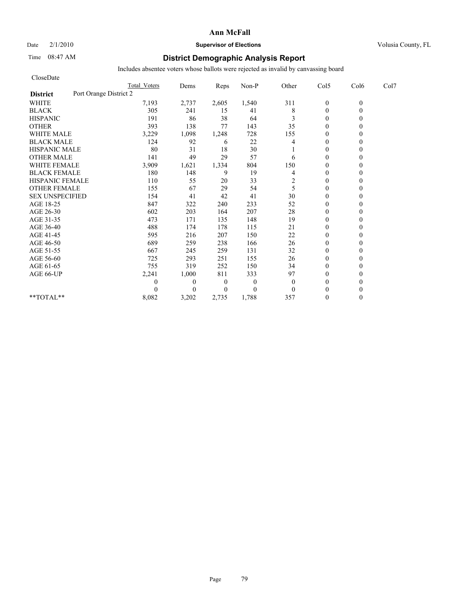Date  $2/1/2010$  **Supervisor of Elections Supervisor of Elections** Volusia County, FL

# Time 08:47 AM **District Demographic Analysis Report**

| CloseDate                                 |                     |              |                  |          |              |                  |          |      |
|-------------------------------------------|---------------------|--------------|------------------|----------|--------------|------------------|----------|------|
|                                           | <b>Total Voters</b> | Dems         | Reps             | Non-P    | Other        | Col5             | Col6     | Col7 |
| Port Orange District 2<br><b>District</b> |                     |              |                  |          |              |                  |          |      |
| <b>WHITE</b>                              | 7,193               | 2,737        | 2,605            | 1,540    | 311          | $\boldsymbol{0}$ | $\theta$ |      |
| <b>BLACK</b>                              | 305                 | 241          | 15               | 41       | 8            | $\mathbf{0}$     | 0        |      |
| <b>HISPANIC</b>                           | 191                 | 86           | 38               | 64       | 3            | $\theta$         |          |      |
| <b>OTHER</b>                              | 393                 | 138          | 77               | 143      | 35           | $\theta$         |          |      |
| <b>WHITE MALE</b>                         | 3,229               | 1,098        | 1,248            | 728      | 155          | $\theta$         |          |      |
| <b>BLACK MALE</b>                         | 124                 | 92           | 6                | 22       | 4            | $\mathbf{0}$     |          |      |
| <b>HISPANIC MALE</b>                      | 80                  | 31           | 18               | 30       |              | $\theta$         |          |      |
| <b>OTHER MALE</b>                         | 141                 | 49           | 29               | 57       | 6            | $\theta$         |          |      |
| <b>WHITE FEMALE</b>                       | 3,909               | 1,621        | 1,334            | 804      | 150          | $\theta$         |          |      |
| <b>BLACK FEMALE</b>                       | 180                 | 148          | 9                | 19       | 4            | $\overline{0}$   |          |      |
| HISPANIC FEMALE                           | 110                 | 55           | 20               | 33       | 2            | $\mathbf{0}$     |          |      |
| <b>OTHER FEMALE</b>                       | 155                 | 67           | 29               | 54       | 5            | $\theta$         |          |      |
| <b>SEX UNSPECIFIED</b>                    | 154                 | 41           | 42               | 41       | 30           | $\theta$         |          |      |
| AGE 18-25                                 | 847                 | 322          | 240              | 233      | 52           | $\mathbf{0}$     |          |      |
| AGE 26-30                                 | 602                 | 203          | 164              | 207      | 28           | $\mathbf{0}$     |          |      |
| AGE 31-35                                 | 473                 | 171          | 135              | 148      | 19           | $\mathbf{0}$     |          |      |
| AGE 36-40                                 | 488                 | 174          | 178              | 115      | 21           | $\mathbf{0}$     |          |      |
| AGE 41-45                                 | 595                 | 216          | 207              | 150      | 22           | $\mathbf{0}$     |          |      |
| AGE 46-50                                 | 689                 | 259          | 238              | 166      | 26           | $\theta$         |          |      |
| AGE 51-55                                 | 667                 | 245          | 259              | 131      | 32           | $\mathbf{0}$     |          |      |
| AGE 56-60                                 | 725                 | 293          | 251              | 155      | 26           | $\mathbf{0}$     |          |      |
| AGE 61-65                                 | 755                 | 319          | 252              | 150      | 34           | $\theta$         |          |      |
| AGE 66-UP                                 | 2,241               | 1,000        | 811              | 333      | 97           | $\theta$         |          |      |
|                                           | 0                   | $\mathbf{0}$ | $\boldsymbol{0}$ | $\theta$ | $\mathbf{0}$ | $\mathbf{0}$     |          |      |
|                                           | 0                   | $\theta$     | $\Omega$         | $\theta$ | $\mathbf{0}$ | $\theta$         |          |      |
| **TOTAL**                                 | 8,082               | 3,202        | 2,735            | 1,788    | 357          | $\theta$         | 0        |      |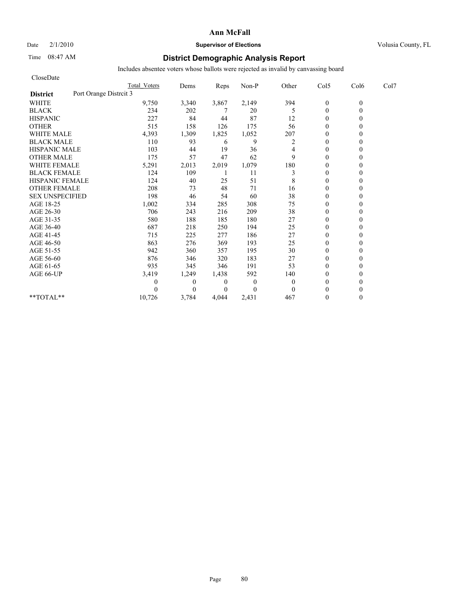Date  $2/1/2010$  **Supervisor of Elections Supervisor of Elections** Volusia County, FL

# Time 08:47 AM **District Demographic Analysis Report**

| CloseDate                                 |                     |              |                |              |          |                |          |      |
|-------------------------------------------|---------------------|--------------|----------------|--------------|----------|----------------|----------|------|
|                                           | <b>Total Voters</b> | Dems         | Reps           | Non-P        | Other    | Col5           | Col6     | Col7 |
| Port Orange Distrcit 3<br><b>District</b> |                     |              |                |              |          |                |          |      |
| <b>WHITE</b>                              | 9,750               | 3,340        | 3,867          | 2,149        | 394      | $\mathbf{0}$   | $\theta$ |      |
| <b>BLACK</b>                              | 234                 | 202          |                | 20           | 5        | $\mathbf{0}$   | 0        |      |
| <b>HISPANIC</b>                           | 227                 | 84           | 44             | 87           | 12       | $\theta$       |          |      |
| <b>OTHER</b>                              | 515                 | 158          | 126            | 175          | 56       | $\theta$       |          |      |
| <b>WHITE MALE</b>                         | 4,393               | 1,309        | 1,825          | 1,052        | 207      | $\theta$       |          |      |
| <b>BLACK MALE</b>                         | 110                 | 93           | 6              | 9            | 2        | $\mathbf{0}$   |          |      |
| <b>HISPANIC MALE</b>                      | 103                 | 44           | 19             | 36           | 4        | $\theta$       |          |      |
| <b>OTHER MALE</b>                         | 175                 | 57           | 47             | 62           | 9        | $\mathbf{0}$   |          |      |
| <b>WHITE FEMALE</b>                       | 5,291               | 2,013        | 2,019          | 1,079        | 180      | $\theta$       |          |      |
| <b>BLACK FEMALE</b>                       | 124                 | 109          |                | 11           | 3        | $\overline{0}$ |          |      |
| HISPANIC FEMALE                           | 124                 | 40           | 25             | 51           | 8        | $\theta$       |          |      |
| <b>OTHER FEMALE</b>                       | 208                 | 73           | 48             | 71           | 16       | $\theta$       |          |      |
| <b>SEX UNSPECIFIED</b>                    | 198                 | 46           | 54             | 60           | 38       | $\theta$       |          |      |
| AGE 18-25                                 | 1,002               | 334          | 285            | 308          | 75       | $\mathbf{0}$   |          |      |
| AGE 26-30                                 | 706                 | 243          | 216            | 209          | 38       | $\mathbf{0}$   |          |      |
| AGE 31-35                                 | 580                 | 188          | 185            | 180          | 27       | $\mathbf{0}$   |          |      |
| AGE 36-40                                 | 687                 | 218          | 250            | 194          | 25       | $\mathbf{0}$   |          |      |
| AGE 41-45                                 | 715                 | 225          | 277            | 186          | 27       | $\mathbf{0}$   |          |      |
| AGE 46-50                                 | 863                 | 276          | 369            | 193          | 25       | $\theta$       |          |      |
| AGE 51-55                                 | 942                 | 360          | 357            | 195          | 30       | $\mathbf{0}$   |          |      |
| AGE 56-60                                 | 876                 | 346          | 320            | 183          | 27       | $\overline{0}$ |          |      |
| AGE 61-65                                 | 935                 | 345          | 346            | 191          | 53       | $\theta$       |          |      |
| AGE 66-UP                                 | 3,419               | 1,249        | 1,438          | 592          | 140      | $\theta$       |          |      |
|                                           | 0                   | $\mathbf{0}$ | $\overline{0}$ | $\mathbf{0}$ | $\theta$ | $\mathbf{0}$   |          |      |
|                                           | $\Omega$            | $\Omega$     | $\Omega$       | $\theta$     | $\Omega$ | $\theta$       |          |      |
| **TOTAL**                                 | 10,726              | 3,784        | 4.044          | 2,431        | 467      | $\theta$       | 0        |      |